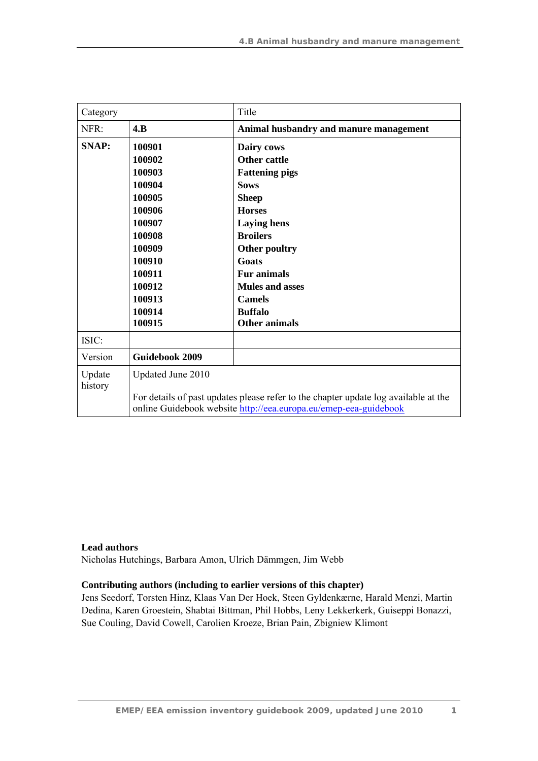| Category                                       |                                                                                                                                                         | Title                                  |
|------------------------------------------------|---------------------------------------------------------------------------------------------------------------------------------------------------------|----------------------------------------|
| NFR:                                           | 4.B                                                                                                                                                     | Animal husbandry and manure management |
| <b>SNAP:</b>                                   | 100901                                                                                                                                                  | Dairy cows                             |
|                                                | 100902                                                                                                                                                  | <b>Other cattle</b>                    |
|                                                | 100903                                                                                                                                                  | <b>Fattening pigs</b>                  |
|                                                | 100904                                                                                                                                                  | <b>Sows</b>                            |
|                                                | 100905                                                                                                                                                  | <b>Sheep</b>                           |
|                                                | 100906                                                                                                                                                  | <b>Horses</b>                          |
|                                                | 100907                                                                                                                                                  | <b>Laying hens</b>                     |
|                                                | 100908                                                                                                                                                  | <b>Broilers</b>                        |
| 100909<br>100910<br>100911<br>100912<br>100913 |                                                                                                                                                         | Other poultry                          |
|                                                |                                                                                                                                                         | Goats                                  |
|                                                |                                                                                                                                                         | <b>Fur animals</b>                     |
|                                                |                                                                                                                                                         | <b>Mules and asses</b>                 |
|                                                |                                                                                                                                                         | <b>Camels</b>                          |
|                                                | 100914                                                                                                                                                  | <b>Buffalo</b>                         |
|                                                | 100915                                                                                                                                                  | <b>Other animals</b>                   |
| ISIC:                                          |                                                                                                                                                         |                                        |
| Version                                        | <b>Guidebook 2009</b>                                                                                                                                   |                                        |
| Update<br>history                              | Updated June 2010                                                                                                                                       |                                        |
|                                                | For details of past updates please refer to the chapter update log available at the<br>online Guidebook website http://eea.europa.eu/emep-eea-guidebook |                                        |

#### **Lead authors**

Nicholas Hutchings, Barbara Amon, Ulrich Dämmgen, Jim Webb

#### **Contributing authors (including to earlier versions of this chapter)**

Jens Seedorf, Torsten Hinz, Klaas Van Der Hoek, Steen Gyldenkærne, Harald Menzi, Martin Dedina, Karen Groestein, Shabtai Bittman, Phil Hobbs, Leny Lekkerkerk, Guiseppi Bonazzi, Sue Couling, David Cowell, Carolien Kroeze, Brian Pain, Zbigniew Klimont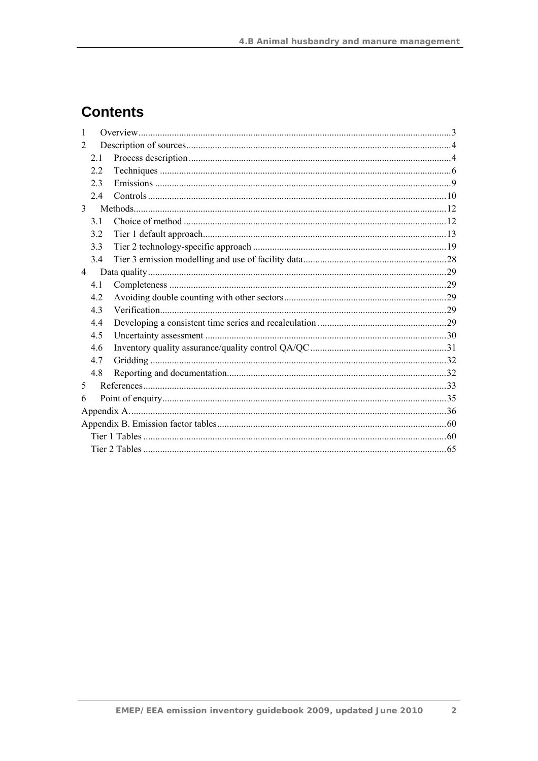# **Contents**

| 1              |                |  |  |
|----------------|----------------|--|--|
| 2              |                |  |  |
|                | 2.1            |  |  |
|                | 2.2            |  |  |
|                | 2 <sub>3</sub> |  |  |
|                | 2.4            |  |  |
| $\mathcal{E}$  |                |  |  |
|                | 3.1            |  |  |
|                | 32             |  |  |
|                | 3.3            |  |  |
|                | 3.4            |  |  |
| $\overline{4}$ |                |  |  |
|                | 4.1            |  |  |
|                | 4.2            |  |  |
|                | 43             |  |  |
|                | 4.4            |  |  |
|                | 4.5            |  |  |
|                | 4.6            |  |  |
|                | 4.7            |  |  |
|                | 4.8            |  |  |
| 5              |                |  |  |
| 6              |                |  |  |
|                |                |  |  |
|                |                |  |  |
|                |                |  |  |
|                |                |  |  |

 $\overline{2}$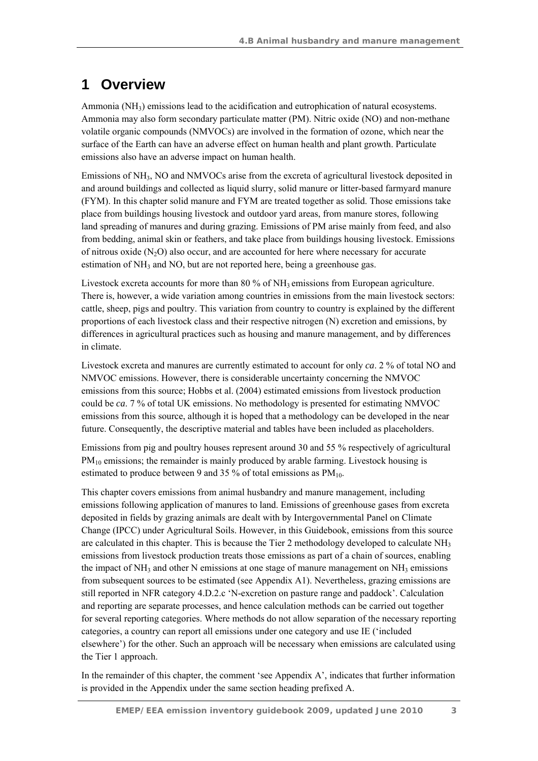# **1 Overview**

Ammonia  $(NH_3)$  emissions lead to the acidification and eutrophication of natural ecosystems. Ammonia may also form secondary particulate matter (PM). Nitric oxide (NO) and non-methane volatile organic compounds (NMVOCs) are involved in the formation of ozone, which near the surface of the Earth can have an adverse effect on human health and plant growth. Particulate emissions also have an adverse impact on human health.

Emissions of NH<sub>3</sub>, NO and NMVOCs arise from the excreta of agricultural livestock deposited in and around buildings and collected as liquid slurry, solid manure or litter-based farmyard manure (FYM). In this chapter solid manure and FYM are treated together as solid. Those emissions take place from buildings housing livestock and outdoor yard areas, from manure stores, following land spreading of manures and during grazing. Emissions of PM arise mainly from feed, and also from bedding, animal skin or feathers, and take place from buildings housing livestock. Emissions of nitrous oxide  $(N_2O)$  also occur, and are accounted for here where necessary for accurate estimation of NH<sub>3</sub> and NO, but are not reported here, being a greenhouse gas.

Livestock excreta accounts for more than 80 % of  $NH<sub>3</sub>$  emissions from European agriculture. There is, however, a wide variation among countries in emissions from the main livestock sectors: cattle, sheep, pigs and poultry. This variation from country to country is explained by the different proportions of each livestock class and their respective nitrogen (N) excretion and emissions, by differences in agricultural practices such as housing and manure management, and by differences in climate.

Livestock excreta and manures are currently estimated to account for only *ca*. 2 % of total NO and NMVOC emissions. However, there is considerable uncertainty concerning the NMVOC emissions from this source; Hobbs et al. (2004) estimated emissions from livestock production could be *ca*. 7 % of total UK emissions. No methodology is presented for estimating NMVOC emissions from this source, although it is hoped that a methodology can be developed in the near future. Consequently, the descriptive material and tables have been included as placeholders.

Emissions from pig and poultry houses represent around 30 and 55 % respectively of agricultural PM<sub>10</sub> emissions; the remainder is mainly produced by arable farming. Livestock housing is estimated to produce between 9 and 35 % of total emissions as  $PM_{10}$ .

This chapter covers emissions from animal husbandry and manure management, including emissions following application of manures to land. Emissions of greenhouse gases from excreta deposited in fields by grazing animals are dealt with by Intergovernmental Panel on Climate Change (IPCC) under Agricultural Soils. However, in this Guidebook, emissions from this source are calculated in this chapter. This is because the Tier 2 methodology developed to calculate  $NH<sub>3</sub>$ emissions from livestock production treats those emissions as part of a chain of sources, enabling the impact of  $NH_3$  and other N emissions at one stage of manure management on  $NH_3$  emissions from subsequent sources to be estimated (see Appendix A1). Nevertheless, grazing emissions are still reported in NFR category 4.D.2.c 'N-excretion on pasture range and paddock'. Calculation and reporting are separate processes, and hence calculation methods can be carried out together for several reporting categories. Where methods do not allow separation of the necessary reporting categories, a country can report all emissions under one category and use IE ('included elsewhere') for the other. Such an approach will be necessary when emissions are calculated using the Tier 1 approach.

In the remainder of this chapter, the comment 'see Appendix A', indicates that further information is provided in the Appendix under the same section heading prefixed A.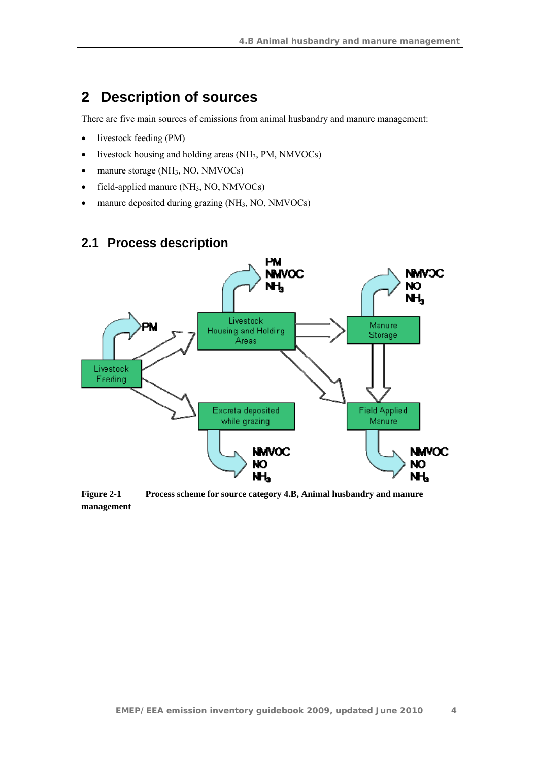# **2 Description of sources**

There are five main sources of emissions from animal husbandry and manure management:

- livestock feeding (PM)
- livestock housing and holding areas  $(NH_3, PM, NMVOCs)$
- manure storage (NH<sub>3</sub>, NO, NMVOCs)
- field-applied manure  $(NH_3, NO, NMVOCs)$
- manure deposited during grazing (NH<sub>3</sub>, NO, NMVOCs)

## **2.1 Process description**



**Figure 2-1 Process scheme for source category 4.B, Animal husbandry and manure management**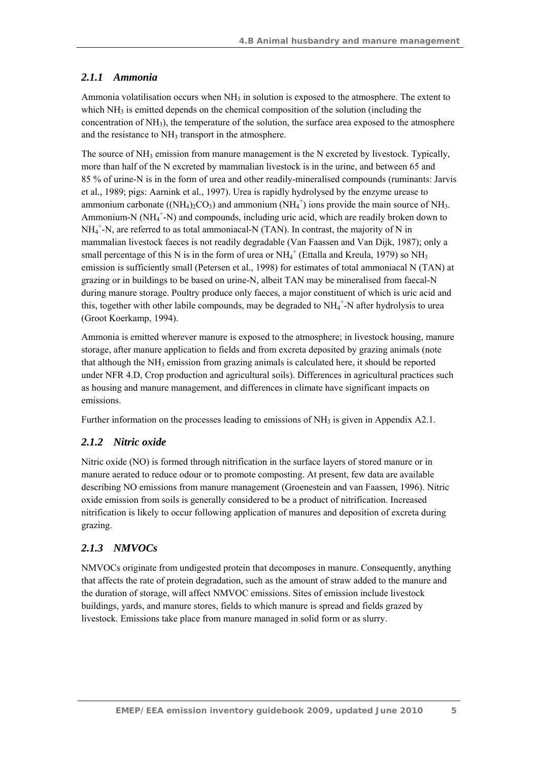## *2.1.1 Ammonia*

Ammonia volatilisation occurs when  $NH<sub>3</sub>$  in solution is exposed to the atmosphere. The extent to which NH<sub>3</sub> is emitted depends on the chemical composition of the solution (including the concentration of  $NH<sub>3</sub>$ , the temperature of the solution, the surface area exposed to the atmosphere and the resistance to  $NH<sub>3</sub>$  transport in the atmosphere.

The source of  $NH_3$  emission from manure management is the N excreted by livestock. Typically, more than half of the N excreted by mammalian livestock is in the urine, and between 65 and 85 % of urine-N is in the form of urea and other readily-mineralised compounds (ruminants: Jarvis et al*.*, 1989; pigs: Aarnink et al*.*, 1997). Urea is rapidly hydrolysed by the enzyme urease to ammonium carbonate ((NH<sub>4</sub>)<sub>2</sub>CO<sub>3</sub>) and ammonium (NH<sub>4</sub><sup>+</sup>) ions provide the main source of NH<sub>3</sub>. Ammonium-N (NH<sub>4</sub><sup>+</sup>-N) and compounds, including uric acid, which are readily broken down to NH4 + -N, are referred to as total ammoniacal-N (TAN). In contrast, the majority of N in mammalian livestock faeces is not readily degradable (Van Faassen and Van Dijk, 1987); only a small percentage of this N is in the form of urea or  $NH_4^+$  (Ettalla and Kreula, 1979) so NH<sub>3</sub> emission is sufficiently small (Petersen et al*.*, 1998) for estimates of total ammoniacal N (TAN) at grazing or in buildings to be based on urine-N, albeit TAN may be mineralised from faecal-N during manure storage. Poultry produce only faeces, a major constituent of which is uric acid and this, together with other labile compounds, may be degraded to  $NH_4^+$ -N after hydrolysis to urea (Groot Koerkamp, 1994).

Ammonia is emitted wherever manure is exposed to the atmosphere; in livestock housing, manure storage, after manure application to fields and from excreta deposited by grazing animals (note that although the  $NH_3$  emission from grazing animals is calculated here, it should be reported under NFR 4.D, Crop production and agricultural soils). Differences in agricultural practices such as housing and manure management, and differences in climate have significant impacts on emissions.

Further information on the processes leading to emissions of NH<sub>3</sub> is given in Appendix A2.1.

## *2.1.2 Nitric oxide*

Nitric oxide (NO) is formed through nitrification in the surface layers of stored manure or in manure aerated to reduce odour or to promote composting. At present, few data are available describing NO emissions from manure management (Groenestein and van Faassen, 1996). Nitric oxide emission from soils is generally considered to be a product of nitrification. Increased nitrification is likely to occur following application of manures and deposition of excreta during grazing.

## *2.1.3 NMVOCs*

NMVOCs originate from undigested protein that decomposes in manure. Consequently, anything that affects the rate of protein degradation, such as the amount of straw added to the manure and the duration of storage, will affect NMVOC emissions. Sites of emission include livestock buildings, yards, and manure stores, fields to which manure is spread and fields grazed by livestock. Emissions take place from manure managed in solid form or as slurry.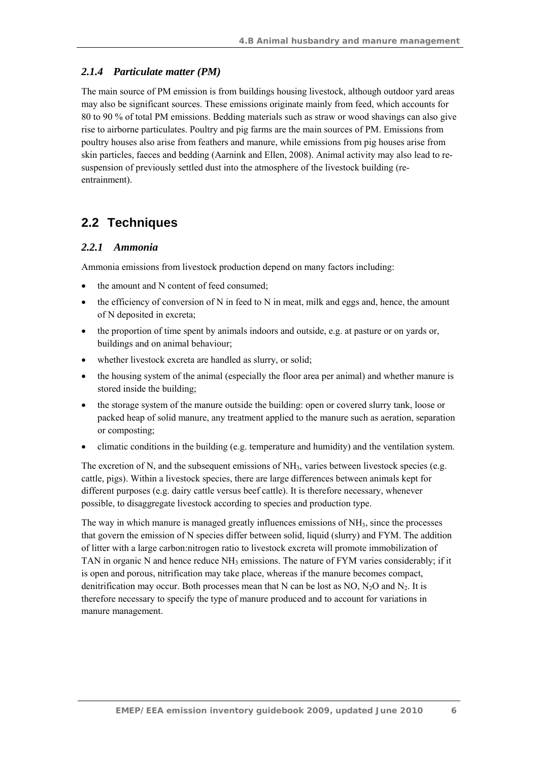### *2.1.4 Particulate matter (PM)*

The main source of PM emission is from buildings housing livestock, although outdoor yard areas may also be significant sources. These emissions originate mainly from feed, which accounts for 80 to 90 % of total PM emissions. Bedding materials such as straw or wood shavings can also give rise to airborne particulates. Poultry and pig farms are the main sources of PM. Emissions from poultry houses also arise from feathers and manure, while emissions from pig houses arise from skin particles, faeces and bedding (Aarnink and Ellen, 2008). Animal activity may also lead to resuspension of previously settled dust into the atmosphere of the livestock building (reentrainment).

## **2.2 Techniques**

#### *2.2.1 Ammonia*

Ammonia emissions from livestock production depend on many factors including:

- the amount and N content of feed consumed:
- $\bullet$  the efficiency of conversion of N in feed to N in meat, milk and eggs and, hence, the amount of N deposited in excreta;
- the proportion of time spent by animals indoors and outside, e.g. at pasture or on yards or, buildings and on animal behaviour;
- whether livestock excreta are handled as slurry, or solid;
- the housing system of the animal (especially the floor area per animal) and whether manure is stored inside the building;
- the storage system of the manure outside the building: open or covered slurry tank, loose or packed heap of solid manure, any treatment applied to the manure such as aeration, separation or composting;
- climatic conditions in the building (e.g. temperature and humidity) and the ventilation system.

The excretion of N, and the subsequent emissions of  $NH_3$ , varies between livestock species (e.g. cattle, pigs). Within a livestock species, there are large differences between animals kept for different purposes (e.g. dairy cattle versus beef cattle). It is therefore necessary, whenever possible, to disaggregate livestock according to species and production type.

The way in which manure is managed greatly influences emissions of  $NH<sub>3</sub>$ , since the processes that govern the emission of N species differ between solid, liquid (slurry) and FYM. The addition of litter with a large carbon:nitrogen ratio to livestock excreta will promote immobilization of TAN in organic N and hence reduce  $NH_3$  emissions. The nature of FYM varies considerably; if it is open and porous, nitrification may take place, whereas if the manure becomes compact, denitrification may occur. Both processes mean that N can be lost as NO,  $N_2O$  and  $N_2$ . It is therefore necessary to specify the type of manure produced and to account for variations in manure management.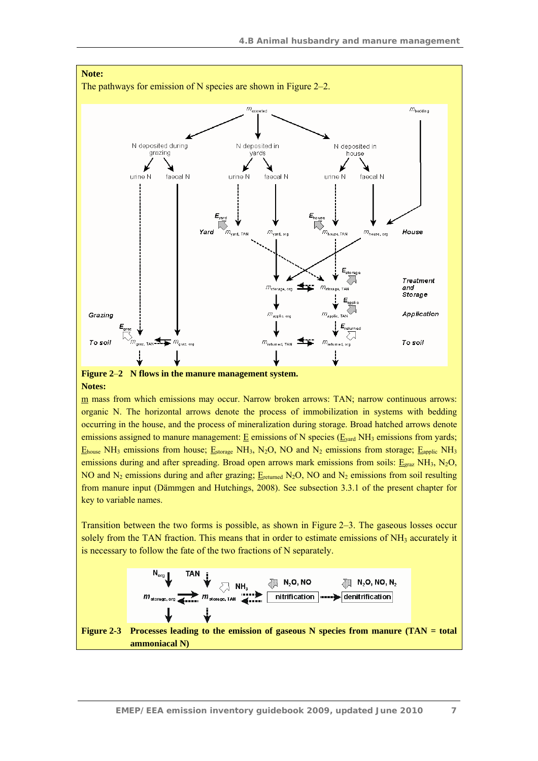

#### **Notes:**

m mass from which emissions may occur. Narrow broken arrows: TAN; narrow continuous arrows: organic N. The horizontal arrows denote the process of immobilization in systems with bedding occurring in the house, and the process of mineralization during storage. Broad hatched arrows denote emissions assigned to manure management:  $E$  emissions of N species ( $E_{\text{vard}}$  NH<sub>3</sub> emissions from yards;  $E_{\text{house}}$  NH<sub>3</sub> emissions from house;  $E_{\text{storage}}$  NH<sub>3</sub>, N<sub>2</sub>O, NO and N<sub>2</sub> emissions from storage;  $E_{\text{apolic}}$  NH<sub>3</sub> emissions during and after spreading. Broad open arrows mark emissions from soils:  $E_{grav}$  NH<sub>3</sub>, N<sub>2</sub>O, NO and N<sub>2</sub> emissions during and after grazing;  $E_{\text{returned}}$  N<sub>2</sub>O, NO and N<sub>2</sub> emissions from soil resulting from manure input (Dämmgen and Hutchings, 2008). See subsection 3.3.1 of the present chapter for key to variable names.

Transition between the two forms is possible, as shown in Figure 2–3. The gaseous losses occur solely from the TAN fraction. This means that in order to estimate emissions of NH<sub>3</sub> accurately it is necessary to follow the fate of the two fractions of N separately.



**ammoniacal N)**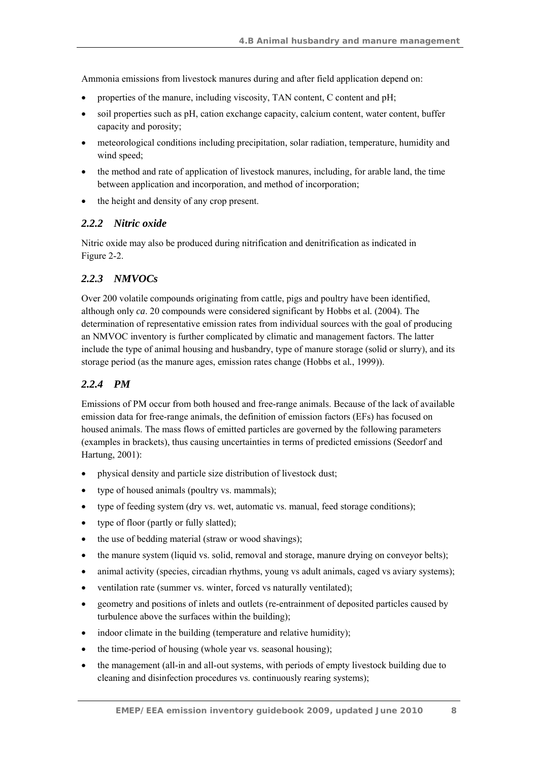Ammonia emissions from livestock manures during and after field application depend on:

- properties of the manure, including viscosity, TAN content, C content and pH;
- soil properties such as pH, cation exchange capacity, calcium content, water content, buffer capacity and porosity;
- meteorological conditions including precipitation, solar radiation, temperature, humidity and wind speed;
- the method and rate of application of livestock manures, including, for arable land, the time between application and incorporation, and method of incorporation;
- the height and density of any crop present.

### *2.2.2 Nitric oxide*

Nitric oxide may also be produced during nitrification and denitrification as indicated in Figure 2-2.

### *2.2.3 NMVOCs*

Over 200 volatile compounds originating from cattle, pigs and poultry have been identified, although only *ca*. 20 compounds were considered significant by Hobbs et al*.* (2004). The determination of representative emission rates from individual sources with the goal of producing an NMVOC inventory is further complicated by climatic and management factors. The latter include the type of animal housing and husbandry, type of manure storage (solid or slurry), and its storage period (as the manure ages, emission rates change (Hobbs et al*.*, 1999)).

## *2.2.4 PM*

Emissions of PM occur from both housed and free-range animals. Because of the lack of available emission data for free-range animals, the definition of emission factors (EFs) has focused on housed animals. The mass flows of emitted particles are governed by the following parameters (examples in brackets), thus causing uncertainties in terms of predicted emissions (Seedorf and Hartung, 2001):

- physical density and particle size distribution of livestock dust;
- type of housed animals (poultry vs. mammals);
- type of feeding system (dry vs. wet, automatic vs. manual, feed storage conditions);
- type of floor (partly or fully slatted);
- the use of bedding material (straw or wood shavings);
- the manure system (liquid vs. solid, removal and storage, manure drying on conveyor belts);
- animal activity (species, circadian rhythms, young vs adult animals, caged vs aviary systems);
- ventilation rate (summer vs. winter, forced vs naturally ventilated);
- geometry and positions of inlets and outlets (re-entrainment of deposited particles caused by turbulence above the surfaces within the building);
- indoor climate in the building (temperature and relative humidity);
- the time-period of housing (whole year vs. seasonal housing);
- the management (all-in and all-out systems, with periods of empty livestock building due to cleaning and disinfection procedures vs. continuously rearing systems);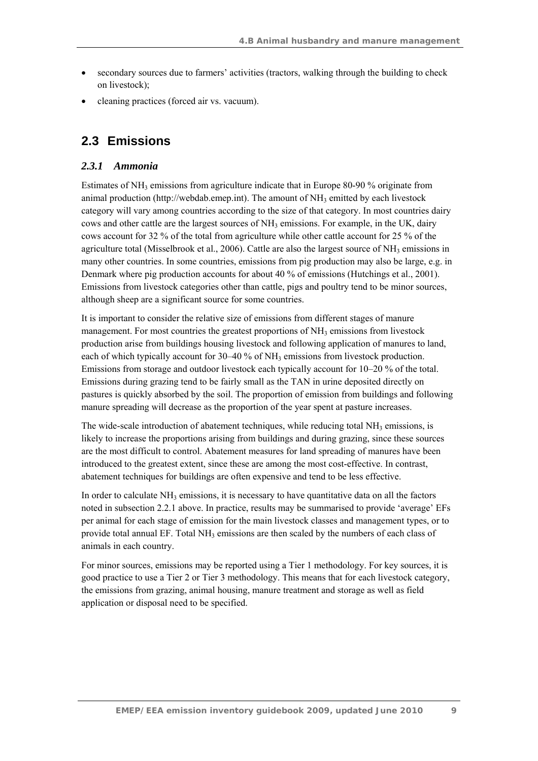- secondary sources due to farmers' activities (tractors, walking through the building to check on livestock);
- cleaning practices (forced air vs. vacuum).

## **2.3 Emissions**

## *2.3.1 Ammonia*

Estimates of  $NH_3$  emissions from agriculture indicate that in Europe 80-90 % originate from animal production (http://webdab.emep.int). The amount of  $NH_3$  emitted by each livestock category will vary among countries according to the size of that category. In most countries dairy cows and other cattle are the largest sources of  $NH<sub>3</sub>$  emissions. For example, in the UK, dairy cows account for 32 % of the total from agriculture while other cattle account for 25 % of the agriculture total (Misselbrook et al., 2006). Cattle are also the largest source of  $NH_3$  emissions in many other countries. In some countries, emissions from pig production may also be large, e.g. in Denmark where pig production accounts for about 40 % of emissions (Hutchings et al., 2001). Emissions from livestock categories other than cattle, pigs and poultry tend to be minor sources, although sheep are a significant source for some countries.

It is important to consider the relative size of emissions from different stages of manure management. For most countries the greatest proportions of  $NH<sub>3</sub>$  emissions from livestock production arise from buildings housing livestock and following application of manures to land, each of which typically account for  $30-40\%$  of NH<sub>3</sub> emissions from livestock production. Emissions from storage and outdoor livestock each typically account for 10–20 % of the total. Emissions during grazing tend to be fairly small as the TAN in urine deposited directly on pastures is quickly absorbed by the soil. The proportion of emission from buildings and following manure spreading will decrease as the proportion of the year spent at pasture increases.

The wide-scale introduction of abatement techniques, while reducing total  $NH<sub>3</sub>$  emissions, is likely to increase the proportions arising from buildings and during grazing, since these sources are the most difficult to control. Abatement measures for land spreading of manures have been introduced to the greatest extent, since these are among the most cost-effective. In contrast, abatement techniques for buildings are often expensive and tend to be less effective.

In order to calculate  $NH<sub>3</sub>$  emissions, it is necessary to have quantitative data on all the factors noted in subsection 2.2.1 above. In practice, results may be summarised to provide 'average' EFs per animal for each stage of emission for the main livestock classes and management types, or to provide total annual EF. Total  $NH<sub>3</sub>$  emissions are then scaled by the numbers of each class of animals in each country.

For minor sources, emissions may be reported using a Tier 1 methodology. For key sources, it is good practice to use a Tier 2 or Tier 3 methodology. This means that for each livestock category, the emissions from grazing, animal housing, manure treatment and storage as well as field application or disposal need to be specified.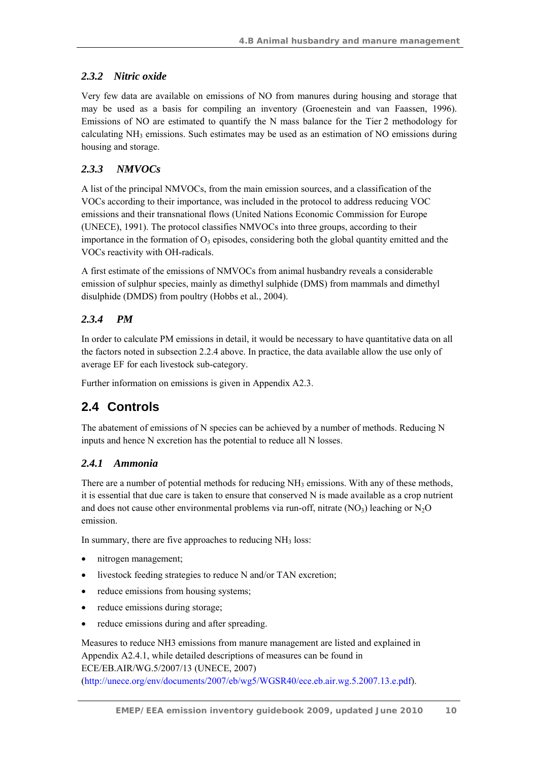## *2.3.2 Nitric oxide*

Very few data are available on emissions of NO from manures during housing and storage that may be used as a basis for compiling an inventory (Groenestein and van Faassen, 1996). Emissions of NO are estimated to quantify the N mass balance for the Tier 2 methodology for calculating NH3 emissions. Such estimates may be used as an estimation of NO emissions during housing and storage.

## *2.3.3 NMVOCs*

A list of the principal NMVOCs, from the main emission sources, and a classification of the VOCs according to their importance, was included in the protocol to address reducing VOC emissions and their transnational flows (United Nations Economic Commission for Europe (UNECE), 1991). The protocol classifies NMVOCs into three groups, according to their importance in the formation of  $O_3$  episodes, considering both the global quantity emitted and the VOCs reactivity with OH-radicals.

A first estimate of the emissions of NMVOCs from animal husbandry reveals a considerable emission of sulphur species, mainly as dimethyl sulphide (DMS) from mammals and dimethyl disulphide (DMDS) from poultry (Hobbs et al*.*, 2004).

## *2.3.4 PM*

In order to calculate PM emissions in detail, it would be necessary to have quantitative data on all the factors noted in subsection 2.2.4 above. In practice, the data available allow the use only of average EF for each livestock sub-category.

Further information on emissions is given in Appendix A2.3.

## **2.4 Controls**

The abatement of emissions of N species can be achieved by a number of methods. Reducing N inputs and hence N excretion has the potential to reduce all N losses.

## *2.4.1 Ammonia*

There are a number of potential methods for reducing  $NH_3$  emissions. With any of these methods, it is essential that due care is taken to ensure that conserved N is made available as a crop nutrient and does not cause other environmental problems via run-off, nitrate  $(NO<sub>3</sub>)$  leaching or  $N<sub>2</sub>O$ emission.

In summary, there are five approaches to reducing  $NH<sub>3</sub>$  loss:

- nitrogen management;
- livestock feeding strategies to reduce N and/or TAN excretion;
- reduce emissions from housing systems;
- reduce emissions during storage;
- reduce emissions during and after spreading.

Measures to reduce NH3 emissions from manure management are listed and explained in Appendix A2.4.1, while detailed descriptions of measures can be found in ECE/EB.AIR/WG.5/2007/13 (UNECE, 2007) (http://unece.org/env/documents/2007/eb/wg5/WGSR40/ece.eb.air.wg.5.2007.13.e.pdf).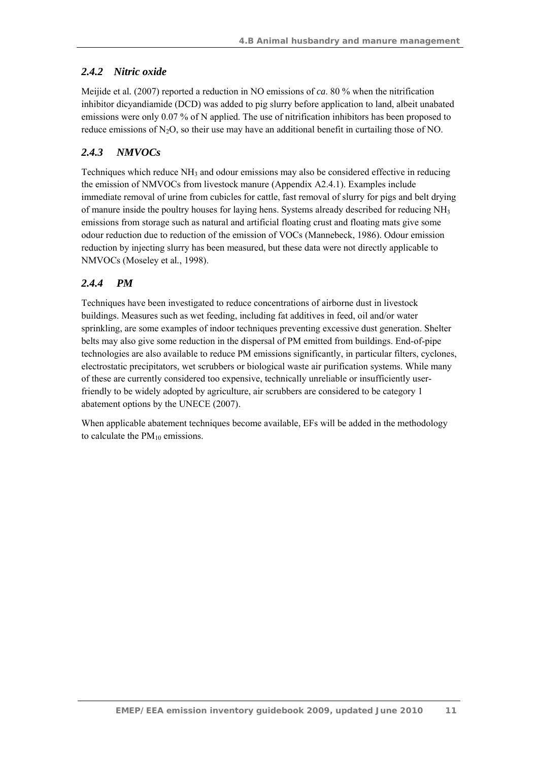## *2.4.2 Nitric oxide*

Meijide et al*.* (2007) reported a reduction in NO emissions of *ca*. 80 % when the nitrification inhibitor dicyandiamide (DCD) was added to pig slurry before application to land, albeit unabated emissions were only 0.07 % of N applied. The use of nitrification inhibitors has been proposed to reduce emissions of  $N_2O$ , so their use may have an additional benefit in curtailing those of NO.

## *2.4.3 NMVOCs*

Techniques which reduce NH<sub>3</sub> and odour emissions may also be considered effective in reducing the emission of NMVOCs from livestock manure (Appendix A2.4.1). Examples include immediate removal of urine from cubicles for cattle, fast removal of slurry for pigs and belt drying of manure inside the poultry houses for laying hens. Systems already described for reducing  $NH<sub>3</sub>$ emissions from storage such as natural and artificial floating crust and floating mats give some odour reduction due to reduction of the emission of VOCs (Mannebeck, 1986). Odour emission reduction by injecting slurry has been measured, but these data were not directly applicable to NMVOCs (Moseley et al*.*, 1998).

## *2.4.4 PM*

Techniques have been investigated to reduce concentrations of airborne dust in livestock buildings. Measures such as wet feeding, including fat additives in feed, oil and/or water sprinkling, are some examples of indoor techniques preventing excessive dust generation. Shelter belts may also give some reduction in the dispersal of PM emitted from buildings. End-of-pipe technologies are also available to reduce PM emissions significantly, in particular filters, cyclones, electrostatic precipitators, wet scrubbers or biological waste air purification systems. While many of these are currently considered too expensive, technically unreliable or insufficiently userfriendly to be widely adopted by agriculture, air scrubbers are considered to be category 1 abatement options by the UNECE (2007).

When applicable abatement techniques become available, EFs will be added in the methodology to calculate the  $PM_{10}$  emissions.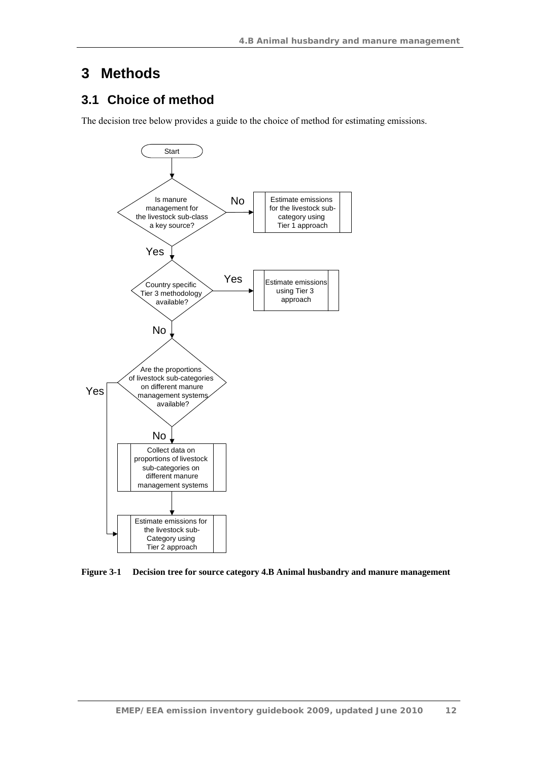## **3 Methods**

## **3.1 Choice of method**

The decision tree below provides a guide to the choice of method for estimating emissions.



**Figure 3-1 Decision tree for source category 4.B Animal husbandry and manure management**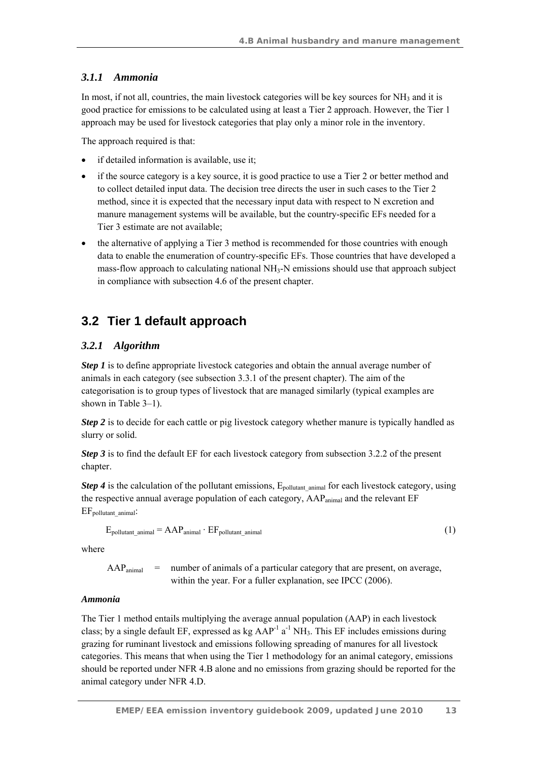## *3.1.1 Ammonia*

In most, if not all, countries, the main livestock categories will be key sources for  $NH_3$  and it is good practice for emissions to be calculated using at least a Tier 2 approach. However, the Tier 1 approach may be used for livestock categories that play only a minor role in the inventory.

The approach required is that:

- if detailed information is available, use it;
- if the source category is a key source, it is good practice to use a Tier 2 or better method and to collect detailed input data. The decision tree directs the user in such cases to the Tier 2 method, since it is expected that the necessary input data with respect to N excretion and manure management systems will be available, but the country-specific EFs needed for a Tier 3 estimate are not available;
- the alternative of applying a Tier 3 method is recommended for those countries with enough data to enable the enumeration of country-specific EFs. Those countries that have developed a mass-flow approach to calculating national  $NH<sub>3</sub>-N$  emissions should use that approach subject in compliance with subsection 4.6 of the present chapter.

## **3.2 Tier 1 default approach**

## *3.2.1 Algorithm*

*Step 1* is to define appropriate livestock categories and obtain the annual average number of animals in each category (see subsection 3.3.1 of the present chapter). The aim of the categorisation is to group types of livestock that are managed similarly (typical examples are shown in Table 3–1).

*Step 2* is to decide for each cattle or pig livestock category whether manure is typically handled as slurry or solid.

*Step 3* is to find the default EF for each livestock category from subsection 3.2.2 of the present chapter.

*Step 4* is the calculation of the pollutant emissions, E<sub>pollutant animal for each livestock category, using</sub> the respective annual average population of each category, AAP<sub>animal</sub> and the relevant EF EF<sub>pollutant\_animal</sub>:

$$
E_{\text{pollutant\_animal}} = AAP_{\text{animal}} \cdot EF_{\text{pollutant\_animal}} \tag{1}
$$

where

 $AAP_{\text{animal}}$  = number of animals of a particular category that are present, on average, within the year. For a fuller explanation, see IPCC (2006).

### *Ammonia*

The Tier 1 method entails multiplying the average annual population (AAP) in each livestock class; by a single default EF, expressed as  $kg$  AAP<sup>-1</sup> a<sup>-1</sup> NH<sub>3</sub>. This EF includes emissions during grazing for ruminant livestock and emissions following spreading of manures for all livestock categories. This means that when using the Tier 1 methodology for an animal category, emissions should be reported under NFR 4.B alone and no emissions from grazing should be reported for the animal category under NFR 4.D.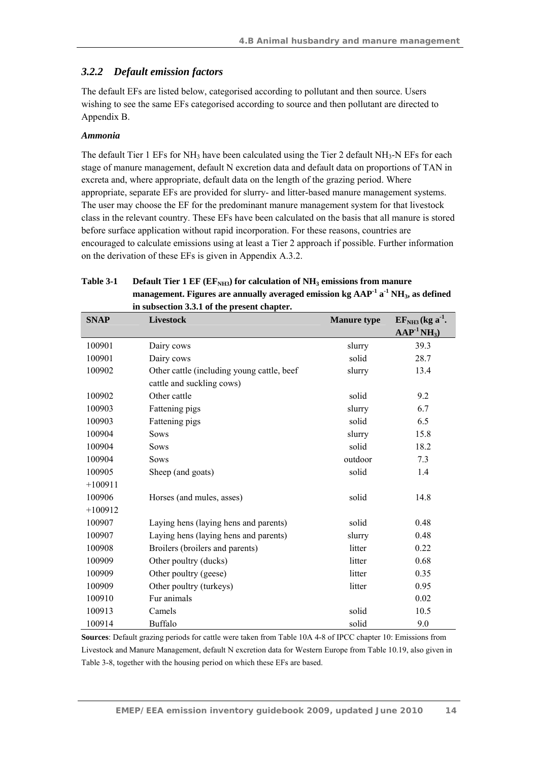### *3.2.2 Default emission factors*

The default EFs are listed below, categorised according to pollutant and then source. Users wishing to see the same EFs categorised according to source and then pollutant are directed to Appendix B.

#### *Ammonia*

The default Tier 1 EFs for  $NH_3$  have been calculated using the Tier 2 default  $NH_3$ -N EFs for each stage of manure management, default N excretion data and default data on proportions of TAN in excreta and, where appropriate, default data on the length of the grazing period. Where appropriate, separate EFs are provided for slurry- and litter-based manure management systems. The user may choose the EF for the predominant manure management system for that livestock class in the relevant country. These EFs have been calculated on the basis that all manure is stored before surface application without rapid incorporation. For these reasons, countries are encouraged to calculate emissions using at least a Tier 2 approach if possible. Further information on the derivation of these EFs is given in Appendix A.3.2.

| Table 3-1 | Default Tier 1 EF (EF <sub>NH3</sub> ) for calculation of NH <sub>3</sub> emissions from manure |  |  |
|-----------|-------------------------------------------------------------------------------------------------|--|--|
|           | management. Figures are annually averaged emission kg $AAP-1 a-1 NH3$ , as defined              |  |  |
|           | in subsection 3.3.1 of the present chapter.                                                     |  |  |
|           |                                                                                                 |  |  |

| <b>SNAP</b> | <b>Livestock</b>                           | <b>Manure type</b> | $EFNH3 (kg a-1).$<br>$\bf{AAP}^{-1}NH_3$ |
|-------------|--------------------------------------------|--------------------|------------------------------------------|
|             |                                            |                    |                                          |
| 100901      | Dairy cows                                 | slurry             | 39.3                                     |
| 100901      | Dairy cows                                 | solid              | 28.7                                     |
| 100902      | Other cattle (including young cattle, beef | slurry             | 13.4                                     |
|             | cattle and suckling cows)                  |                    |                                          |
| 100902      | Other cattle                               | solid              | 9.2                                      |
| 100903      | Fattening pigs                             | slurry             | 6.7                                      |
| 100903      | Fattening pigs                             | solid              | 6.5                                      |
| 100904      | <b>Sows</b>                                | slurry             | 15.8                                     |
| 100904      | <b>Sows</b>                                | solid              | 18.2                                     |
| 100904      | <b>Sows</b>                                | outdoor            | 7.3                                      |
| 100905      | Sheep (and goats)                          | solid              | 1.4                                      |
| $+100911$   |                                            |                    |                                          |
| 100906      | Horses (and mules, asses)                  | solid              | 14.8                                     |
| $+100912$   |                                            |                    |                                          |
| 100907      | Laying hens (laying hens and parents)      | solid              | 0.48                                     |
| 100907      | Laying hens (laying hens and parents)      | slurry             | 0.48                                     |
| 100908      | Broilers (broilers and parents)            | litter             | 0.22                                     |
| 100909      | Other poultry (ducks)                      | litter             | 0.68                                     |
| 100909      | Other poultry (geese)                      | litter             | 0.35                                     |
| 100909      | Other poultry (turkeys)                    | litter             | 0.95                                     |
| 100910      | Fur animals                                |                    | 0.02                                     |
| 100913      | Camels                                     | solid              | 10.5                                     |
| 100914      | Buffalo                                    | solid              | 9.0                                      |

**Sources**: Default grazing periods for cattle were taken from Table 10A 4-8 of IPCC chapter 10: Emissions from Livestock and Manure Management, default N excretion data for Western Europe from Table 10.19, also given in Table 3-8, together with the housing period on which these EFs are based.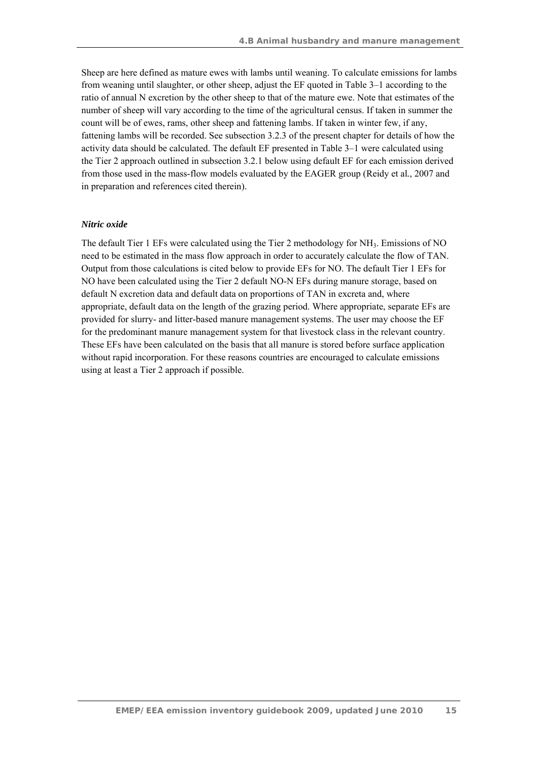Sheep are here defined as mature ewes with lambs until weaning. To calculate emissions for lambs from weaning until slaughter, or other sheep, adjust the EF quoted in Table 3–1 according to the ratio of annual N excretion by the other sheep to that of the mature ewe. Note that estimates of the number of sheep will vary according to the time of the agricultural census. If taken in summer the count will be of ewes, rams, other sheep and fattening lambs. If taken in winter few, if any, fattening lambs will be recorded. See subsection 3.2.3 of the present chapter for details of how the activity data should be calculated. The default EF presented in Table 3–1 were calculated using the Tier 2 approach outlined in subsection 3.2.1 below using default EF for each emission derived from those used in the mass-flow models evaluated by the EAGER group (Reidy et al*.*, 2007 and in preparation and references cited therein).

#### *Nitric oxide*

The default Tier 1 EFs were calculated using the Tier 2 methodology for NH<sub>3</sub>. Emissions of NO need to be estimated in the mass flow approach in order to accurately calculate the flow of TAN. Output from those calculations is cited below to provide EFs for NO. The default Tier 1 EFs for NO have been calculated using the Tier 2 default NO-N EFs during manure storage, based on default N excretion data and default data on proportions of TAN in excreta and, where appropriate, default data on the length of the grazing period. Where appropriate, separate EFs are provided for slurry- and litter-based manure management systems. The user may choose the EF for the predominant manure management system for that livestock class in the relevant country. These EFs have been calculated on the basis that all manure is stored before surface application without rapid incorporation. For these reasons countries are encouraged to calculate emissions using at least a Tier 2 approach if possible.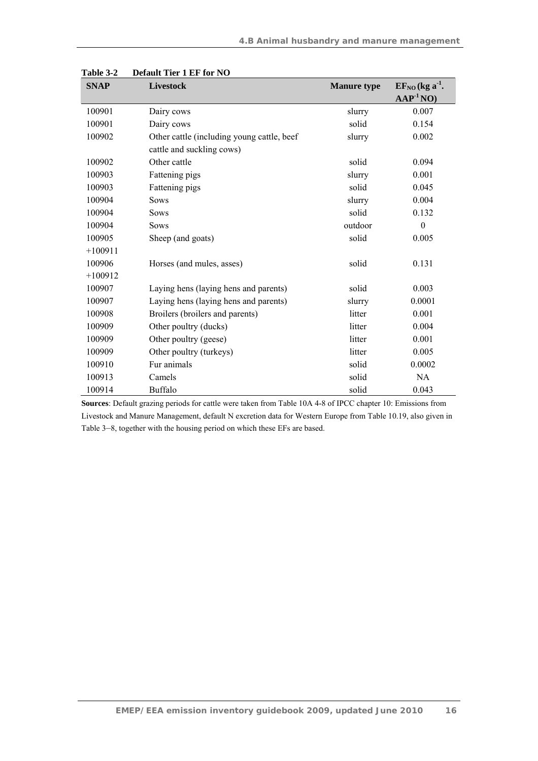| <b>SNAP</b> | <b>Livestock</b>                           | <b>Manure type</b> | $EFNO$ (kg a <sup>-1</sup> . |
|-------------|--------------------------------------------|--------------------|------------------------------|
|             |                                            |                    | $AAP-1NO)$                   |
| 100901      | Dairy cows                                 | slurry             | 0.007                        |
| 100901      | Dairy cows                                 | solid              | 0.154                        |
| 100902      | Other cattle (including young cattle, beef | slurry             | 0.002                        |
|             | cattle and suckling cows)                  |                    |                              |
| 100902      | Other cattle                               | solid              | 0.094                        |
| 100903      | Fattening pigs                             | slurry             | 0.001                        |
| 100903      | Fattening pigs                             | solid              | 0.045                        |
| 100904      | <b>Sows</b>                                | slurry             | 0.004                        |
| 100904      | <b>Sows</b>                                | solid              | 0.132                        |
| 100904      | <b>Sows</b>                                | outdoor            | $\boldsymbol{0}$             |
| 100905      | Sheep (and goats)                          | solid              | 0.005                        |
| $+100911$   |                                            |                    |                              |
| 100906      | Horses (and mules, asses)                  | solid              | 0.131                        |
| $+100912$   |                                            |                    |                              |
| 100907      | Laying hens (laying hens and parents)      | solid              | 0.003                        |
| 100907      | Laying hens (laying hens and parents)      | slurry             | 0.0001                       |
| 100908      | Broilers (broilers and parents)            | litter             | 0.001                        |
| 100909      | Other poultry (ducks)                      | litter             | 0.004                        |
| 100909      | Other poultry (geese)                      | litter             | 0.001                        |
| 100909      | Other poultry (turkeys)                    | litter             | 0.005                        |
| 100910      | Fur animals                                | solid              | 0.0002                       |
| 100913      | Camels                                     | solid              | <b>NA</b>                    |
| 100914      | <b>Buffalo</b>                             | solid              | 0.043                        |

**Table 3-2 Default Tier 1 EF for NO** 

**Sources**: Default grazing periods for cattle were taken from Table 10A 4-8 of IPCC chapter 10: Emissions from Livestock and Manure Management, default N excretion data for Western Europe from Table 10.19, also given in Table 3–8, together with the housing period on which these EFs are based.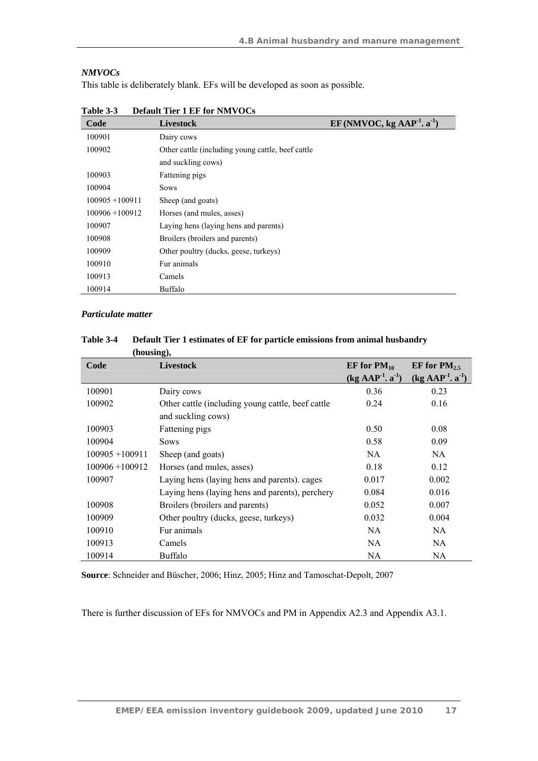### *NMVOCs*

This table is deliberately blank. EFs will be developed as soon as possible.

| Code              | <b>Livestock</b>                                  | EF (NMVOC, kg $AAP-1$ . a <sup>-1</sup> ) |
|-------------------|---------------------------------------------------|-------------------------------------------|
| 100901            | Dairy cows                                        |                                           |
| 100902            | Other cattle (including young cattle, beef cattle |                                           |
|                   | and suckling cows)                                |                                           |
| 100903            | Fattening pigs                                    |                                           |
| 100904            | <b>Sows</b>                                       |                                           |
| $100905 + 100911$ | Sheep (and goats)                                 |                                           |
| $100906 + 100912$ | Horses (and mules, asses)                         |                                           |
| 100907            | Laying hens (laying hens and parents)             |                                           |
| 100908            | Broilers (broilers and parents)                   |                                           |
| 100909            | Other poultry (ducks, geese, turkeys)             |                                           |
| 100910            | Fur animals                                       |                                           |
| 100913            | Camels                                            |                                           |
| 100914            | Buffalo                                           |                                           |

**Table 3-3 Default Tier 1 EF for NMVOCs** 

#### *Particulate matter*

| (HOUSHILL),       |                                                   |                                 |                                             |
|-------------------|---------------------------------------------------|---------------------------------|---------------------------------------------|
| Code              | <b>Livestock</b>                                  | EF for $PM_{10}$                | EF for $PM_{2.5}$                           |
|                   |                                                   | $(kg$ AAP <sup>-1</sup> . $a-1$ | $(kg$ AAP <sup>-1</sup> . a <sup>-1</sup> ) |
| 100901            | Dairy cows                                        | 0.36                            | 0.23                                        |
| 100902            | Other cattle (including young cattle, beef cattle | 0.24                            | 0.16                                        |
|                   | and suckling cows)                                |                                 |                                             |
| 100903            | Fattening pigs                                    | 0.50                            | 0.08                                        |
| 100904            | <b>Sows</b>                                       | 0.58                            | 0.09                                        |
| $100905 + 100911$ | Sheep (and goats)                                 | NA.                             | NA.                                         |
| $100906 + 100912$ | Horses (and mules, asses)                         | 0.18                            | 0.12                                        |
| 100907            | Laying hens (laying hens and parents). cages      | 0.017                           | 0.002                                       |
|                   | Laying hens (laying hens and parents), perchery   | 0.084                           | 0.016                                       |
| 100908            | Broilers (broilers and parents)                   | 0.052                           | 0.007                                       |
| 100909            | Other poultry (ducks, geese, turkeys)             | 0.032                           | 0.004                                       |
| 100910            | Fur animals                                       | NA.                             | NA.                                         |
| 100913            | Camels                                            | NA.                             | NA.                                         |
| 100914            | Buffalo                                           | NA                              | NA.                                         |

**Table 3-4 Default Tier 1 estimates of EF for particle emissions from animal husbandry (housing),** 

**Source**: Schneider and Büscher, 2006; Hinz, 2005; Hinz and Tamoschat-Depolt, 2007

There is further discussion of EFs for NMVOCs and PM in Appendix A2.3 and Appendix A3.1.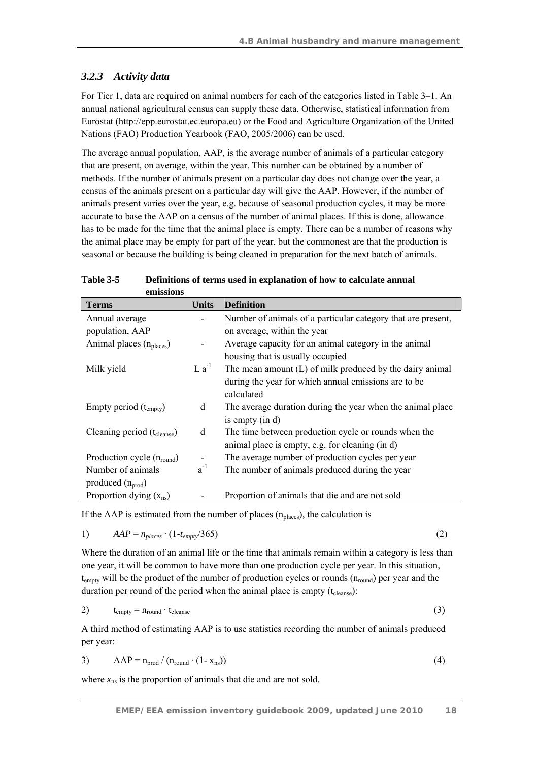## *3.2.3 Activity data*

For Tier 1, data are required on animal numbers for each of the categories listed in Table 3–1. An annual national agricultural census can supply these data. Otherwise, statistical information from Eurostat (http://epp.eurostat.ec.europa.eu) or the Food and Agriculture Organization of the United Nations (FAO) Production Yearbook (FAO, 2005/2006) can be used.

The average annual population, AAP, is the average number of animals of a particular category that are present, on average, within the year. This number can be obtained by a number of methods. If the number of animals present on a particular day does not change over the year, a census of the animals present on a particular day will give the AAP. However, if the number of animals present varies over the year, e.g. because of seasonal production cycles, it may be more accurate to base the AAP on a census of the number of animal places. If this is done, allowance has to be made for the time that the animal place is empty. There can be a number of reasons why the animal place may be empty for part of the year, but the commonest are that the production is seasonal or because the building is being cleaned in preparation for the next batch of animals.

| emissions                               |              |                                                              |
|-----------------------------------------|--------------|--------------------------------------------------------------|
| <b>Terms</b>                            | <b>Units</b> | <b>Definition</b>                                            |
| Annual average                          |              | Number of animals of a particular category that are present, |
| population, AAP                         |              | on average, within the year                                  |
| Animal places (n <sub>places</sub> )    |              | Average capacity for an animal category in the animal        |
|                                         |              | housing that is usually occupied                             |
| Milk yield                              | $L a^{-1}$   | The mean amount $(L)$ of milk produced by the dairy animal   |
|                                         |              | during the year for which annual emissions are to be         |
|                                         |              | calculated                                                   |
| Empty period $(t_{\text{embtv}})$       | d            | The average duration during the year when the animal place   |
|                                         |              | is empty $(in d)$                                            |
| Cleaning period (t <sub>cleanse</sub> ) | d            | The time between production cycle or rounds when the         |
|                                         |              | animal place is empty, e.g. for cleaning (in d)              |
| Production cycle $(n_{round})$          |              | The average number of production cycles per year             |
| Number of animals                       | $a^{-1}$     | The number of animals produced during the year               |
| produced $(n_{prod})$                   |              |                                                              |
| Proportion dying $(x_{ns})$             |              | Proportion of animals that die and are not sold              |

**Table 3-5 Definitions of terms used in explanation of how to calculate annual** 

If the AAP is estimated from the number of places  $(n_{\text{places}})$ , the calculation is

$$
AAP = n_{places} \cdot (1-t_{empty}/365) \tag{2}
$$

Where the duration of an animal life or the time that animals remain within a category is less than one year, it will be common to have more than one production cycle per year. In this situation,  $t_{\text{empty}}$  will be the product of the number of production cycles or rounds  $(n_{\text{round}})$  per year and the duration per round of the period when the animal place is empty  $(t_{\text{cleanse}})$ :

$$
t_{\text{empty}} = n_{\text{round}} \cdot t_{\text{cleanse}} \tag{3}
$$

A third method of estimating AAP is to use statistics recording the number of animals produced per year:

$$
AAP = n_{prod} / (n_{round} \cdot (1 - x_{ns}))
$$
\n(4)

where  $x_{ns}$  is the proportion of animals that die and are not sold.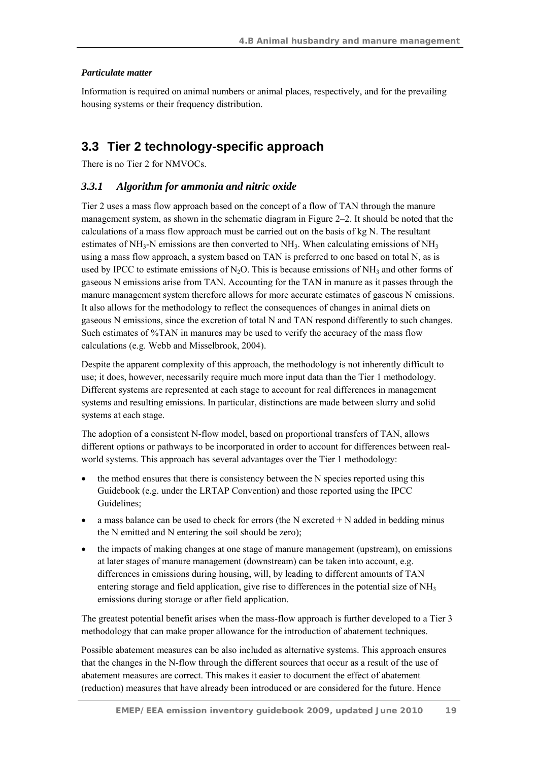### *Particulate matter*

Information is required on animal numbers or animal places, respectively, and for the prevailing housing systems or their frequency distribution.

## **3.3 Tier 2 technology-specific approach**

There is no Tier 2 for NMVOCs.

### *3.3.1 Algorithm for ammonia and nitric oxide*

Tier 2 uses a mass flow approach based on the concept of a flow of TAN through the manure management system, as shown in the schematic diagram in Figure 2–2. It should be noted that the calculations of a mass flow approach must be carried out on the basis of kg N. The resultant estimates of NH<sub>3</sub>-N emissions are then converted to NH<sub>3</sub>. When calculating emissions of NH<sub>3</sub> using a mass flow approach, a system based on TAN is preferred to one based on total N, as is used by IPCC to estimate emissions of N<sub>2</sub>O. This is because emissions of NH<sub>3</sub> and other forms of gaseous N emissions arise from TAN. Accounting for the TAN in manure as it passes through the manure management system therefore allows for more accurate estimates of gaseous N emissions. It also allows for the methodology to reflect the consequences of changes in animal diets on gaseous N emissions, since the excretion of total N and TAN respond differently to such changes. Such estimates of %TAN in manures may be used to verify the accuracy of the mass flow calculations (e.g. Webb and Misselbrook, 2004).

Despite the apparent complexity of this approach, the methodology is not inherently difficult to use; it does, however, necessarily require much more input data than the Tier 1 methodology. Different systems are represented at each stage to account for real differences in management systems and resulting emissions. In particular, distinctions are made between slurry and solid systems at each stage.

The adoption of a consistent N-flow model, based on proportional transfers of TAN, allows different options or pathways to be incorporated in order to account for differences between realworld systems. This approach has several advantages over the Tier 1 methodology:

- the method ensures that there is consistency between the N species reported using this Guidebook (e.g. under the LRTAP Convention) and those reported using the IPCC Guidelines;
- $\bullet$  a mass balance can be used to check for errors (the N excreted  $+ N$  added in bedding minus the N emitted and N entering the soil should be zero);
- the impacts of making changes at one stage of manure management (upstream), on emissions at later stages of manure management (downstream) can be taken into account, e.g. differences in emissions during housing, will, by leading to different amounts of TAN entering storage and field application, give rise to differences in the potential size of NH<sub>3</sub> emissions during storage or after field application.

The greatest potential benefit arises when the mass-flow approach is further developed to a Tier 3 methodology that can make proper allowance for the introduction of abatement techniques.

Possible abatement measures can be also included as alternative systems. This approach ensures that the changes in the N-flow through the different sources that occur as a result of the use of abatement measures are correct. This makes it easier to document the effect of abatement (reduction) measures that have already been introduced or are considered for the future. Hence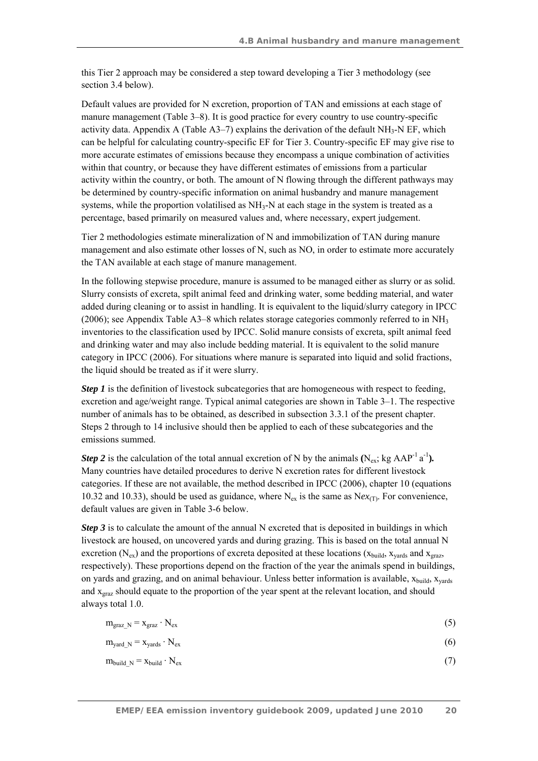this Tier 2 approach may be considered a step toward developing a Tier 3 methodology (see section 3.4 below).

Default values are provided for N excretion, proportion of TAN and emissions at each stage of manure management (Table 3–8). It is good practice for every country to use country-specific activity data. Appendix A (Table  $A3-7$ ) explains the derivation of the default  $NH<sub>3</sub>-N EF$ , which can be helpful for calculating country-specific EF for Tier 3. Country-specific EF may give rise to more accurate estimates of emissions because they encompass a unique combination of activities within that country, or because they have different estimates of emissions from a particular activity within the country, or both. The amount of N flowing through the different pathways may be determined by country-specific information on animal husbandry and manure management systems, while the proportion volatilised as  $NH<sub>3</sub>-N$  at each stage in the system is treated as a percentage, based primarily on measured values and, where necessary, expert judgement.

Tier 2 methodologies estimate mineralization of N and immobilization of TAN during manure management and also estimate other losses of N, such as NO, in order to estimate more accurately the TAN available at each stage of manure management.

In the following stepwise procedure, manure is assumed to be managed either as slurry or as solid. Slurry consists of excreta, spilt animal feed and drinking water, some bedding material, and water added during cleaning or to assist in handling. It is equivalent to the liquid/slurry category in IPCC (2006); see Appendix Table A3–8 which relates storage categories commonly referred to in NH<sub>3</sub> inventories to the classification used by IPCC. Solid manure consists of excreta, spilt animal feed and drinking water and may also include bedding material. It is equivalent to the solid manure category in IPCC (2006). For situations where manure is separated into liquid and solid fractions, the liquid should be treated as if it were slurry.

*Step 1* is the definition of livestock subcategories that are homogeneous with respect to feeding, excretion and age/weight range. Typical animal categories are shown in Table 3–1. The respective number of animals has to be obtained, as described in subsection 3.3.1 of the present chapter. Steps 2 through to 14 inclusive should then be applied to each of these subcategories and the emissions summed.

*Step 2* is the calculation of the total annual excretion of N by the animals  $(N_{ex}$ ; kg AAP<sup>-1</sup> a<sup>-1</sup>). Many countries have detailed procedures to derive N excretion rates for different livestock categories. If these are not available, the method described in IPCC (2006), chapter 10 (equations 10.32 and 10.33), should be used as guidance, where  $N_{ex}$  is the same as  $Nex_{(T)}$ . For convenience, default values are given in Table 3-6 below.

*Step 3* is to calculate the amount of the annual N excreted that is deposited in buildings in which livestock are housed, on uncovered yards and during grazing. This is based on the total annual N excretion ( $N_{ex}$ ) and the proportions of excreta deposited at these locations ( $x_{build}$ ,  $x_{vard}$  and  $x_{grav}$ , respectively). These proportions depend on the fraction of the year the animals spend in buildings, on yards and grazing, and on animal behaviour. Unless better information is available,  $x_{build}$ ,  $x_{vards}$ and  $x_{\text{grav}}$  should equate to the proportion of the year spent at the relevant location, and should always total 1.0.

| $m_{\text{graz}}$ <sub>N</sub> = $x_{\text{graz}} \cdot N_{\text{ex}}$ |  |
|------------------------------------------------------------------------|--|
|------------------------------------------------------------------------|--|

| $m_{\text{yard}\_N} = x_{\text{yards}} \cdot N_{\text{ex}}$ |  |
|-------------------------------------------------------------|--|
|-------------------------------------------------------------|--|

$$
m_{\text{build\_N}} = x_{\text{build}} \cdot N_{\text{ex}} \tag{7}
$$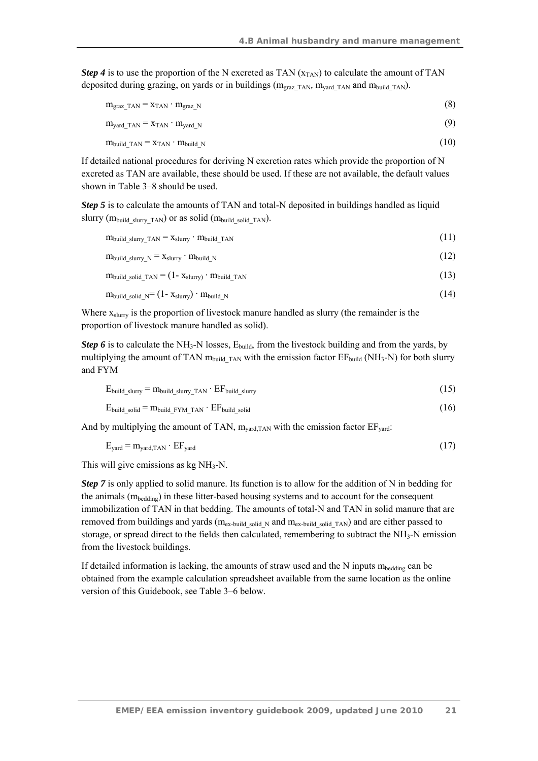*Step 4* is to use the proportion of the N excreted as TAN  $(x_{TAN})$  to calculate the amount of TAN deposited during grazing, on yards or in buildings (mgraz*\_*TAN*,* myard*\_*TAN and mbuild*\_*TAN).

| $m_{\text{graz TAN}} = x_{\text{TAN}} \cdot m_{\text{graz N}}$         | (8)  |
|------------------------------------------------------------------------|------|
| $m_{\text{yard}}$ TAN $=$ X <sub>TAN</sub> $\cdot$ $m_{\text{yard}}$ N | (9)  |
| $m_{build\ TAN} = x_{TAN} \cdot m_{build\ N}$                          | (10) |

If detailed national procedures for deriving N excretion rates which provide the proportion of N excreted as TAN are available, these should be used. If these are not available, the default values shown in Table 3–8 should be used.

*Step 5* is to calculate the amounts of TAN and total-N deposited in buildings handled as liquid slurry ( $m_{build~slurrv~TAN}$ ) or as solid ( $m_{build~solid~TAN}$ ).

| $m_{build~slurv~TAN} = x_{slurv} \cdot m_{build~TAN}$                                         | (11) |
|-----------------------------------------------------------------------------------------------|------|
| $m_{build~slurry~N} = X_{slurry} \cdot m_{build~N}$                                           | (12) |
| $m_{\text{build solid}}$ solid TAN = $(1 - x_{\text{slurry}})$ $\cdot$ $m_{\text{build}}$ TAN | (13) |
| $m_{build \ solid N} = (1 - x_{slurry}) \cdot m_{build N}$                                    | (14) |

Where  $x_{\text{slurv}}$  is the proportion of livestock manure handled as slurry (the remainder is the proportion of livestock manure handled as solid).

*Step 6* is to calculate the NH<sub>3</sub>-N losses,  $E_{\text{build}}$ , from the livestock building and from the yards, by multiplying the amount of TAN  $m_{build~TAN}$  with the emission factor  $EF_{build} (NH_3-N)$  for both slurry and FYM

$$
E_{build\_slury} = m_{build\_slury\_TAN} \cdot EF_{build\_slury}
$$
\n(15)

$$
E_{\text{build\_solid}} = m_{\text{build\_FYM\_TAN}} \cdot EF_{\text{build\_solid}} \tag{16}
$$

And by multiplying the amount of TAN,  $m_{\text{vard,TAN}}$  with the emission factor  $EF_{\text{vard}}$ :

$$
E_{\text{yard}} = m_{\text{yard,TAN}} \cdot EF_{\text{yard}} \tag{17}
$$

This will give emissions as  $kg NH<sub>3</sub>-N$ .

*Step* 7 is only applied to solid manure. Its function is to allow for the addition of N in bedding for the animals (mbedding) in these litter-based housing systems and to account for the consequent immobilization of TAN in that bedding. The amounts of total-N and TAN in solid manure that are removed from buildings and yards (mex-build solid N and mex-build solid TAN) and are either passed to storage, or spread direct to the fields then calculated, remembering to subtract the  $NH<sub>3</sub>$ -N emission from the livestock buildings.

If detailed information is lacking, the amounts of straw used and the N inputs  $m_{\text{bedding}}$  can be obtained from the example calculation spreadsheet available from the same location as the online version of this Guidebook, see Table 3–6 below.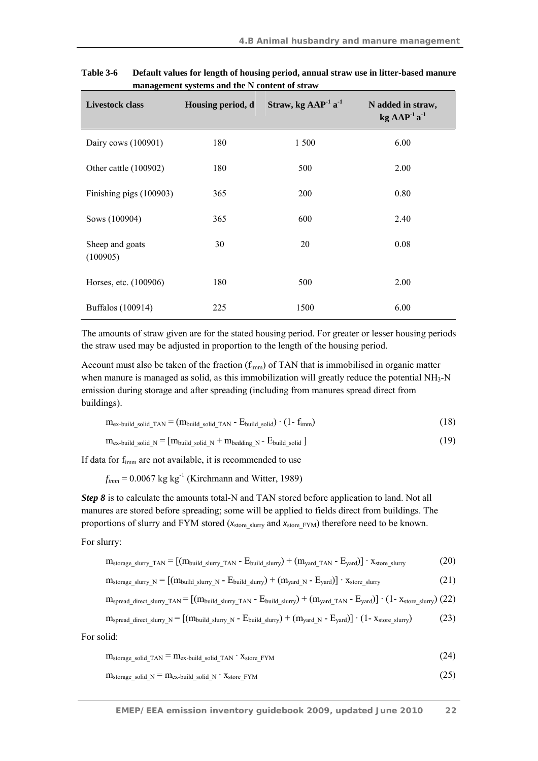| <b>Livestock class</b>      | Housing period, d | Straw, kg $AAP-1a-1$ | N added in straw,<br>$kg$ AAP <sup>-1</sup> a <sup>-1</sup> |
|-----------------------------|-------------------|----------------------|-------------------------------------------------------------|
| Dairy cows (100901)         | 180               | 1 500                | 6.00                                                        |
| Other cattle (100902)       | 180               | 500                  | 2.00                                                        |
| Finishing pigs (100903)     | 365               | <b>200</b>           | 0.80                                                        |
| Sows (100904)               | 365               | 600                  | 2.40                                                        |
| Sheep and goats<br>(100905) | 30                | 20                   | 0.08                                                        |
| Horses, etc. (100906)       | 180               | 500                  | 2.00                                                        |
| Buffalos (100914)           | 225               | 1500                 | 6.00                                                        |

**Table 3-6 Default values for length of housing period, annual straw use in litter-based manure management systems and the N content of straw** 

The amounts of straw given are for the stated housing period. For greater or lesser housing periods the straw used may be adjusted in proportion to the length of the housing period.

Account must also be taken of the fraction  $(f_{imm})$  of TAN that is immobilised in organic matter when manure is managed as solid, as this immobilization will greatly reduce the potential NH3-N emission during storage and after spreading (including from manures spread direct from buildings).

| $m_{ex}$ -build solid TAN = $(m_{build \ solid \ TAN} - E_{build \ solid}) \cdot (1 - f_{imm})$ |  |  |  |  |
|-------------------------------------------------------------------------------------------------|--|--|--|--|
|                                                                                                 |  |  |  |  |

 $m_{ex\text{-}build\ solid\ N} = [m_{build\ solid\ N} + m_{bedding\ N} - E_{build\ solid} ]$  (19)

If data for fimm are not available, it is recommended to use

 $f_{imm} = 0.0067 \text{ kg kg}^{-1}$  (Kirchmann and Witter, 1989)

*Step 8* is to calculate the amounts total-N and TAN stored before application to land. Not all manures are stored before spreading; some will be applied to fields direct from buildings. The proportions of slurry and FYM stored ( $x_{\text{store slurr}}$  and  $x_{\text{store FYM}}$ ) therefore need to be known.

For slurry:

$$
m_{\text{storage slurry TAN}} = [(m_{\text{build slurry TAN}} - E_{\text{build slury}}) + (m_{\text{yard TAN}} - E_{\text{yard}})] \cdot x_{\text{store slurry}} \tag{20}
$$

$$
m_{\text{storage\_slury\_N}} = [(m_{\text{build\_slury\_N}} - E_{\text{build\_slury}}) + (m_{\text{yard\_N}} - E_{\text{yard}})] \cdot x_{\text{store\_slury}} \tag{21}
$$

$$
m_{spread\_direct\_slurry\_TAN} = [(m_{build\_slurry\_TAN} - E_{build\_slury}) + (m_{yard\_TAN} - E_{yard})] \cdot (1 - x_{store\_slury}) (22)
$$

$$
m_{spread\_direct\_slurry\_N} = [(m_{build\_slurry\_N} - E_{build\_slury}) + (m_{yard\_N} - E_{yard})] \cdot (1 - x_{store\_slury}) \tag{23}
$$

For solid:

| $m_{\text{storage\_solid\_TAN}} = m_{\text{ex-build\_solid\_TAN}} \cdot X_{\text{store\_FYM}}$ | (24) |
|------------------------------------------------------------------------------------------------|------|
|                                                                                                |      |

$$
m_{\text{storage\_solid\_N}} = m_{\text{ex-build\_solid\_N}} \cdot x_{\text{store\_FYM}} \tag{25}
$$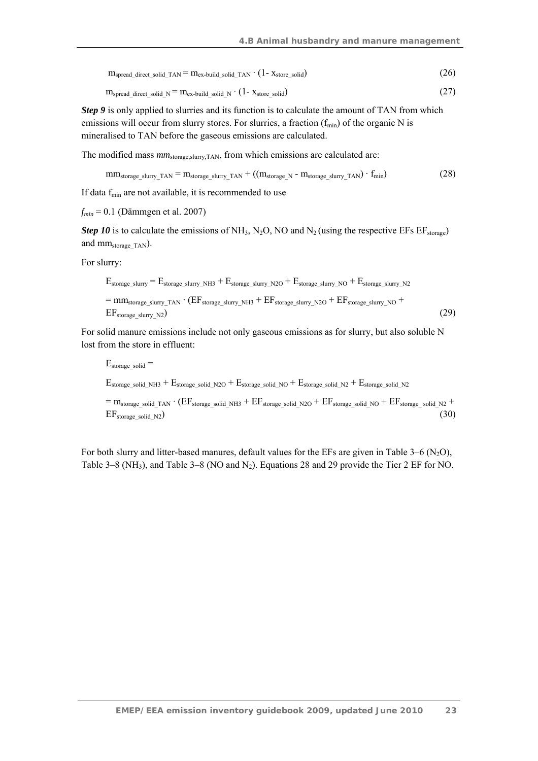$m_{spread\_direct\_solid\_TAN} = m_{ex-build\_solid\_TAN} \cdot (1 - x_{store\_solid})$  (26)

$$
m_{\text{spread direct solid N}} = m_{\text{ex-build solid N}} \cdot (1 - x_{\text{store solid}}) \tag{27}
$$

*Step 9* is only applied to slurries and its function is to calculate the amount of TAN from which emissions will occur from slurry stores. For slurries, a fraction  $(f_{min})$  of the organic N is mineralised to TAN before the gaseous emissions are calculated.

The modified mass  $mm_{\text{storage,slurv,TAN}}$ , from which emissions are calculated are:

 $mm_{storage\_slurry\_TAN} = m_{storage\_slurry\_TAN} + ((m_{storage\_N} - m_{storage\_slury\_TAN}) \cdot f_{min})$  (28)

If data  $f_{\text{min}}$  are not available, it is recommended to use

*fmin* = 0.1 (Dämmgen et al. 2007)

*Step 10* is to calculate the emissions of NH<sub>3</sub>, N<sub>2</sub>O, NO and N<sub>2</sub> (using the respective EFs  $EF_{\text{storage}}$ ) and mmstorage\_TAN).

For slurry:

$$
E_{\text{storage\_slurry}} = E_{\text{storage\_slurry\_NH3}} + E_{\text{storage\_slurry\_NO}} + E_{\text{storage\_slurry\_NO}} + E_{\text{storage\_slurry\_N2}} = \text{mm}_{\text{storage\_slurry\_TAN}} \cdot (EF_{\text{storage\_slurry\_NH3}} + EF_{\text{storage\_slury\_N2O}} + EF_{\text{storage\_slurry\_NO}} + EF_{\text{storage\_slurry\_NO}})
$$
(29)

For solid manure emissions include not only gaseous emissions as for slurry, but also soluble N lost from the store in effluent:

 $E_{\text{storage solid}} =$ Estorage\_solid\_NH3 + Estorage\_solid\_N2O + Estorage\_solid\_NO + Estorage\_solid\_N2 + Estorage\_solid\_N2  $=$  m<sub>storage</sub> solid\_TAN  $\cdot$  (EF<sub>storage</sub> solid\_NH3 + EF<sub>storage</sub> solid\_N2O + EF<sub>storage</sub> solid\_No + EF<sub>storage</sub> solid\_N2 +  $EF_{\text{storage solid N2}}$  (30)

For both slurry and litter-based manures, default values for the EFs are given in Table 3–6 (N<sub>2</sub>O), Table 3–8 (NH<sub>3</sub>), and Table 3–8 (NO and N<sub>2</sub>). Equations 28 and 29 provide the Tier 2 EF for NO.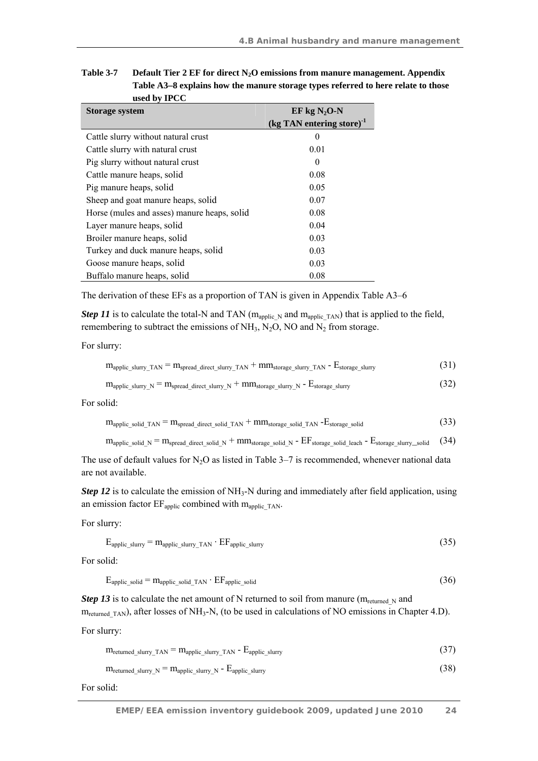| <b>Storage system</b>                       | $EF$ kg N <sub>2</sub> O-N                       |  |  |
|---------------------------------------------|--------------------------------------------------|--|--|
|                                             | $\left(\text{kg TAN entering store}\right)^{-1}$ |  |  |
| Cattle slurry without natural crust         | $\theta$                                         |  |  |
| Cattle slurry with natural crust            | 0.01                                             |  |  |
| Pig slurry without natural crust            | $\Omega$                                         |  |  |
| Cattle manure heaps, solid                  | 0.08                                             |  |  |
| Pig manure heaps, solid                     | 0.05                                             |  |  |
| Sheep and goat manure heaps, solid          | 0.07                                             |  |  |
| Horse (mules and asses) manure heaps, solid | 0.08                                             |  |  |
| Layer manure heaps, solid                   | 0.04                                             |  |  |
| Broiler manure heaps, solid                 | 0.03                                             |  |  |
| Turkey and duck manure heaps, solid         | 0.03                                             |  |  |
| Goose manure heaps, solid                   | 0.03                                             |  |  |
| Buffalo manure heaps, solid                 | 0.08                                             |  |  |

**Table 3-7 Default Tier 2 EF for direct N2O emissions from manure management. Appendix Table A3–8 explains how the manure storage types referred to here relate to those used by IPCC** 

The derivation of these EFs as a proportion of TAN is given in Appendix Table A3–6

*Step 11* is to calculate the total-N and TAN ( $m_{\text{applic N}}$  and  $m_{\text{applic TAN}}$ ) that is applied to the field, remembering to subtract the emissions of  $NH_3$ , N<sub>2</sub>O, NO and N<sub>2</sub> from storage.

For slurry:

| (31)<br>$\rm m_{applic\_slury\_TAN}$ = $\rm m_{spread\_direct\_slury\_TAN}$ + $\rm mm_{storage\_slury\_TAN}$ - $\rm E_{storage\_slury}$ |
|-----------------------------------------------------------------------------------------------------------------------------------------|
|-----------------------------------------------------------------------------------------------------------------------------------------|

$$
m_{\text{applic\_slurry\_N}} = m_{\text{spread\_direct\_slurry\_N}} + mm_{\text{storage\_slurry\_N}} - E_{\text{storage\_slurry}} \tag{32}
$$

For solid:

$$
m_{\text{applic\_solid\_TAN}} = m_{\text{spread\_direct\_solid\_TAN}} + mm_{\text{storage\_solid\_TAN}} - E_{\text{storage\_solid}} \tag{33}
$$

 $m_{\text{applic solid N}} = m_{\text{spread direct solid N}} + m m_{\text{storage solid N}} - EF_{\text{storage solid lead}} - E_{\text{storage slurv\_solid}}$  (34)

The use of default values for  $N_2O$  as listed in Table 3–7 is recommended, whenever national data are not available.

*Step 12* is to calculate the emission of NH<sub>3</sub>-N during and immediately after field application, using an emission factor  $EF_{\text{applic}}$  combined with  $m_{\text{applic\_TAN}}$ .

For slurry:

$$
E_{\text{applic\_slury}} = m_{\text{applic\_slury\_TAN}} \cdot EF_{\text{applic\_slury}} \tag{35}
$$

For solid:

$$
E_{\text{applic solid}} = m_{\text{applic solid}} \tau_{\text{AN}} \cdot EF_{\text{applic solid}} \tag{36}
$$

*Step 13* is to calculate the net amount of N returned to soil from manure ( $m_{\text{re turned N}}$  and m<sub>returned TAN</sub>), after losses of NH<sub>3</sub>-N, (to be used in calculations of NO emissions in Chapter 4.D).

For slurry:

| $m_{\text{returred\_slurry\_TAN}} = m_{\text{applic\_slury\_TAN}} - E_{\text{applic\_slurry}}$ |  |
|------------------------------------------------------------------------------------------------|--|
|------------------------------------------------------------------------------------------------|--|

$$
m_{\text{returned\_slurry\_N}} = m_{\text{applic\_slurry\_N}} - E_{\text{applic\_slurry}} \tag{38}
$$

For solid: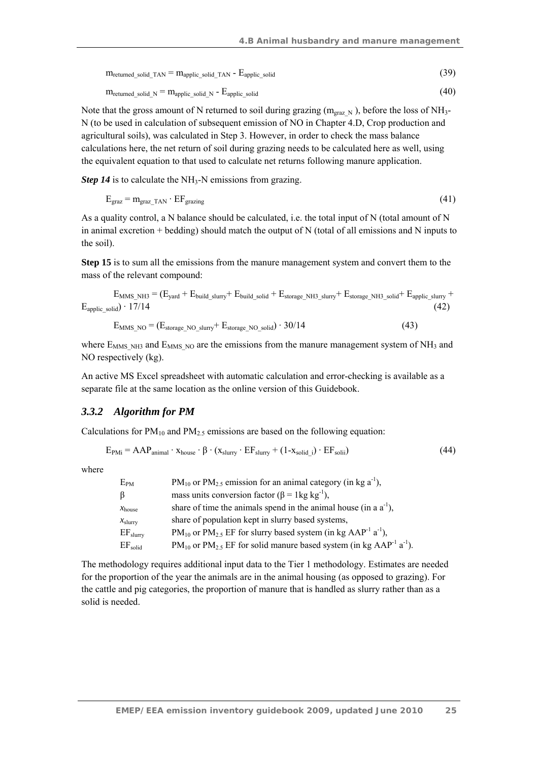| $m_{\text{returned solid}}$ and $\tau_{\text{AN}} = m_{\text{applic solid}}$ and $\tau_{\text{AN}}$ - $E_{\text{applic solid}}$ |  |
|---------------------------------------------------------------------------------------------------------------------------------|--|
|---------------------------------------------------------------------------------------------------------------------------------|--|

$$
m_{\text{returred solid N}} = m_{\text{applic solid N}} - E_{\text{applic solid}}
$$
 (40)

Note that the gross amount of N returned to soil during grazing ( $m_{\text{grav}}$ <sub>N</sub>), before the loss of NH<sub>3</sub>-N (to be used in calculation of subsequent emission of NO in Chapter 4.D, Crop production and agricultural soils), was calculated in Step 3. However, in order to check the mass balance calculations here, the net return of soil during grazing needs to be calculated here as well, using the equivalent equation to that used to calculate net returns following manure application.

*Step 14* is to calculate the NH<sub>3</sub>-N emissions from grazing.

$$
E_{\text{graz}} = m_{\text{graz\_TAN}} \cdot EF_{\text{grazing}} \tag{41}
$$

As a quality control, a N balance should be calculated, i.e. the total input of N (total amount of N in animal excretion + bedding) should match the output of N (total of all emissions and N inputs to the soil).

**Step 15** is to sum all the emissions from the manure management system and convert them to the mass of the relevant compound:

$$
E_{MMS\_NH3} = (E_{\text{yard}} + E_{\text{build\_slury}} + E_{\text{build\_solid}} + E_{\text{storage\_NH3\_slury}} + E_{\text{storage\_NH3\_solid}} + E_{\text{applic\_slury}} + E_{\text{applic\_slury}} \tag{42}
$$

$$
E_{MMS NO} = (E_{\text{storage NO slurry}} + E_{\text{storage NO solid}}) \cdot 30/14
$$
 (43)

where  $E_{MMS,NH3}$  and  $E_{MMSNO}$  are the emissions from the manure management system of NH<sub>3</sub> and NO respectively (kg).

An active MS Excel spreadsheet with automatic calculation and error-checking is available as a separate file at the same location as the online version of this Guidebook.

#### *3.3.2 Algorithm for PM*

Calculations for  $PM_{10}$  and  $PM_{2.5}$  emissions are based on the following equation:

$$
E_{PMi} = AAP_{animal} \cdot x_{house} \cdot \beta \cdot (x_{slurry} \cdot EF_{slury} + (1 - x_{solid i}) \cdot EF_{solii}) \tag{44}
$$

where

| $E_{PM}$           | $PM_{10}$ or $PM_{2.5}$ emission for an animal category (in kg a <sup>-1</sup> ),                    |
|--------------------|------------------------------------------------------------------------------------------------------|
| $\beta$            | mass units conversion factor ( $\beta$ = 1kg kg <sup>-1</sup> ),                                     |
| $x_{\text{house}}$ | share of time the animals spend in the animal house (in a $a^{-1}$ ),                                |
| $x_{\text{slurr}}$ | share of population kept in slurry based systems,                                                    |
| $EF_{slurry}$      | $PM_{10}$ or $PM_{2.5}$ EF for slurry based system (in kg AAP <sup>-1</sup> a <sup>-1</sup> ),       |
| $EF_{solid}$       | $PM_{10}$ or $PM_{2.5}$ EF for solid manure based system (in kg AAP <sup>-1</sup> a <sup>-1</sup> ). |

The methodology requires additional input data to the Tier 1 methodology. Estimates are needed for the proportion of the year the animals are in the animal housing (as opposed to grazing). For the cattle and pig categories, the proportion of manure that is handled as slurry rather than as a solid is needed.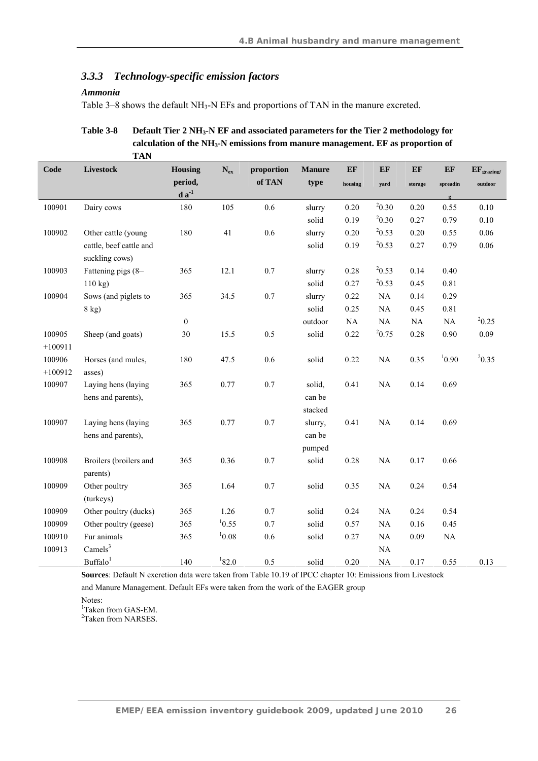### *3.3.3 Technology-specific emission factors*

#### *Ammonia*

Table 3–8 shows the default NH<sub>3</sub>-N EFs and proportions of TAN in the manure excreted.

Table 3-8 Default Tier 2 NH<sub>3</sub>-N EF and associated parameters for the Tier 2 methodology for **calculation of the NH3-N emissions from manure management. EF as proportion of TAN** 

| Code      | Livestock                                 | Housing               | $\mathbf{N}_{\mathrm{ex}}$ | proportion | <b>Manure</b>   | EF      | EF         | EF      | EF        | $EF_{\text{grazing}}$ |
|-----------|-------------------------------------------|-----------------------|----------------------------|------------|-----------------|---------|------------|---------|-----------|-----------------------|
|           |                                           | period,<br>$d a^{-1}$ |                            | of TAN     | type            | housing | yard       | storage | spreadin  | outdoor               |
| 100901    |                                           | 180                   | 105                        | 0.6        |                 | 0.20    | $^{2}0.30$ | 0.20    | 0.55      | 0.10                  |
|           | Dairy cows                                |                       |                            |            | slurry<br>solid |         | 20.30      |         |           | 0.10                  |
|           |                                           |                       |                            | 0.6        |                 | 0.19    | 20.53      | 0.27    | 0.79      |                       |
| 100902    | Other cattle (young                       | 180                   | 41                         |            | slurry          | 0.20    | 20.53      | 0.20    | 0.55      | 0.06                  |
|           | cattle, beef cattle and<br>suckling cows) |                       |                            |            | solid           | 0.19    |            | 0.27    | 0.79      | 0.06                  |
| 100903    | Fattening pigs (8-                        | 365                   | 12.1                       | $0.7\,$    | slurry          | 0.28    | 20.53      | 0.14    | 0.40      |                       |
|           | $110$ kg)                                 |                       |                            |            | solid           | 0.27    | 20.53      | 0.45    | 0.81      |                       |
| 100904    | Sows (and piglets to                      | 365                   | 34.5                       | $0.7\,$    | slurry          | 0.22    | $\rm NA$   | 0.14    | 0.29      |                       |
|           | 8 kg)                                     |                       |                            |            | solid           | 0.25    | NA         | 0.45    | 0.81      |                       |
|           |                                           | $\boldsymbol{0}$      |                            |            | outdoor         | NA      | NA         | NA      | <b>NA</b> | 20.25                 |
| 100905    | Sheep (and goats)                         | $30\,$                | 15.5                       | $0.5\,$    | solid           | 0.22    | 20.75      | 0.28    | 0.90      | 0.09                  |
| $+100911$ |                                           |                       |                            |            |                 |         |            |         |           |                       |
| 100906    | Horses (and mules,                        | 180                   | 47.5                       | 0.6        | solid           | 0.22    | $\rm NA$   | 0.35    | 10.90     | 20.35                 |
| $+100912$ | asses)                                    |                       |                            |            |                 |         |            |         |           |                       |
| 100907    | Laying hens (laying                       | 365                   | 0.77                       | 0.7        | solid,          | 0.41    | NA         | 0.14    | 0.69      |                       |
|           | hens and parents),                        |                       |                            |            | can be          |         |            |         |           |                       |
|           |                                           |                       |                            |            | stacked         |         |            |         |           |                       |
| 100907    | Laying hens (laying                       | 365                   | 0.77                       | 0.7        | slurry,         | 0.41    | NA         | 0.14    | 0.69      |                       |
|           | hens and parents),                        |                       |                            |            | can be          |         |            |         |           |                       |
|           |                                           |                       |                            |            | pumped          |         |            |         |           |                       |
| 100908    | Broilers (broilers and                    | 365                   | 0.36                       | $0.7\,$    | solid           | 0.28    | NA         | 0.17    | 0.66      |                       |
|           | parents)                                  |                       |                            |            |                 |         |            |         |           |                       |
| 100909    | Other poultry                             | 365                   | 1.64                       | $0.7\,$    | solid           | 0.35    | $\rm NA$   | 0.24    | 0.54      |                       |
|           | (turkeys)                                 |                       |                            |            |                 |         |            |         |           |                       |
| 100909    | Other poultry (ducks)                     | 365                   | 1.26                       | 0.7        | solid           | 0.24    | NA         | 0.24    | 0.54      |                       |
| 100909    | Other poultry (geese)                     | 365                   | 10.55                      | 0.7        | solid           | 0.57    | NA         | 0.16    | 0.45      |                       |
| 100910    | Fur animals                               | 365                   | 10.08                      | 0.6        | solid           | 0.27    | NA         | 0.09    | NA        |                       |
| 100913    | Camels <sup>3</sup>                       |                       |                            |            |                 |         | $\rm NA$   |         |           |                       |
|           | Buffalo <sup>1</sup>                      | 140                   | 182.0                      | 0.5        | solid           | 0.20    | <b>NA</b>  | 0.17    | 0.55      | 0.13                  |

**Sources**: Default N excretion data were taken from Table 10.19 of IPCC chapter 10: Emissions from Livestock

and Manure Management. Default EFs were taken from the work of the EAGER group

Notes:

1 Taken from GAS-EM.

2 Taken from NARSES.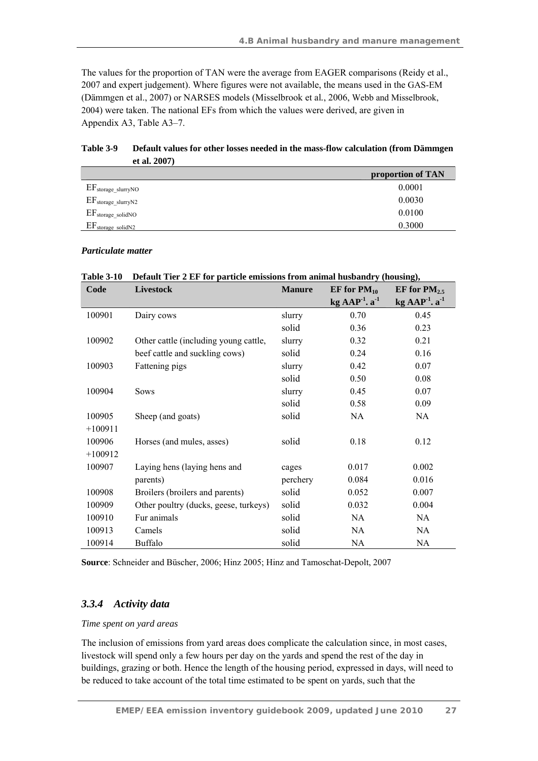The values for the proportion of TAN were the average from EAGER comparisons (Reidy et al., 2007 and expert judgement). Where figures were not available, the means used in the GAS-EM (Dämmgen et al., 2007) or NARSES models (Misselbrook et al*.*, 2006, Webb and Misselbrook, 2004) were taken. The national EFs from which the values were derived, are given in Appendix A3, Table A3–7.

| et al. $2007$                   |                   |
|---------------------------------|-------------------|
|                                 | proportion of TAN |
| $EF_{\text{storage\_slurryNO}}$ | 0.0001            |
| $EF_{\text{storage\_slurryN2}}$ | 0.0030            |
| $EF_{\text{storage\_solidNO}}$  | 0.0100            |
| $EF_{\text{storage solidN2}}$   | 0.3000            |

**Table 3-9 Default values for other losses needed in the mass-flow calculation (from Dämmgen et al. 2007)** 

#### *Particulate matter*

**Table 3-10 Default Tier 2 EF for particle emissions from animal husbandry (housing),** 

| Code      | Livestock                             | <b>Manure</b> | EF for $PM_{10}$   | EF for $PM_{2.5}$              |
|-----------|---------------------------------------|---------------|--------------------|--------------------------------|
|           |                                       |               | kg $AAP-1$ . $a-1$ | $kg$ AAP <sup>-1</sup> . $a-1$ |
| 100901    | Dairy cows                            | slurry        | 0.70               | 0.45                           |
|           |                                       | solid         | 0.36               | 0.23                           |
| 100902    | Other cattle (including young cattle, | slurry        | 0.32               | 0.21                           |
|           | beef cattle and suckling cows)        | solid         | 0.24               | 0.16                           |
| 100903    | Fattening pigs                        | slurry        | 0.42               | 0.07                           |
|           |                                       | solid         | 0.50               | 0.08                           |
| 100904    | <b>Sows</b>                           | slurry        | 0.45               | 0.07                           |
|           |                                       | solid         | 0.58               | 0.09                           |
| 100905    | Sheep (and goats)                     | solid         | NA                 | NA                             |
| $+100911$ |                                       |               |                    |                                |
| 100906    | Horses (and mules, asses)             | solid         | 0.18               | 0.12                           |
| $+100912$ |                                       |               |                    |                                |
| 100907    | Laying hens (laying hens and          | cages         | 0.017              | 0.002                          |
|           | parents)                              | perchery      | 0.084              | 0.016                          |
| 100908    | Broilers (broilers and parents)       | solid         | 0.052              | 0.007                          |
| 100909    | Other poultry (ducks, geese, turkeys) | solid         | 0.032              | 0.004                          |
| 100910    | Fur animals                           | solid         | NA                 | NA                             |
| 100913    | Camels                                | solid         | NA                 | NA                             |
| 100914    | <b>Buffalo</b>                        | solid         | NA                 | NA                             |

**Source**: Schneider and Büscher, 2006; Hinz 2005; Hinz and Tamoschat-Depolt, 2007

### *3.3.4 Activity data*

#### *Time spent on yard areas*

The inclusion of emissions from yard areas does complicate the calculation since, in most cases, livestock will spend only a few hours per day on the yards and spend the rest of the day in buildings, grazing or both. Hence the length of the housing period, expressed in days, will need to be reduced to take account of the total time estimated to be spent on yards, such that the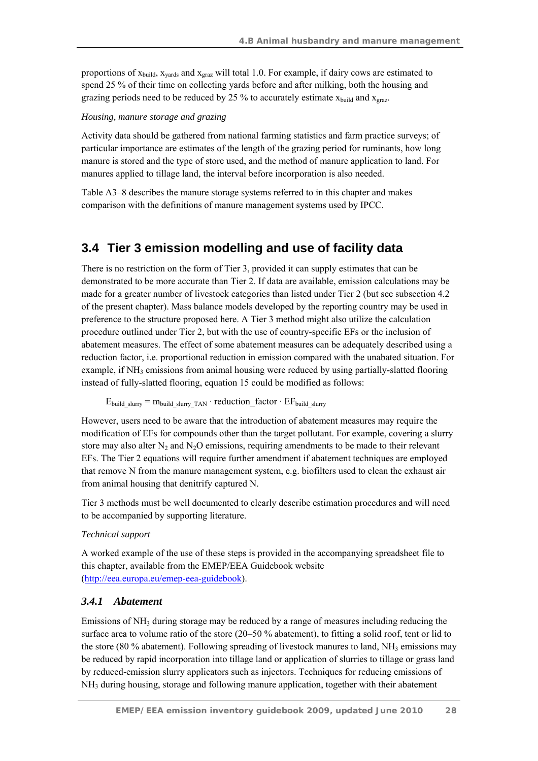proportions of  $x_{\text{build, }x_{\text{wards}}}$  and  $x_{\text{grad}}$  will total 1.0. For example, if dairy cows are estimated to spend 25 % of their time on collecting yards before and after milking, both the housing and grazing periods need to be reduced by 25 % to accurately estimate  $x_{build}$  and  $x_{grav}$ .

#### *Housing, manure storage and grazing*

Activity data should be gathered from national farming statistics and farm practice surveys; of particular importance are estimates of the length of the grazing period for ruminants, how long manure is stored and the type of store used, and the method of manure application to land. For manures applied to tillage land, the interval before incorporation is also needed.

Table A3–8 describes the manure storage systems referred to in this chapter and makes comparison with the definitions of manure management systems used by IPCC.

## **3.4 Tier 3 emission modelling and use of facility data**

There is no restriction on the form of Tier 3, provided it can supply estimates that can be demonstrated to be more accurate than Tier 2. If data are available, emission calculations may be made for a greater number of livestock categories than listed under Tier 2 (but see subsection 4.2 of the present chapter). Mass balance models developed by the reporting country may be used in preference to the structure proposed here. A Tier 3 method might also utilize the calculation procedure outlined under Tier 2, but with the use of country-specific EFs or the inclusion of abatement measures. The effect of some abatement measures can be adequately described using a reduction factor, i.e. proportional reduction in emission compared with the unabated situation. For example, if  $NH_3$  emissions from animal housing were reduced by using partially-slatted flooring instead of fully-slatted flooring, equation 15 could be modified as follows:

 $E_{build\_slurv} = m_{build\_slurv}$   $TAN$  · reduction\_factor  $\cdot$  EF<sub>build</sub> slurry

However, users need to be aware that the introduction of abatement measures may require the modification of EFs for compounds other than the target pollutant. For example, covering a slurry store may also alter  $N_2$  and  $N_2O$  emissions, requiring amendments to be made to their relevant EFs. The Tier 2 equations will require further amendment if abatement techniques are employed that remove N from the manure management system, e.g. biofilters used to clean the exhaust air from animal housing that denitrify captured N.

Tier 3 methods must be well documented to clearly describe estimation procedures and will need to be accompanied by supporting literature.

#### *Technical support*

A worked example of the use of these steps is provided in the accompanying spreadsheet file to this chapter, available from the EMEP/EEA Guidebook website (http://eea.europa.eu/emep-eea-guidebook).

#### *3.4.1 Abatement*

Emissions of  $NH_3$  during storage may be reduced by a range of measures including reducing the surface area to volume ratio of the store (20–50 % abatement), to fitting a solid roof, tent or lid to the store (80 % abatement). Following spreading of livestock manures to land,  $NH_3$  emissions may be reduced by rapid incorporation into tillage land or application of slurries to tillage or grass land by reduced-emission slurry applicators such as injectors. Techniques for reducing emissions of NH3 during housing, storage and following manure application, together with their abatement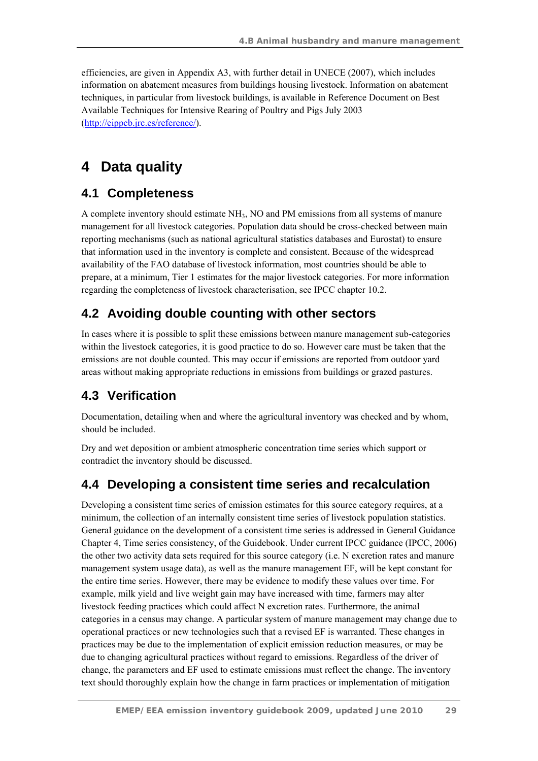efficiencies, are given in Appendix A3, with further detail in UNECE (2007), which includes information on abatement measures from buildings housing livestock. Information on abatement techniques, in particular from livestock buildings, is available in Reference Document on Best Available Techniques for Intensive Rearing of Poultry and Pigs July 2003 (http://eippcb.jrc.es/reference/).

# **4 Data quality**

## **4.1 Completeness**

A complete inventory should estimate NH3, NO and PM emissions from all systems of manure management for all livestock categories. Population data should be cross-checked between main reporting mechanisms (such as national agricultural statistics databases and Eurostat) to ensure that information used in the inventory is complete and consistent. Because of the widespread availability of the FAO database of livestock information, most countries should be able to prepare, at a minimum, Tier 1 estimates for the major livestock categories. For more information regarding the completeness of livestock characterisation, see IPCC chapter 10.2.

## **4.2 Avoiding double counting with other sectors**

In cases where it is possible to split these emissions between manure management sub-categories within the livestock categories, it is good practice to do so. However care must be taken that the emissions are not double counted. This may occur if emissions are reported from outdoor yard areas without making appropriate reductions in emissions from buildings or grazed pastures.

## **4.3 Verification**

Documentation, detailing when and where the agricultural inventory was checked and by whom, should be included.

Dry and wet deposition or ambient atmospheric concentration time series which support or contradict the inventory should be discussed.

## **4.4 Developing a consistent time series and recalculation**

Developing a consistent time series of emission estimates for this source category requires, at a minimum, the collection of an internally consistent time series of livestock population statistics. General guidance on the development of a consistent time series is addressed in General Guidance Chapter 4, Time series consistency, of the Guidebook. Under current IPCC guidance (IPCC, 2006) the other two activity data sets required for this source category (i.e. N excretion rates and manure management system usage data), as well as the manure management EF, will be kept constant for the entire time series. However, there may be evidence to modify these values over time. For example, milk yield and live weight gain may have increased with time, farmers may alter livestock feeding practices which could affect N excretion rates. Furthermore, the animal categories in a census may change. A particular system of manure management may change due to operational practices or new technologies such that a revised EF is warranted. These changes in practices may be due to the implementation of explicit emission reduction measures, or may be due to changing agricultural practices without regard to emissions. Regardless of the driver of change, the parameters and EF used to estimate emissions must reflect the change. The inventory text should thoroughly explain how the change in farm practices or implementation of mitigation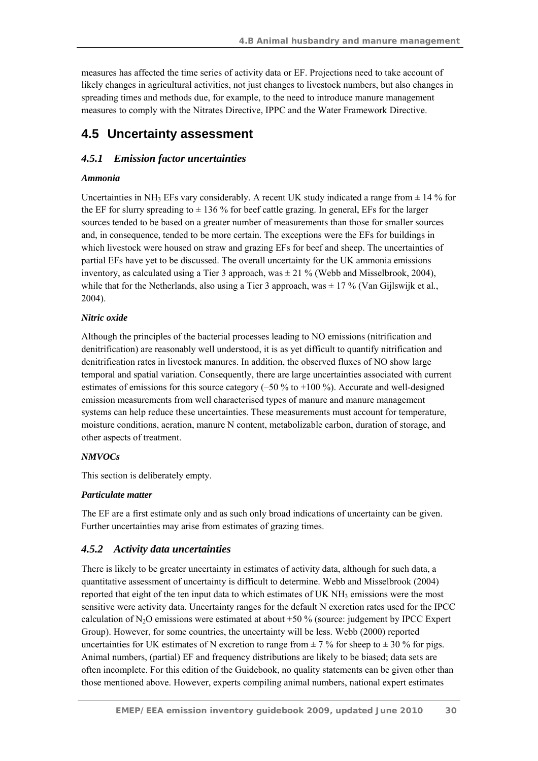measures has affected the time series of activity data or EF. Projections need to take account of likely changes in agricultural activities, not just changes to livestock numbers, but also changes in spreading times and methods due, for example, to the need to introduce manure management measures to comply with the Nitrates Directive, IPPC and the Water Framework Directive.

## **4.5 Uncertainty assessment**

## *4.5.1 Emission factor uncertainties*

### *Ammonia*

Uncertainties in NH<sub>3</sub> EFs vary considerably. A recent UK study indicated a range from  $\pm$  14 % for the EF for slurry spreading to  $\pm$  136 % for beef cattle grazing. In general, EFs for the larger sources tended to be based on a greater number of measurements than those for smaller sources and, in consequence, tended to be more certain. The exceptions were the EFs for buildings in which livestock were housed on straw and grazing EFs for beef and sheep. The uncertainties of partial EFs have yet to be discussed. The overall uncertainty for the UK ammonia emissions inventory, as calculated using a Tier 3 approach, was  $\pm$  21 % (Webb and Misselbrook, 2004), while that for the Netherlands, also using a Tier 3 approach, was ± 17 % (Van Gijlswijk et al*.*, 2004).

### *Nitric oxide*

Although the principles of the bacterial processes leading to NO emissions (nitrification and denitrification) are reasonably well understood, it is as yet difficult to quantify nitrification and denitrification rates in livestock manures. In addition, the observed fluxes of NO show large temporal and spatial variation. Consequently, there are large uncertainties associated with current estimates of emissions for this source category  $(-50\%$  to  $+100\%$ ). Accurate and well-designed emission measurements from well characterised types of manure and manure management systems can help reduce these uncertainties. These measurements must account for temperature, moisture conditions, aeration, manure N content, metabolizable carbon, duration of storage, and other aspects of treatment.

## *NMVOCs*

This section is deliberately empty.

## *Particulate matter*

The EF are a first estimate only and as such only broad indications of uncertainty can be given. Further uncertainties may arise from estimates of grazing times.

## *4.5.2 Activity data uncertainties*

There is likely to be greater uncertainty in estimates of activity data, although for such data, a quantitative assessment of uncertainty is difficult to determine. Webb and Misselbrook (2004) reported that eight of the ten input data to which estimates of UK  $NH_3$  emissions were the most sensitive were activity data. Uncertainty ranges for the default N excretion rates used for the IPCC calculation of  $N_2O$  emissions were estimated at about  $+50\%$  (source: judgement by IPCC Expert Group). However, for some countries, the uncertainty will be less. Webb (2000) reported uncertainties for UK estimates of N excretion to range from  $\pm$  7 % for sheep to  $\pm$  30 % for pigs. Animal numbers, (partial) EF and frequency distributions are likely to be biased; data sets are often incomplete. For this edition of the Guidebook, no quality statements can be given other than those mentioned above. However, experts compiling animal numbers, national expert estimates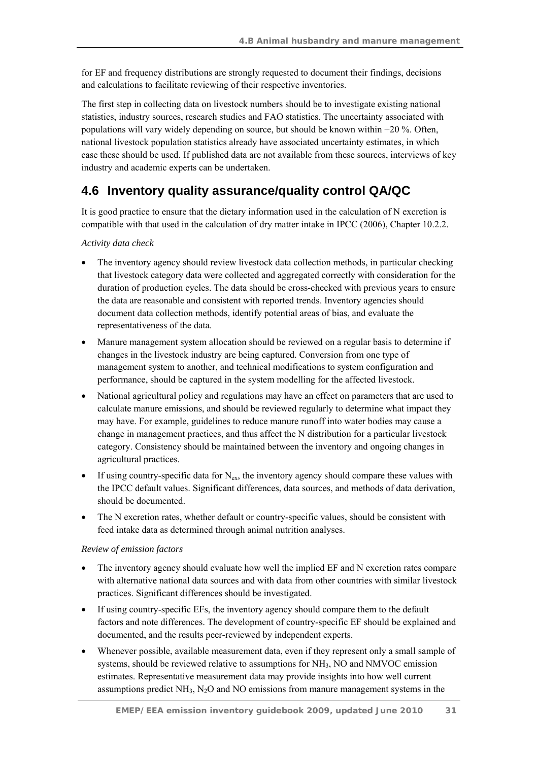for EF and frequency distributions are strongly requested to document their findings, decisions and calculations to facilitate reviewing of their respective inventories.

The first step in collecting data on livestock numbers should be to investigate existing national statistics, industry sources, research studies and FAO statistics. The uncertainty associated with populations will vary widely depending on source, but should be known within +20 %. Often, national livestock population statistics already have associated uncertainty estimates, in which case these should be used. If published data are not available from these sources, interviews of key industry and academic experts can be undertaken.

## **4.6 Inventory quality assurance/quality control QA/QC**

It is good practice to ensure that the dietary information used in the calculation of N excretion is compatible with that used in the calculation of dry matter intake in IPCC (2006), Chapter 10.2.2.

#### *Activity data check*

- The inventory agency should review livestock data collection methods, in particular checking that livestock category data were collected and aggregated correctly with consideration for the duration of production cycles. The data should be cross-checked with previous years to ensure the data are reasonable and consistent with reported trends. Inventory agencies should document data collection methods, identify potential areas of bias, and evaluate the representativeness of the data.
- Manure management system allocation should be reviewed on a regular basis to determine if changes in the livestock industry are being captured. Conversion from one type of management system to another, and technical modifications to system configuration and performance, should be captured in the system modelling for the affected livestock.
- National agricultural policy and regulations may have an effect on parameters that are used to calculate manure emissions, and should be reviewed regularly to determine what impact they may have. For example, guidelines to reduce manure runoff into water bodies may cause a change in management practices, and thus affect the N distribution for a particular livestock category. Consistency should be maintained between the inventory and ongoing changes in agricultural practices.
- If using country-specific data for  $N_{ex}$ , the inventory agency should compare these values with the IPCC default values. Significant differences, data sources, and methods of data derivation, should be documented.
- The N excretion rates, whether default or country-specific values, should be consistent with feed intake data as determined through animal nutrition analyses.

#### *Review of emission factors*

- The inventory agency should evaluate how well the implied EF and N excretion rates compare with alternative national data sources and with data from other countries with similar livestock practices. Significant differences should be investigated.
- If using country-specific EFs, the inventory agency should compare them to the default factors and note differences. The development of country-specific EF should be explained and documented, and the results peer-reviewed by independent experts.
- Whenever possible, available measurement data, even if they represent only a small sample of systems, should be reviewed relative to assumptions for NH3, NO and NMVOC emission estimates. Representative measurement data may provide insights into how well current assumptions predict  $NH<sub>3</sub>$ , N<sub>2</sub>O and NO emissions from manure management systems in the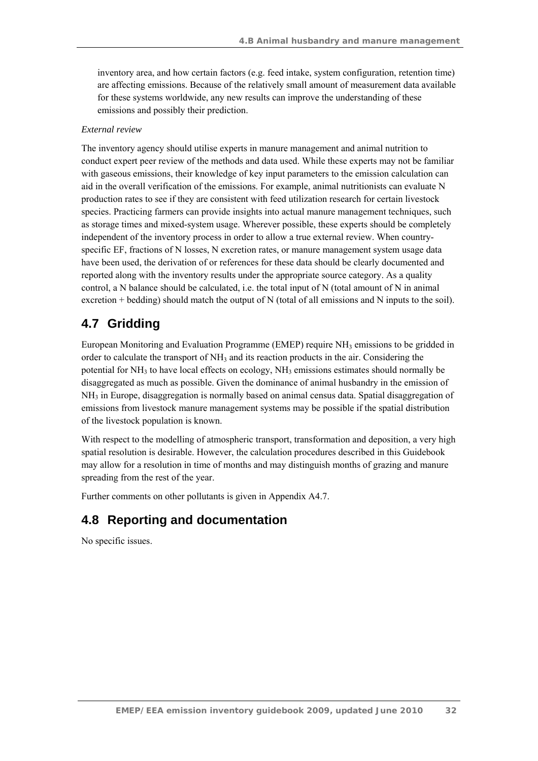inventory area, and how certain factors (e.g. feed intake, system configuration, retention time) are affecting emissions. Because of the relatively small amount of measurement data available for these systems worldwide, any new results can improve the understanding of these emissions and possibly their prediction.

#### *External review*

The inventory agency should utilise experts in manure management and animal nutrition to conduct expert peer review of the methods and data used. While these experts may not be familiar with gaseous emissions, their knowledge of key input parameters to the emission calculation can aid in the overall verification of the emissions. For example, animal nutritionists can evaluate N production rates to see if they are consistent with feed utilization research for certain livestock species. Practicing farmers can provide insights into actual manure management techniques, such as storage times and mixed-system usage. Wherever possible, these experts should be completely independent of the inventory process in order to allow a true external review. When countryspecific EF, fractions of N losses, N excretion rates, or manure management system usage data have been used, the derivation of or references for these data should be clearly documented and reported along with the inventory results under the appropriate source category. As a quality control, a N balance should be calculated, i.e. the total input of N (total amount of N in animal excretion + bedding) should match the output of N (total of all emissions and N inputs to the soil).

## **4.7 Gridding**

European Monitoring and Evaluation Programme (EMEP) require NH3 emissions to be gridded in order to calculate the transport of  $NH_3$  and its reaction products in the air. Considering the potential for  $NH_3$  to have local effects on ecology,  $NH_3$  emissions estimates should normally be disaggregated as much as possible. Given the dominance of animal husbandry in the emission of  $NH<sub>3</sub>$  in Europe, disaggregation is normally based on animal census data. Spatial disaggregation of emissions from livestock manure management systems may be possible if the spatial distribution of the livestock population is known.

With respect to the modelling of atmospheric transport, transformation and deposition, a very high spatial resolution is desirable. However, the calculation procedures described in this Guidebook may allow for a resolution in time of months and may distinguish months of grazing and manure spreading from the rest of the year.

Further comments on other pollutants is given in Appendix A4.7.

## **4.8 Reporting and documentation**

No specific issues.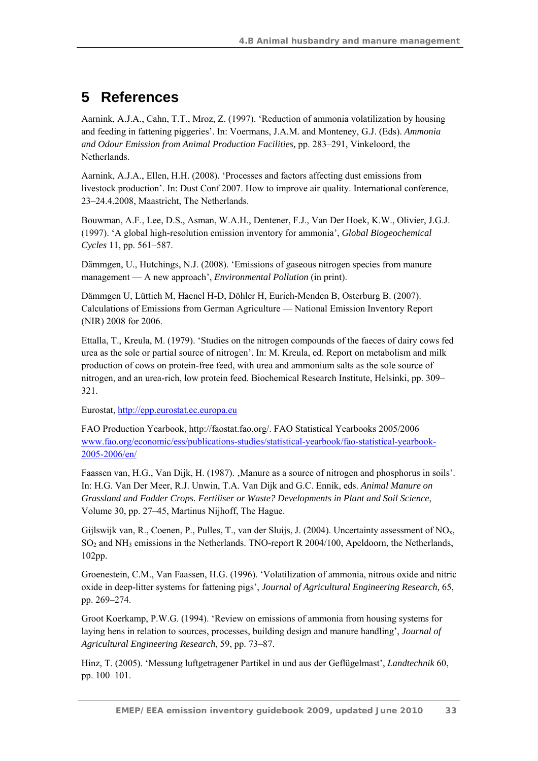# **5 References**

Aarnink, A.J.A., Cahn, T.T., Mroz, Z. (1997). 'Reduction of ammonia volatilization by housing and feeding in fattening piggeries'. In: Voermans, J.A.M. and Monteney, G.J. (Eds). *Ammonia and Odour Emission from Animal Production Facilities,* pp. 283–291, Vinkeloord, the Netherlands.

Aarnink, A.J.A., Ellen, H.H. (2008). 'Processes and factors affecting dust emissions from livestock production'. In: Dust Conf 2007. How to improve air quality. International conference, 23–24.4.2008, Maastricht, The Netherlands.

Bouwman, A.F., Lee, D.S., Asman, W.A.H., Dentener, F.J., Van Der Hoek, K.W., Olivier, J.G.J. (1997). 'A global high-resolution emission inventory for ammonia', *Global Biogeochemical Cycles* 11, pp. 561–587.

Dämmgen, U., Hutchings, N.J. (2008). 'Emissions of gaseous nitrogen species from manure management — A new approach', *Environmental Pollution* (in print).

Dämmgen U, Lüttich M, Haenel H-D, Döhler H, Eurich-Menden B, Osterburg B. (2007). Calculations of Emissions from German Agriculture — National Emission Inventory Report (NIR) 2008 for 2006.

Ettalla, T., Kreula, M. (1979). 'Studies on the nitrogen compounds of the faeces of dairy cows fed urea as the sole or partial source of nitrogen'. In: M. Kreula, ed. Report on metabolism and milk production of cows on protein-free feed, with urea and ammonium salts as the sole source of nitrogen, and an urea-rich, low protein feed. Biochemical Research Institute, Helsinki, pp. 309– 321.

Eurostat, http://epp.eurostat.ec.europa.eu

FAO Production Yearbook, http://faostat.fao.org/. FAO Statistical Yearbooks 2005/2006 www.fao.org/economic/ess/publications-studies/statistical-yearbook/fao-statistical-yearbook-2005-2006/en/

Faassen van, H.G., Van Dijk, H. (1987). , Manure as a source of nitrogen and phosphorus in soils'. In: H.G. Van Der Meer, R.J. Unwin, T.A. Van Dijk and G.C. Ennik, eds. *Animal Manure on Grassland and Fodder Crops. Fertiliser or Waste? Developments in Plant and Soil Science*, Volume 30, pp. 27–45, Martinus Nijhoff, The Hague.

Gijlswijk van, R., Coenen, P., Pulles, T., van der Sluijs, J. (2004). Uncertainty assessment of  $NO<sub>x</sub>$ , SO2 and NH3 emissions in the Netherlands. TNO-report R 2004/100, Apeldoorn, the Netherlands, 102pp.

Groenestein, C.M., Van Faassen, H.G. (1996). 'Volatilization of ammonia, nitrous oxide and nitric oxide in deep-litter systems for fattening pigs', *Journal of Agricultural Engineering Research,* 65, pp. 269–274.

Groot Koerkamp, P.W.G. (1994). 'Review on emissions of ammonia from housing systems for laying hens in relation to sources, processes, building design and manure handling', *Journal of Agricultural Engineering Research*, 59, pp. 73–87.

Hinz, T. (2005). 'Messung luftgetragener Partikel in und aus der Geflügelmast', *Landtechnik* 60, pp. 100–101.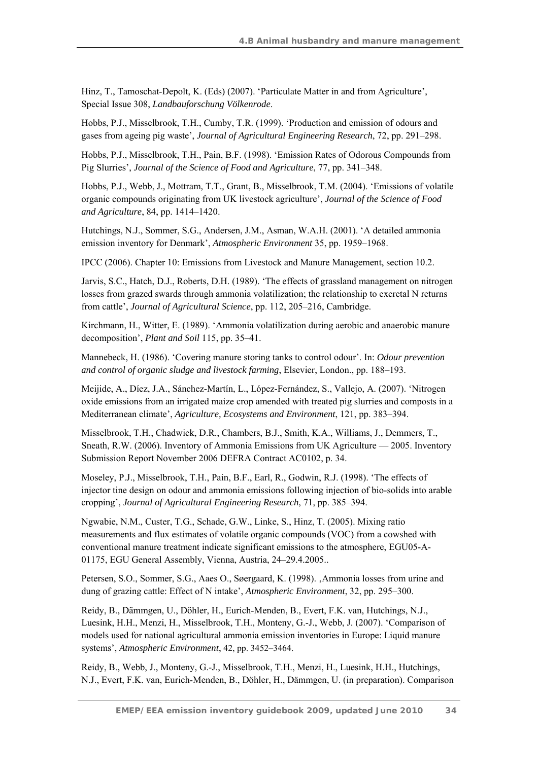Hinz, T., Tamoschat-Depolt, K. (Eds) (2007). 'Particulate Matter in and from Agriculture', Special Issue 308, *Landbauforschung Völkenrode*.

Hobbs, P.J., Misselbrook, T.H., Cumby, T.R. (1999). 'Production and emission of odours and gases from ageing pig waste', *Journal of Agricultural Engineering Research*, 72, pp. 291–298.

Hobbs, P.J., Misselbrook, T.H., Pain, B.F. (1998). 'Emission Rates of Odorous Compounds from Pig Slurries', *Journal of the Science of Food and Agriculture*, 77, pp. 341–348.

Hobbs, P.J., Webb, J., Mottram, T.T., Grant, B., Misselbrook, T.M. (2004). 'Emissions of volatile organic compounds originating from UK livestock agriculture', *Journal of the Science of Food and Agriculture*, 84, pp. 1414–1420.

Hutchings, N.J., Sommer, S.G., Andersen, J.M., Asman, W.A.H. (2001). 'A detailed ammonia emission inventory for Denmark', *Atmospheric Environment* 35, pp. 1959–1968.

IPCC (2006). Chapter 10: Emissions from Livestock and Manure Management, section 10.2.

Jarvis, S.C., Hatch, D.J., Roberts, D.H. (1989). 'The effects of grassland management on nitrogen losses from grazed swards through ammonia volatilization; the relationship to excretal N returns from cattle', *Journal of Agricultural Science*, pp. 112, 205–216, Cambridge.

Kirchmann, H., Witter, E. (1989). 'Ammonia volatilization during aerobic and anaerobic manure decomposition', *Plant and Soil* 115, pp. 35–41.

Mannebeck, H. (1986). 'Covering manure storing tanks to control odour'. In: *Odour prevention and control of organic sludge and livestock farming*, Elsevier, London., pp. 188–193.

Meijide, A., Díez, J.A., Sánchez-Martín, L., López-Fernández, S., Vallejo, A. (2007). 'Nitrogen oxide emissions from an irrigated maize crop amended with treated pig slurries and composts in a Mediterranean climate', *Agriculture, Ecosystems and Environment*, 121, pp. 383–394.

Misselbrook, T.H., Chadwick, D.R., Chambers, B.J., Smith, K.A., Williams, J., Demmers, T., Sneath, R.W. (2006). Inventory of Ammonia Emissions from UK Agriculture — 2005. Inventory Submission Report November 2006 DEFRA Contract AC0102, p. 34.

Moseley, P.J., Misselbrook, T.H., Pain, B.F., Earl, R., Godwin, R.J. (1998). 'The effects of injector tine design on odour and ammonia emissions following injection of bio-solids into arable cropping', *Journal of Agricultural Engineering Research*, 71, pp. 385–394.

Ngwabie, N.M., Custer, T.G., Schade, G.W., Linke, S., Hinz, T. (2005). Mixing ratio measurements and flux estimates of volatile organic compounds (VOC) from a cowshed with conventional manure treatment indicate significant emissions to the atmosphere, EGU05-A-01175, EGU General Assembly, Vienna, Austria, 24–29.4.2005..

Petersen, S.O., Sommer, S.G., Aaes O., Søergaard, K. (1998). Ammonia losses from urine and dung of grazing cattle: Effect of N intake', *Atmospheric Environment*, 32, pp. 295–300.

Reidy, B., Dämmgen, U., Döhler, H., Eurich-Menden, B., Evert, F.K. van, Hutchings, N.J., Luesink, H.H., Menzi, H., Misselbrook, T.H., Monteny, G.-J., Webb, J. (2007). 'Comparison of models used for national agricultural ammonia emission inventories in Europe: Liquid manure systems', *Atmospheric Environment*, 42, pp. 3452–3464.

Reidy, B., Webb, J., Monteny, G.-J., Misselbrook, T.H., Menzi, H., Luesink, H.H., Hutchings, N.J., Evert, F.K. van, Eurich-Menden, B., Döhler, H., Dämmgen, U. (in preparation). Comparison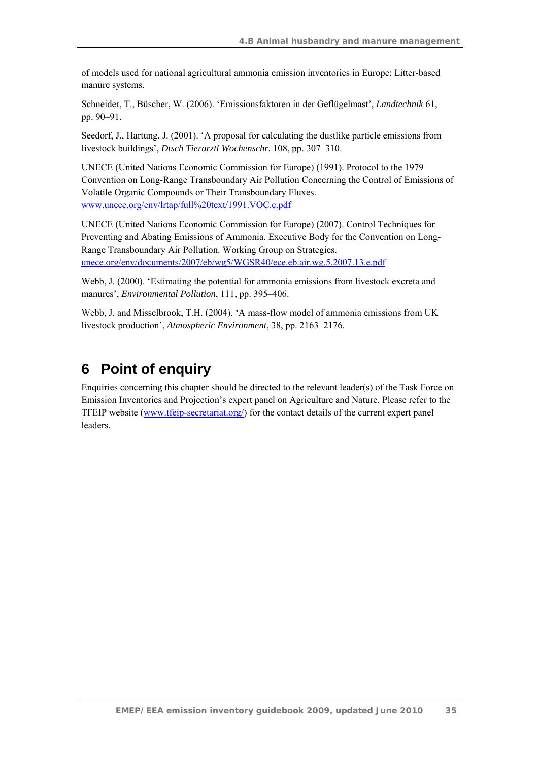of models used for national agricultural ammonia emission inventories in Europe: Litter-based manure systems.

Schneider, T., Büscher, W. (2006). 'Emissionsfaktoren in der Geflügelmast', *Landtechnik* 61, pp. 90–91.

Seedorf, J., Hartung, J. (2001). 'A proposal for calculating the dustlike particle emissions from livestock buildings', *Dtsch Tierarztl Wochenschr.* 108, pp. 307–310.

UNECE (United Nations Economic Commission for Europe) (1991). Protocol to the 1979 Convention on Long-Range Transboundary Air Pollution Concerning the Control of Emissions of Volatile Organic Compounds or Their Transboundary Fluxes. www.unece.org/env/lrtap/full%20text/1991.VOC.e.pdf

UNECE (United Nations Economic Commission for Europe) (2007). Control Techniques for Preventing and Abating Emissions of Ammonia. Executive Body for the Convention on Long-Range Transboundary Air Pollution. Working Group on Strategies. unece.org/env/documents/2007/eb/wg5/WGSR40/ece.eb.air.wg.5.2007.13.e.pdf

Webb, J. (2000). 'Estimating the potential for ammonia emissions from livestock excreta and manures', *Environmental Pollution*, 111, pp. 395–406.

Webb, J. and Misselbrook, T.H. (2004). 'A mass-flow model of ammonia emissions from UK livestock production', *Atmospheric Environment*, 38, pp. 2163–2176.

## **6 Point of enquiry**

Enquiries concerning this chapter should be directed to the relevant leader(s) of the Task Force on Emission Inventories and Projection's expert panel on Agriculture and Nature. Please refer to the TFEIP website (www.tfeip-secretariat.org/) for the contact details of the current expert panel leaders.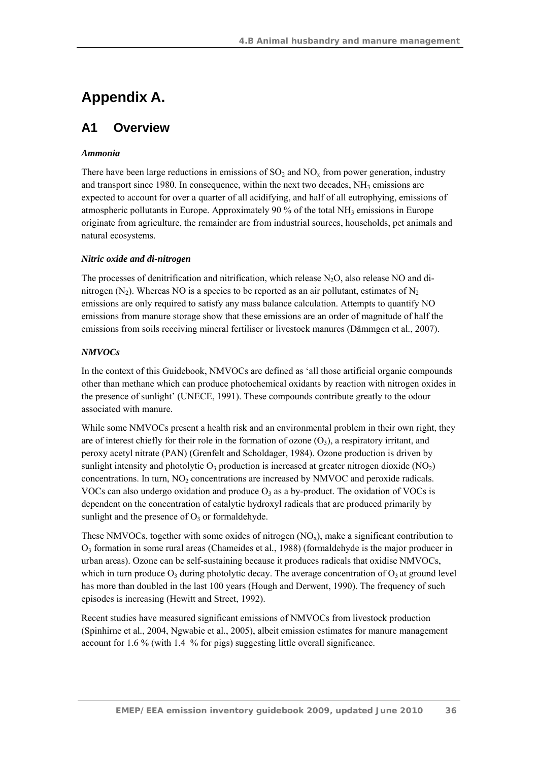# **Appendix A.**

## **A1 Overview**

#### *Ammonia*

There have been large reductions in emissions of  $SO_2$  and  $NO_x$  from power generation, industry and transport since 1980. In consequence, within the next two decades,  $NH_3$  emissions are expected to account for over a quarter of all acidifying, and half of all eutrophying, emissions of atmospheric pollutants in Europe. Approximately 90 % of the total  $NH<sub>3</sub>$  emissions in Europe originate from agriculture, the remainder are from industrial sources, households, pet animals and natural ecosystems.

#### *Nitric oxide and di-nitrogen*

The processes of denitrification and nitrification, which release  $N_2O$ , also release NO and dinitrogen (N<sub>2</sub>). Whereas NO is a species to be reported as an air pollutant, estimates of N<sub>2</sub> emissions are only required to satisfy any mass balance calculation. Attempts to quantify NO emissions from manure storage show that these emissions are an order of magnitude of half the emissions from soils receiving mineral fertiliser or livestock manures (Dämmgen et al*.*, 2007).

### *NMVOCs*

In the context of this Guidebook, NMVOCs are defined as 'all those artificial organic compounds other than methane which can produce photochemical oxidants by reaction with nitrogen oxides in the presence of sunlight' (UNECE, 1991). These compounds contribute greatly to the odour associated with manure.

While some NMVOCs present a health risk and an environmental problem in their own right, they are of interest chiefly for their role in the formation of ozone  $(O_3)$ , a respiratory irritant, and peroxy acetyl nitrate (PAN) (Grenfelt and Scholdager, 1984). Ozone production is driven by sunlight intensity and photolytic  $O_3$  production is increased at greater nitrogen dioxide (NO<sub>2</sub>) concentrations. In turn, NO<sub>2</sub> concentrations are increased by NMVOC and peroxide radicals. VOCs can also undergo oxidation and produce  $O_3$  as a by-product. The oxidation of VOCs is dependent on the concentration of catalytic hydroxyl radicals that are produced primarily by sunlight and the presence of  $O_3$  or formaldehyde.

These NMVOCs, together with some oxides of nitrogen  $(NO<sub>x</sub>)$ , make a significant contribution to O3 formation in some rural areas (Chameides et al*.*, 1988) (formaldehyde is the major producer in urban areas). Ozone can be self-sustaining because it produces radicals that oxidise NMVOCs, which in turn produce  $O_3$  during photolytic decay. The average concentration of  $O_3$  at ground level has more than doubled in the last 100 years (Hough and Derwent, 1990). The frequency of such episodes is increasing (Hewitt and Street, 1992).

Recent studies have measured significant emissions of NMVOCs from livestock production (Spinhirne et al*.*, 2004, Ngwabie et al*.*, 2005), albeit emission estimates for manure management account for 1.6 % (with 1.4 % for pigs) suggesting little overall significance.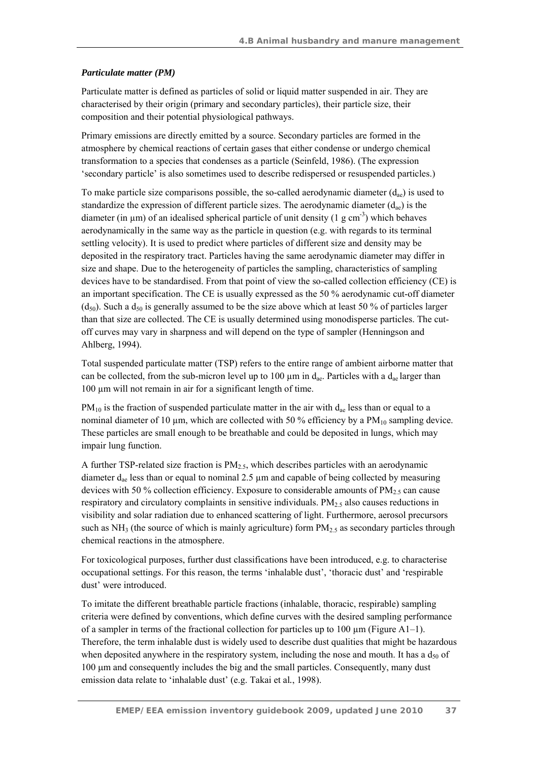## *Particulate matter (PM)*

Particulate matter is defined as particles of solid or liquid matter suspended in air. They are characterised by their origin (primary and secondary particles), their particle size, their composition and their potential physiological pathways.

Primary emissions are directly emitted by a source. Secondary particles are formed in the atmosphere by chemical reactions of certain gases that either condense or undergo chemical transformation to a species that condenses as a particle (Seinfeld, 1986). (The expression 'secondary particle' is also sometimes used to describe redispersed or resuspended particles.)

To make particle size comparisons possible, the so-called aerodynamic diameter  $(d_{ae})$  is used to standardize the expression of different particle sizes. The aerodynamic diameter  $(d_{ac})$  is the diameter (in  $\mu$ m) of an idealised spherical particle of unit density (1 g cm<sup>-3</sup>) which behaves aerodynamically in the same way as the particle in question (e.g. with regards to its terminal settling velocity). It is used to predict where particles of different size and density may be deposited in the respiratory tract. Particles having the same aerodynamic diameter may differ in size and shape. Due to the heterogeneity of particles the sampling, characteristics of sampling devices have to be standardised. From that point of view the so-called collection efficiency (CE) is an important specification. The CE is usually expressed as the 50 % aerodynamic cut-off diameter  $(d_{50})$ . Such a d<sub>50</sub> is generally assumed to be the size above which at least 50 % of particles larger than that size are collected. The CE is usually determined using monodisperse particles. The cutoff curves may vary in sharpness and will depend on the type of sampler (Henningson and Ahlberg, 1994).

Total suspended particulate matter (TSP) refers to the entire range of ambient airborne matter that can be collected, from the sub-micron level up to 100  $\mu$ m in d<sub>ae</sub>. Particles with a d<sub>ae</sub> larger than 100 µm will not remain in air for a significant length of time.

 $PM_{10}$  is the fraction of suspended particulate matter in the air with  $d_{ae}$  less than or equal to a nominal diameter of 10  $\mu$ m, which are collected with 50 % efficiency by a PM<sub>10</sub> sampling device. These particles are small enough to be breathable and could be deposited in lungs, which may impair lung function.

A further TSP-related size fraction is  $PM<sub>2.5</sub>$ , which describes particles with an aerodynamic diameter  $d_{ae}$  less than or equal to nominal 2.5  $\mu$ m and capable of being collected by measuring devices with 50 % collection efficiency. Exposure to considerable amounts of  $PM_{2.5}$  can cause respiratory and circulatory complaints in sensitive individuals.  $PM<sub>25</sub>$  also causes reductions in visibility and solar radiation due to enhanced scattering of light. Furthermore, aerosol precursors such as NH<sub>3</sub> (the source of which is mainly agriculture) form  $PM<sub>2.5</sub>$  as secondary particles through chemical reactions in the atmosphere.

For toxicological purposes, further dust classifications have been introduced, e.g. to characterise occupational settings. For this reason, the terms 'inhalable dust', 'thoracic dust' and 'respirable dust' were introduced.

To imitate the different breathable particle fractions (inhalable, thoracic, respirable) sampling criteria were defined by conventions, which define curves with the desired sampling performance of a sampler in terms of the fractional collection for particles up to 100  $\mu$ m (Figure A1–1). Therefore, the term inhalable dust is widely used to describe dust qualities that might be hazardous when deposited anywhere in the respiratory system, including the nose and mouth. It has a  $d_{50}$  of 100 μm and consequently includes the big and the small particles. Consequently, many dust emission data relate to 'inhalable dust' (e.g. Takai et al*.*, 1998).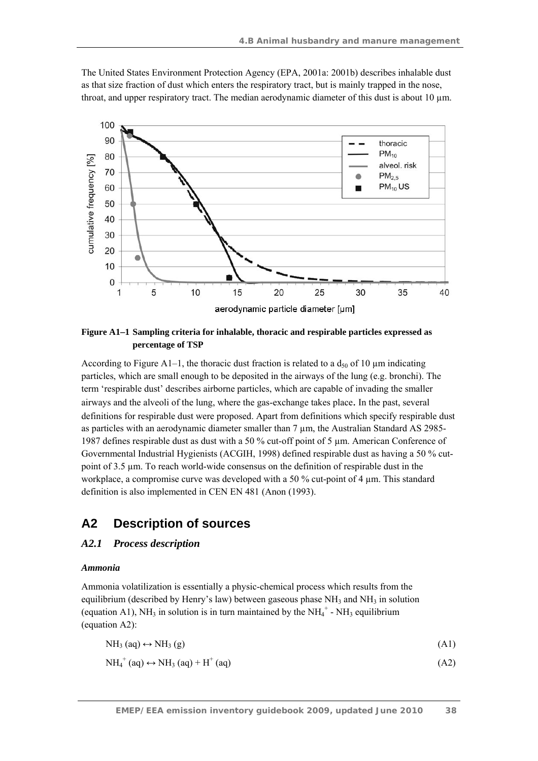The United States Environment Protection Agency (EPA, 2001a: 2001b) describes inhalable dust as that size fraction of dust which enters the respiratory tract, but is mainly trapped in the nose, throat, and upper respiratory tract. The median aerodynamic diameter of this dust is about 10 µm.



**Figure A1–1 Sampling criteria for inhalable, thoracic and respirable particles expressed as percentage of TSP** 

According to Figure A1–1, the thoracic dust fraction is related to a  $d_{50}$  of 10  $\mu$ m indicating particles, which are small enough to be deposited in the airways of the lung (e.g. bronchi). The term 'respirable dust' describes airborne particles, which are capable of invading the smaller airways and the alveoli of the lung, where the gas-exchange takes place. In the past, several definitions for respirable dust were proposed. Apart from definitions which specify respirable dust as particles with an aerodynamic diameter smaller than 7  $\mu$ m, the Australian Standard AS 2985-1987 defines respirable dust as dust with a 50 % cut-off point of 5 µm. American Conference of Governmental Industrial Hygienists (ACGIH, 1998) defined respirable dust as having a 50 % cutpoint of 3.5 µm. To reach world-wide consensus on the definition of respirable dust in the workplace, a compromise curve was developed with a 50 % cut-point of 4  $\mu$ m. This standard definition is also implemented in CEN EN 481 (Anon (1993).

# **A2 Description of sources**

## *A2.1 Process description*

#### *Ammonia*

Ammonia volatilization is essentially a physic-chemical process which results from the equilibrium (described by Henry's law) between gaseous phase  $NH_3$  and  $NH_3$  in solution (equation A1), NH<sub>3</sub> in solution is in turn maintained by the NH<sub>4</sub><sup>+</sup> - NH<sub>3</sub> equilibrium (equation A2):

| $NH3$ (aq) $\leftrightarrow$ NH <sub>3</sub> (g) | (A1) |
|--------------------------------------------------|------|
| $NH_4^+(aq) \leftrightarrow NH_3(aq) + H^+(aq)$  | (A2) |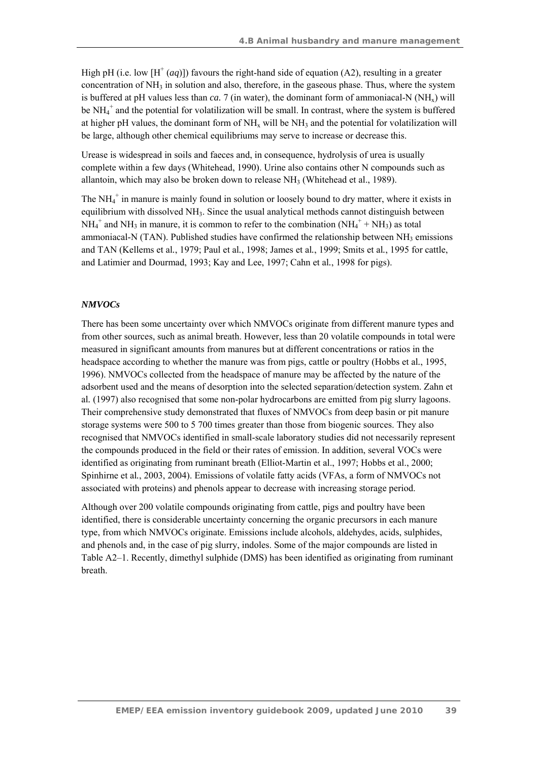High pH (i.e. low  $[H^+(aq)]$ ) favours the right-hand side of equation (A2), resulting in a greater concentration of  $NH_3$  in solution and also, therefore, in the gaseous phase. Thus, where the system is buffered at pH values less than *ca.* 7 (in water), the dominant form of ammoniacal-N  $(NH<sub>x</sub>)$  will be NH<sub>4</sub><sup>+</sup> and the potential for volatilization will be small. In contrast, where the system is buffered at higher pH values, the dominant form of  $NH<sub>x</sub>$  will be  $NH<sub>3</sub>$  and the potential for volatilization will be large, although other chemical equilibriums may serve to increase or decrease this.

Urease is widespread in soils and faeces and, in consequence, hydrolysis of urea is usually complete within a few days (Whitehead, 1990). Urine also contains other N compounds such as allantoin, which may also be broken down to release  $NH<sub>3</sub>$  (Whitehead et al., 1989).

The  $NH_4^+$  in manure is mainly found in solution or loosely bound to dry matter, where it exists in equilibrium with dissolved NH<sub>3</sub>. Since the usual analytical methods cannot distinguish between  $NH_4^+$  and NH<sub>3</sub> in manure, it is common to refer to the combination (NH<sub>4</sub><sup>+</sup> + NH<sub>3</sub>) as total ammoniacal-N (TAN). Published studies have confirmed the relationship between NH<sub>3</sub> emissions and TAN (Kellems et al*.*, 1979; Paul et al*.*, 1998; James et al*.*, 1999; Smits et al*.*, 1995 for cattle, and Latimier and Dourmad, 1993; Kay and Lee, 1997; Cahn et al*.*, 1998 for pigs).

#### *NMVOCs*

There has been some uncertainty over which NMVOCs originate from different manure types and from other sources, such as animal breath. However, less than 20 volatile compounds in total were measured in significant amounts from manures but at different concentrations or ratios in the headspace according to whether the manure was from pigs, cattle or poultry (Hobbs et al*.*, 1995, 1996). NMVOCs collected from the headspace of manure may be affected by the nature of the adsorbent used and the means of desorption into the selected separation/detection system. Zahn et al*.* (1997) also recognised that some non-polar hydrocarbons are emitted from pig slurry lagoons. Their comprehensive study demonstrated that fluxes of NMVOCs from deep basin or pit manure storage systems were 500 to 5 700 times greater than those from biogenic sources. They also recognised that NMVOCs identified in small-scale laboratory studies did not necessarily represent the compounds produced in the field or their rates of emission. In addition, several VOCs were identified as originating from ruminant breath (Elliot-Martin et al., 1997; Hobbs et al., 2000; Spinhirne et al*.*, 2003, 2004). Emissions of volatile fatty acids (VFAs, a form of NMVOCs not associated with proteins) and phenols appear to decrease with increasing storage period.

Although over 200 volatile compounds originating from cattle, pigs and poultry have been identified, there is considerable uncertainty concerning the organic precursors in each manure type, from which NMVOCs originate. Emissions include alcohols, aldehydes, acids, sulphides, and phenols and, in the case of pig slurry, indoles. Some of the major compounds are listed in Table A2–1. Recently, dimethyl sulphide (DMS) has been identified as originating from ruminant breath.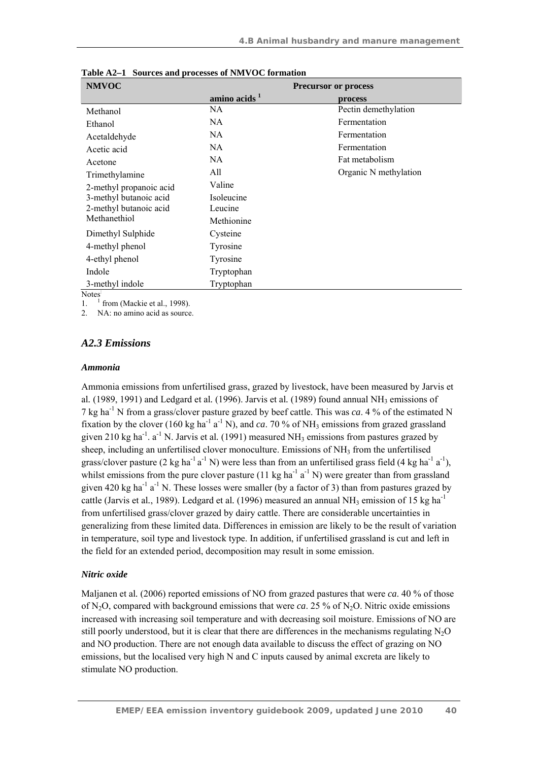| <b>NMVOC</b>            | <b>Precursor or process</b> |                       |  |
|-------------------------|-----------------------------|-----------------------|--|
|                         | amino acids <sup>1</sup>    | process               |  |
| Methanol                | NA                          | Pectin demethylation  |  |
| Ethanol                 | NA.                         | Fermentation          |  |
| Acetaldehyde            | NA.                         | Fermentation          |  |
| Acetic acid             | NA                          | Fermentation          |  |
| Acetone                 | NA.                         | Fat metabolism        |  |
| Trimethylamine          | All                         | Organic N methylation |  |
| 2-methyl propanoic acid | Valine                      |                       |  |
| 3-methyl butanoic acid  | Isoleucine                  |                       |  |
| 2-methyl butanoic acid  | Leucine                     |                       |  |
| Methanethiol            | Methionine                  |                       |  |
| Dimethyl Sulphide       | Cysteine                    |                       |  |
| 4-methyl phenol         | Tyrosine                    |                       |  |
| 4-ethyl phenol          | Tyrosine                    |                       |  |
| Indole                  | Tryptophan                  |                       |  |
| 3-methyl indole         | Tryptophan                  |                       |  |

**Table A2–1 Sources and processes of NMVOC formation** 

**Notes** 

1. <sup>1</sup>  $<sup>1</sup>$  from (Mackie et al., 1998).</sup>

NA: no amino acid as source.

## *A2.3 Emissions*

#### *Ammonia*

Ammonia emissions from unfertilised grass, grazed by livestock, have been measured by Jarvis et al. (1989, 1991) and Ledgard et al. (1996). Jarvis et al. (1989) found annual NH<sub>3</sub> emissions of 7 kg ha-1 N from a grass/clover pasture grazed by beef cattle. This was *ca*. 4 % of the estimated N fixation by the clover (160 kg ha<sup>-1</sup> a<sup>-1</sup> N), and ca. 70 % of NH<sub>3</sub> emissions from grazed grassland given 210 kg ha<sup>-1</sup>. a<sup>-1</sup> N. Jarvis et al. (1991) measured NH<sub>3</sub> emissions from pastures grazed by sheep, including an unfertilised clover monoculture. Emissions of NH<sub>3</sub> from the unfertilised grass/clover pasture (2 kg ha<sup>-1</sup> a<sup>-1</sup> N) were less than from an unfertilised grass field (4 kg ha<sup>-1</sup> a<sup>-1</sup>), whilst emissions from the pure clover pasture (11 kg ha<sup>-1</sup> a<sup>-1</sup> N) were greater than from grassland given 420 kg ha<sup>-1</sup> a<sup>-1</sup> N. These losses were smaller (by a factor of 3) than from pastures grazed by cattle (Jarvis et al., 1989). Ledgard et al. (1996) measured an annual NH<sub>3</sub> emission of 15 kg ha<sup>-1</sup> from unfertilised grass/clover grazed by dairy cattle. There are considerable uncertainties in generalizing from these limited data. Differences in emission are likely to be the result of variation in temperature, soil type and livestock type. In addition, if unfertilised grassland is cut and left in the field for an extended period, decomposition may result in some emission.

#### *Nitric oxide*

Maljanen et al*.* (2006) reported emissions of NO from grazed pastures that were *ca*. 40 % of those of N2O, compared with background emissions that were *ca*. 25 % of N2O. Nitric oxide emissions increased with increasing soil temperature and with decreasing soil moisture. Emissions of NO are still poorly understood, but it is clear that there are differences in the mechanisms regulating N<sub>2</sub>O and NO production. There are not enough data available to discuss the effect of grazing on NO emissions, but the localised very high N and C inputs caused by animal excreta are likely to stimulate NO production.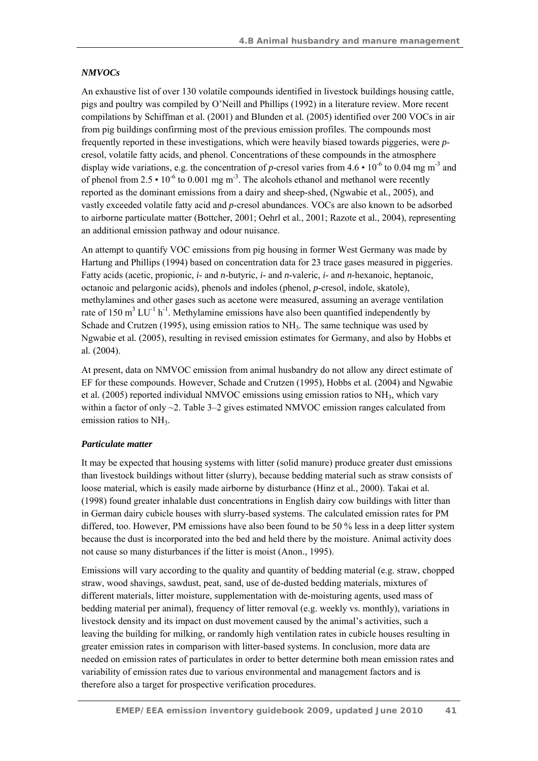#### *NMVOCs*

An exhaustive list of over 130 volatile compounds identified in livestock buildings housing cattle, pigs and poultry was compiled by O'Neill and Phillips (1992) in a literature review. More recent compilations by Schiffman et al*.* (2001) and Blunden et al*.* (2005) identified over 200 VOCs in air from pig buildings confirming most of the previous emission profiles. The compounds most frequently reported in these investigations, which were heavily biased towards piggeries, were *p*cresol, volatile fatty acids, and phenol. Concentrations of these compounds in the atmosphere display wide variations, e.g. the concentration of *p*-cresol varies from  $4.6 \cdot 10^{-6}$  to 0.04 mg m<sup>-3</sup> and of phenol from 2.5 •  $10^{-6}$  to 0.001 mg m<sup>-3</sup>. The alcohols ethanol and methanol were recently reported as the dominant emissions from a dairy and sheep-shed, (Ngwabie et al*.*, 2005), and vastly exceeded volatile fatty acid and *p*-cresol abundances. VOCs are also known to be adsorbed to airborne particulate matter (Bottcher, 2001; Oehrl et al*.*, 2001; Razote et al*.*, 2004), representing an additional emission pathway and odour nuisance.

An attempt to quantify VOC emissions from pig housing in former West Germany was made by Hartung and Phillips (1994) based on concentration data for 23 trace gases measured in piggeries. Fatty acids (acetic, propionic, *i*- and *n*-butyric, *i*- and *n*-valeric, *i*- and *n*-hexanoic, heptanoic, octanoic and pelargonic acids), phenols and indoles (phenol, *p*-cresol, indole, skatole), methylamines and other gases such as acetone were measured, assuming an average ventilation rate of 150 m<sup>3</sup> LU<sup>-1</sup> h<sup>-1</sup>. Methylamine emissions have also been quantified independently by Schade and Crutzen (1995), using emission ratios to NH<sub>3</sub>. The same technique was used by Ngwabie et al*.* (2005), resulting in revised emission estimates for Germany, and also by Hobbs et al*.* (2004).

At present, data on NMVOC emission from animal husbandry do not allow any direct estimate of EF for these compounds. However, Schade and Crutzen (1995), Hobbs et al*.* (2004) and Ngwabie et al*.* (2005) reported individual NMVOC emissions using emission ratios to NH3, which vary within a factor of only  $\sim$ 2. Table 3–2 gives estimated NMVOC emission ranges calculated from emission ratios to NH<sub>3</sub>.

#### *Particulate matter*

It may be expected that housing systems with litter (solid manure) produce greater dust emissions than livestock buildings without litter (slurry), because bedding material such as straw consists of loose material, which is easily made airborne by disturbance (Hinz et al*.*, 2000). Takai et al*.* (1998) found greater inhalable dust concentrations in English dairy cow buildings with litter than in German dairy cubicle houses with slurry-based systems. The calculated emission rates for PM differed, too. However, PM emissions have also been found to be 50 % less in a deep litter system because the dust is incorporated into the bed and held there by the moisture. Animal activity does not cause so many disturbances if the litter is moist (Anon., 1995).

Emissions will vary according to the quality and quantity of bedding material (e.g. straw, chopped straw, wood shavings, sawdust, peat, sand, use of de-dusted bedding materials, mixtures of different materials, litter moisture, supplementation with de-moisturing agents, used mass of bedding material per animal), frequency of litter removal (e.g. weekly vs. monthly), variations in livestock density and its impact on dust movement caused by the animal's activities, such a leaving the building for milking, or randomly high ventilation rates in cubicle houses resulting in greater emission rates in comparison with litter-based systems. In conclusion, more data are needed on emission rates of particulates in order to better determine both mean emission rates and variability of emission rates due to various environmental and management factors and is therefore also a target for prospective verification procedures.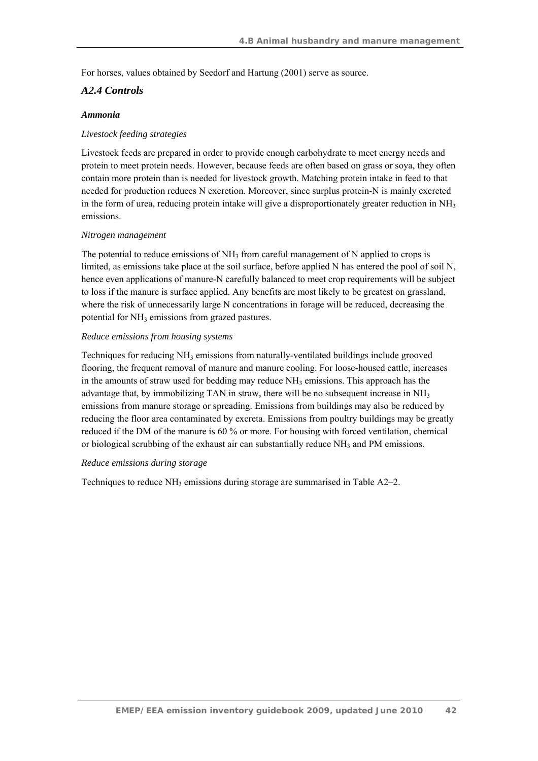For horses, values obtained by Seedorf and Hartung (2001) serve as source.

## *A2.4 Controls*

#### *Ammonia*

#### *Livestock feeding strategies*

Livestock feeds are prepared in order to provide enough carbohydrate to meet energy needs and protein to meet protein needs. However, because feeds are often based on grass or soya, they often contain more protein than is needed for livestock growth. Matching protein intake in feed to that needed for production reduces N excretion. Moreover, since surplus protein-N is mainly excreted in the form of urea, reducing protein intake will give a disproportionately greater reduction in  $NH<sub>3</sub>$ emissions.

#### *Nitrogen management*

The potential to reduce emissions of  $NH<sub>3</sub>$  from careful management of N applied to crops is limited, as emissions take place at the soil surface, before applied N has entered the pool of soil N, hence even applications of manure-N carefully balanced to meet crop requirements will be subject to loss if the manure is surface applied. Any benefits are most likely to be greatest on grassland, where the risk of unnecessarily large N concentrations in forage will be reduced, decreasing the potential for NH3 emissions from grazed pastures.

#### *Reduce emissions from housing systems*

Techniques for reducing  $NH_3$  emissions from naturally-ventilated buildings include grooved flooring, the frequent removal of manure and manure cooling. For loose-housed cattle, increases in the amounts of straw used for bedding may reduce  $NH<sub>3</sub>$  emissions. This approach has the advantage that, by immobilizing TAN in straw, there will be no subsequent increase in  $NH<sub>3</sub>$ emissions from manure storage or spreading. Emissions from buildings may also be reduced by reducing the floor area contaminated by excreta. Emissions from poultry buildings may be greatly reduced if the DM of the manure is 60 % or more. For housing with forced ventilation, chemical or biological scrubbing of the exhaust air can substantially reduce  $NH_3$  and PM emissions.

#### *Reduce emissions during storage*

Techniques to reduce NH<sub>3</sub> emissions during storage are summarised in Table A2–2.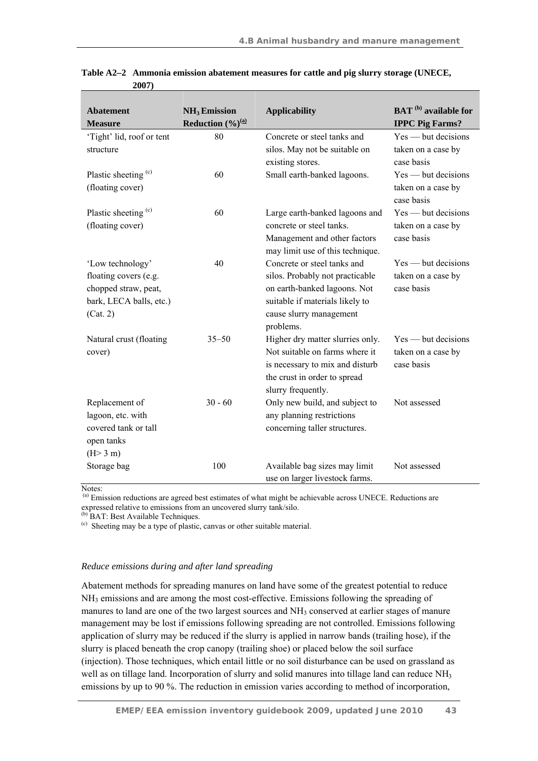| <b>Abatement</b>          | NH <sub>3</sub> Emission                       | <b>Applicability</b>                                             | <b>BAT</b> <sup>(b)</sup> available for |
|---------------------------|------------------------------------------------|------------------------------------------------------------------|-----------------------------------------|
| <b>Measure</b>            | <b>Reduction</b> $(\frac{9}{6})^{\frac{a}{a}}$ |                                                                  | <b>IPPC Pig Farms?</b>                  |
| 'Tight' lid, roof or tent | 80                                             | Concrete or steel tanks and                                      | $Yes$ — but decisions                   |
| structure                 |                                                | silos. May not be suitable on                                    | taken on a case by                      |
|                           |                                                | existing stores.                                                 | case basis                              |
| Plastic sheeting (c)      | 60                                             | Small earth-banked lagoons.                                      | $Yes$ — but decisions                   |
| (floating cover)          |                                                |                                                                  | taken on a case by                      |
|                           |                                                |                                                                  | case basis                              |
| Plastic sheeting (c)      | 60                                             | Large earth-banked lagoons and                                   | $Yes$ — but decisions                   |
| (floating cover)          |                                                | concrete or steel tanks.                                         | taken on a case by                      |
|                           |                                                | Management and other factors<br>may limit use of this technique. | case basis                              |
| 'Low technology'          | 40                                             | Concrete or steel tanks and                                      | $Yes$ — but decisions                   |
| floating covers (e.g.     |                                                | silos. Probably not practicable                                  | taken on a case by                      |
| chopped straw, peat,      |                                                | on earth-banked lagoons. Not                                     | case basis                              |
| bark, LECA balls, etc.)   |                                                | suitable if materials likely to                                  |                                         |
| (Cat. 2)                  |                                                | cause slurry management                                          |                                         |
|                           |                                                | problems.                                                        |                                         |
| Natural crust (floating   | $35 - 50$                                      | Higher dry matter slurries only.                                 | $Yes$ — but decisions                   |
| cover)                    |                                                | Not suitable on farms where it                                   | taken on a case by                      |
|                           |                                                | is necessary to mix and disturb                                  | case basis                              |
|                           |                                                | the crust in order to spread                                     |                                         |
|                           |                                                | slurry frequently.                                               |                                         |
| Replacement of            | $30 - 60$                                      | Only new build, and subject to                                   | Not assessed                            |
| lagoon, etc. with         |                                                | any planning restrictions                                        |                                         |
| covered tank or tall      |                                                | concerning taller structures.                                    |                                         |
| open tanks                |                                                |                                                                  |                                         |
| (H>3 m)                   |                                                |                                                                  |                                         |
| Storage bag               | 100                                            | Available bag sizes may limit                                    | Not assessed                            |
|                           |                                                | use on larger livestock farms.                                   |                                         |

**Table A2–2 Ammonia emission abatement measures for cattle and pig slurry storage (UNECE, 2007)** 

Notes:

(a) Emission reductions are agreed best estimates of what might be achievable across UNECE. Reductions are expressed relative to emissions from an uncovered slurry tank/silo.

<sup>(b)</sup> BAT: Best Available Techniques.

(c) Sheeting may be a type of plastic, canvas or other suitable material.

#### *Reduce emissions during and after land spreading*

Abatement methods for spreading manures on land have some of the greatest potential to reduce NH3 emissions and are among the most cost-effective. Emissions following the spreading of manures to land are one of the two largest sources and  $NH<sub>3</sub>$  conserved at earlier stages of manure management may be lost if emissions following spreading are not controlled. Emissions following application of slurry may be reduced if the slurry is applied in narrow bands (trailing hose), if the slurry is placed beneath the crop canopy (trailing shoe) or placed below the soil surface (injection). Those techniques, which entail little or no soil disturbance can be used on grassland as well as on tillage land. Incorporation of slurry and solid manures into tillage land can reduce NH<sub>3</sub> emissions by up to 90 %. The reduction in emission varies according to method of incorporation,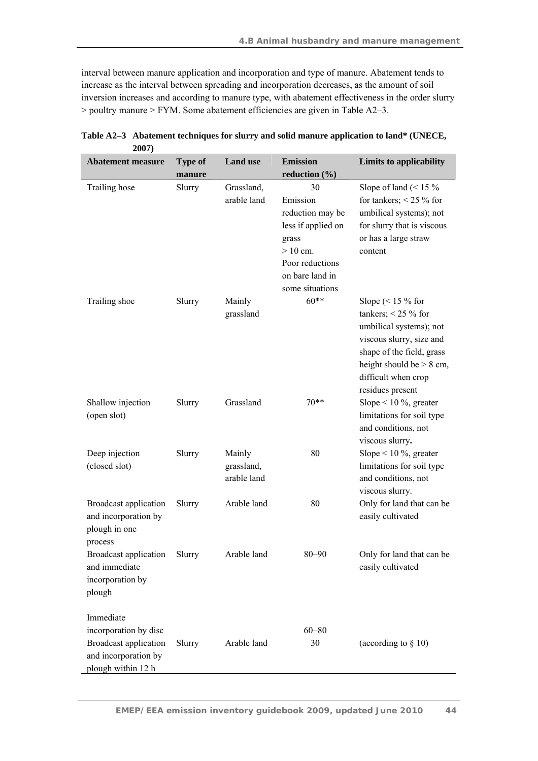interval between manure application and incorporation and type of manure. Abatement tends to increase as the interval between spreading and incorporation decreases, as the amount of soil inversion increases and according to manure type, with abatement effectiveness in the order slurry > poultry manure > FYM. Some abatement efficiencies are given in Table A2–3.

| reduction $(\% )$<br>manure                                                  |                             |
|------------------------------------------------------------------------------|-----------------------------|
| Trailing hose<br>30<br>Slurry<br>Grassland,                                  | Slope of land $($ < 15 $\%$ |
| arable land<br>Emission                                                      | for tankers; $< 25 %$ for   |
| reduction may be                                                             | umbilical systems); not     |
| less if applied on                                                           | for slurry that is viscous  |
| grass                                                                        | or has a large straw        |
| $> 10$ cm.<br>content                                                        |                             |
| Poor reductions                                                              |                             |
| on bare land in                                                              |                             |
| some situations                                                              |                             |
| $60**$<br>Trailing shoe<br>Slurry<br>Mainly                                  | Slope $(< 15 %$ for         |
| grassland                                                                    | tankers; $< 25 %$ for       |
|                                                                              | umbilical systems); not     |
|                                                                              | viscous slurry, size and    |
|                                                                              | shape of the field, grass   |
|                                                                              | height should be $> 8$ cm,  |
|                                                                              | difficult when crop         |
| residues present                                                             |                             |
| $70**$<br>Shallow injection<br>Grassland<br>Slurry                           | Slope < $10\%$ , greater    |
| (open slot)                                                                  | limitations for soil type   |
|                                                                              | and conditions, not         |
| viscous slurry.                                                              |                             |
| 80<br>Deep injection<br>Slurry<br>Mainly                                     | Slope < $10\%$ , greater    |
| (closed slot)<br>grassland,                                                  | limitations for soil type   |
| arable land                                                                  | and conditions, not         |
| viscous slurry.                                                              |                             |
| Broadcast application<br>Arable land<br>80<br>Slurry                         | Only for land that can be   |
| easily cultivated<br>and incorporation by                                    |                             |
| plough in one                                                                |                             |
| process<br>Arable land<br>$80 - 90$                                          |                             |
| <b>Broadcast application</b><br>Slurry<br>and immediate<br>easily cultivated | Only for land that can be   |
| incorporation by                                                             |                             |
| plough                                                                       |                             |
|                                                                              |                             |
| Immediate                                                                    |                             |
| $60 - 80$<br>incorporation by disc                                           |                             |
| Broadcast application<br>Arable land<br>30<br>Slurry                         | (according to $\S$ 10)      |
| and incorporation by                                                         |                             |
| plough within 12 h                                                           |                             |

**Table A2–3 Abatement techniques for slurry and solid manure application to land\* (UNECE, 2007)**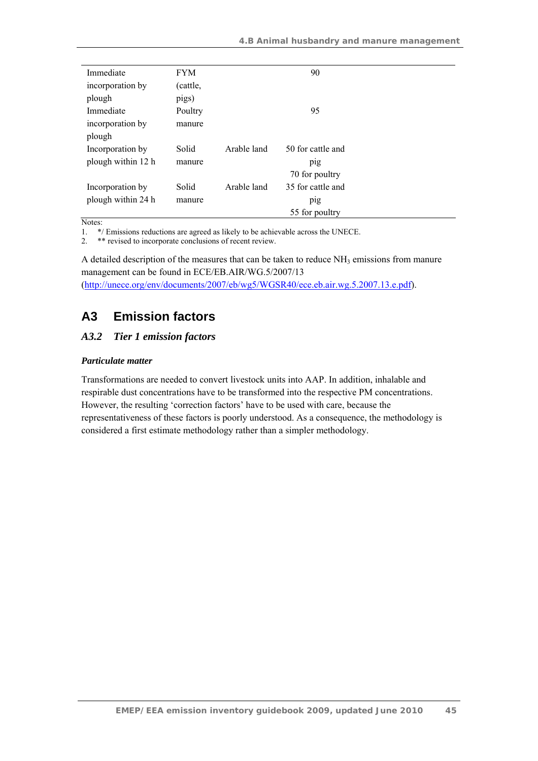| Immediate          | <b>FYM</b> |             | 90                |
|--------------------|------------|-------------|-------------------|
| incorporation by   | (cattle,   |             |                   |
| plough             | pigs)      |             |                   |
| Immediate          | Poultry    |             | 95                |
| incorporation by   | manure     |             |                   |
| plough             |            |             |                   |
| Incorporation by   | Solid      | Arable land | 50 for cattle and |
| plough within 12 h | manure     |             | pig               |
|                    |            |             | 70 for poultry    |
| Incorporation by   | Solid      | Arable land | 35 for cattle and |
| plough within 24 h | manure     |             | pig               |
|                    |            |             | 55 for poultry    |

Notes:

1. \*/ Emissions reductions are agreed as likely to be achievable across the UNECE.

2. \*\* revised to incorporate conclusions of recent review.

A detailed description of the measures that can be taken to reduce  $NH<sub>3</sub>$  emissions from manure management can be found in ECE/EB.AIR/WG.5/2007/13 (http://unece.org/env/documents/2007/eb/wg5/WGSR40/ece.eb.air.wg.5.2007.13.e.pdf).

# **A3 Emission factors**

## *A3.2 Tier 1 emission factors*

#### *Particulate matter*

Transformations are needed to convert livestock units into AAP. In addition, inhalable and respirable dust concentrations have to be transformed into the respective PM concentrations. However, the resulting 'correction factors' have to be used with care, because the representativeness of these factors is poorly understood. As a consequence, the methodology is considered a first estimate methodology rather than a simpler methodology.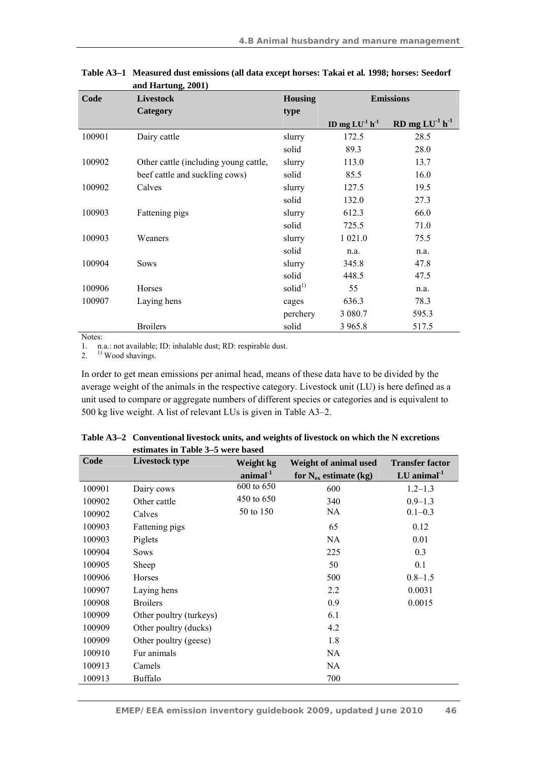| Code   | <b>Livestock</b>                      | <b>Housing</b> | <b>Emissions</b> |                    |
|--------|---------------------------------------|----------------|------------------|--------------------|
|        | Category                              | type           |                  |                    |
|        |                                       |                | ID mg $LU-1 h-1$ | $RD$ mg $LU-1 h-1$ |
| 100901 | Dairy cattle                          | slurry         | 172.5            | 28.5               |
|        |                                       | solid          | 89.3             | 28.0               |
| 100902 | Other cattle (including young cattle, | slurry         | 113.0            | 13.7               |
|        | beef cattle and suckling cows)        | solid          | 85.5             | 16.0               |
| 100902 | Calves                                | slurry         | 127.5            | 19.5               |
|        |                                       | solid          | 132.0            | 27.3               |
| 100903 | Fattening pigs                        | slurry         | 612.3            | 66.0               |
|        |                                       | solid          | 725.5            | 71.0               |
| 100903 | Weaners                               | slurry         | 1 0 2 1 .0       | 75.5               |
|        |                                       | solid          | n.a.             | n.a.               |
| 100904 | <b>Sows</b>                           | slurry         | 345.8            | 47.8               |
|        |                                       | solid          | 448.5            | 47.5               |
| 100906 | Horses                                | solid $^{1)}$  | 55               | n.a.               |
| 100907 | Laying hens                           | cages          | 636.3            | 78.3               |
|        |                                       | perchery       | 3 080.7          | 595.3              |
|        | <b>Broilers</b>                       | solid          | 3 9 6 5 .8       | 517.5              |

**Table A3–1 Measured dust emissions (all data except horses: Takai et al***.* **1998; horses: Seedorf and Hartung, 2001)** 

Notes:

1. n.a.: not available; ID: inhalable dust; RD: respirable dust.

 $2.$ <sup>1)</sup> Wood shavings.

In order to get mean emissions per animal head, means of these data have to be divided by the average weight of the animals in the respective category. Livestock unit (LU) is here defined as a unit used to compare or aggregate numbers of different species or categories and is equivalent to 500 kg live weight. A list of relevant LUs is given in Table A3–2.

|        | $\epsilon$ stimates in Table $J=3$ were based |                      |                            |                        |
|--------|-----------------------------------------------|----------------------|----------------------------|------------------------|
| Code   | <b>Livestock type</b>                         | Weight kg            | Weight of animal used      | <b>Transfer factor</b> |
|        |                                               | $\text{animal}^{-1}$ | for $N_{ex}$ estimate (kg) | $LU$ animal $^{-1}$    |
| 100901 | Dairy cows                                    | 600 to 650           | 600                        | $1.2 - 1.3$            |
| 100902 | Other cattle                                  | 450 to 650           | 340                        | $0.9 - 1.3$            |
| 100902 | Calves                                        | 50 to 150            | NA                         | $0.1 - 0.3$            |
| 100903 | Fattening pigs                                |                      | 65                         | 0.12                   |
| 100903 | Piglets                                       |                      | NA                         | 0.01                   |
| 100904 | Sows                                          |                      | 225                        | 0.3                    |
| 100905 | Sheep                                         |                      | 50                         | 0.1                    |
| 100906 | Horses                                        |                      | 500                        | $0.8 - 1.5$            |
| 100907 | Laying hens                                   |                      | 2.2                        | 0.0031                 |
| 100908 | <b>Broilers</b>                               |                      | 0.9                        | 0.0015                 |
| 100909 | Other poultry (turkeys)                       |                      | 6.1                        |                        |
| 100909 | Other poultry (ducks)                         |                      | 4.2                        |                        |
| 100909 | Other poultry (geese)                         |                      | 1.8                        |                        |
| 100910 | Fur animals                                   |                      | NA                         |                        |
| 100913 | Camels                                        |                      | NA.                        |                        |
| 100913 | <b>Buffalo</b>                                |                      | 700                        |                        |

**Table A3–2 Conventional livestock units, and weights of livestock on which the N excretions estimates in Table 3–5 were based**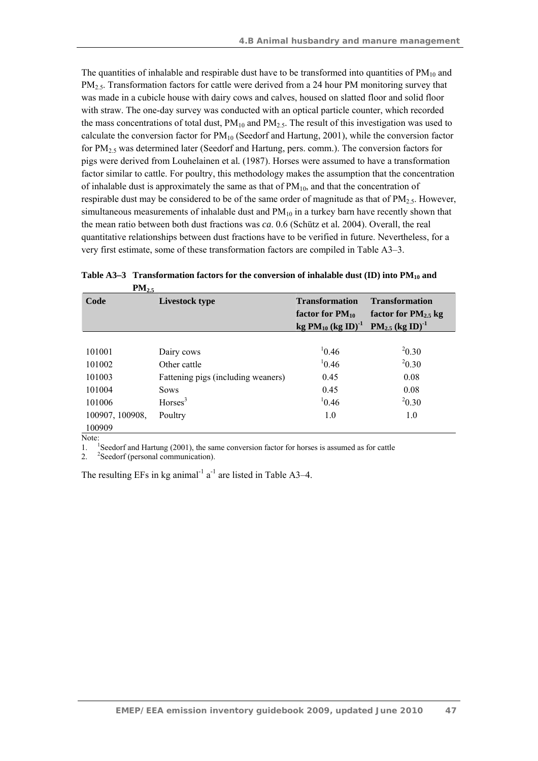The quantities of inhalable and respirable dust have to be transformed into quantities of  $PM_{10}$  and PM<sub>2.5</sub>. Transformation factors for cattle were derived from a 24 hour PM monitoring survey that was made in a cubicle house with dairy cows and calves, housed on slatted floor and solid floor with straw. The one-day survey was conducted with an optical particle counter, which recorded the mass concentrations of total dust,  $PM_{10}$  and  $PM_{2.5}$ . The result of this investigation was used to calculate the conversion factor for  $PM_{10}$  (Seedorf and Hartung, 2001), while the conversion factor for PM2.5 was determined later (Seedorf and Hartung, pers. comm.). The conversion factors for pigs were derived from Louhelainen et al*.* (1987). Horses were assumed to have a transformation factor similar to cattle. For poultry, this methodology makes the assumption that the concentration of inhalable dust is approximately the same as that of  $PM_{10}$ , and that the concentration of respirable dust may be considered to be of the same order of magnitude as that of  $PM_{2.5}$ . However, simultaneous measurements of inhalable dust and  $PM_{10}$  in a turkey barn have recently shown that the mean ratio between both dust fractions was *ca*. 0.6 (Schütz et al*.* 2004). Overall, the real quantitative relationships between dust fractions have to be verified in future. Nevertheless, for a very first estimate, some of these transformation factors are compiled in Table A3–3.

| 1112.5          |                                    |                           |                                  |  |
|-----------------|------------------------------------|---------------------------|----------------------------------|--|
| Code            | Livestock type                     | <b>Transformation</b>     | <b>Transformation</b>            |  |
|                 |                                    | factor for $PM_{10}$      | factor for $PM_{2.5}$ kg         |  |
|                 |                                    | $kg PM_{10} (kg ID)^{-1}$ | $PM_{2.5}$ (kg ID) <sup>-1</sup> |  |
|                 |                                    |                           |                                  |  |
| 101001          | Dairy cows                         | 10.46                     | $^{2}0.30$                       |  |
| 101002          | Other cattle                       | 10.46                     | $^{2}0.30$                       |  |
| 101003          | Fattening pigs (including weaners) | 0.45                      | 0.08                             |  |
| 101004          | <b>Sows</b>                        | 0.45                      | 0.08                             |  |
| 101006          | Horses <sup>3</sup>                | 10.46                     | $^{2}0.30$                       |  |
| 100907, 100908, | Poultry                            | 1.0                       | 1.0                              |  |
| 100909          |                                    |                           |                                  |  |

Table A3–3 Transformation factors for the conversion of inhalable dust (ID) into PM<sub>10</sub> and **PM** 

Note:

1. <sup>1</sup> <sup>1</sup>Seedorf and Hartung  $(2001)$ , the same conversion factor for horses is assumed as for cattle

 $2.$ <sup>2</sup>Seedorf (personal communication).

The resulting EFs in kg animal<sup>-1</sup>  $a^{-1}$  are listed in Table A3–4.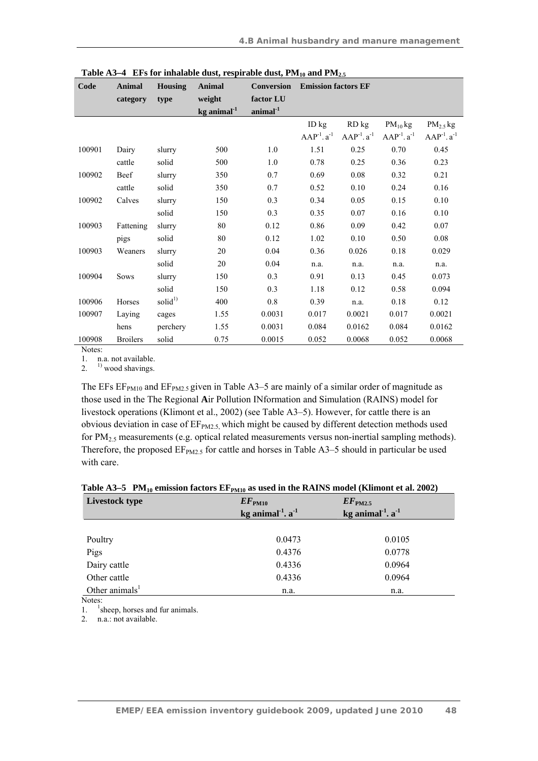| Code   | <b>Animal</b>   | <b>Housing</b>      | Animal              | <b>Conversion</b>    | <b>Emission factors EF</b> |                   |                   |                   |
|--------|-----------------|---------------------|---------------------|----------------------|----------------------------|-------------------|-------------------|-------------------|
|        | category        | type                | weight              | factor LU            |                            |                   |                   |                   |
|        |                 |                     | $kg$ animal $^{-1}$ | $\text{animal}^{-1}$ |                            |                   |                   |                   |
|        |                 |                     |                     |                      | ID kg                      | RD kg             | $PM_{10}$ kg      | $PM_{2.5}$ kg     |
|        |                 |                     |                     |                      | $AAP^{-1}.a^{-1}$          | $AAP^{-1}.a^{-1}$ | $AAP^{-1}.a^{-1}$ | $AAP^{-1}.a^{-1}$ |
| 100901 | Dairy           | slurry              | 500                 | 1.0                  | 1.51                       | 0.25              | 0.70              | 0.45              |
|        | cattle          | solid               | 500                 | 1.0                  | 0.78                       | 0.25              | 0.36              | 0.23              |
| 100902 | Beef            | slurry              | 350                 | 0.7                  | 0.69                       | $0.08\,$          | 0.32              | 0.21              |
|        | cattle          | solid               | 350                 | 0.7                  | 0.52                       | 0.10              | 0.24              | 0.16              |
| 100902 | Calves          | slurry              | 150                 | 0.3                  | 0.34                       | 0.05              | 0.15              | 0.10              |
|        |                 | solid               | 150                 | 0.3                  | 0.35                       | 0.07              | 0.16              | 0.10              |
| 100903 | Fattening       | slurry              | 80                  | 0.12                 | 0.86                       | 0.09              | 0.42              | 0.07              |
|        | pigs            | solid               | 80                  | 0.12                 | 1.02                       | 0.10              | 0.50              | $0.08\,$          |
| 100903 | Weaners         | slurry              | 20                  | 0.04                 | 0.36                       | 0.026             | 0.18              | 0.029             |
|        |                 | solid               | 20                  | 0.04                 | n.a.                       | n.a.              | n.a.              | n.a.              |
| 100904 | <b>Sows</b>     | slurry              | 150                 | 0.3                  | 0.91                       | 0.13              | 0.45              | 0.073             |
|        |                 | solid               | 150                 | 0.3                  | 1.18                       | 0.12              | 0.58              | 0.094             |
| 100906 | Horses          | solid <sup>1)</sup> | 400                 | 0.8                  | 0.39                       | n.a.              | 0.18              | 0.12              |
| 100907 | Laying          | cages               | 1.55                | 0.0031               | 0.017                      | 0.0021            | 0.017             | 0.0021            |
|        | hens            | perchery            | 1.55                | 0.0031               | 0.084                      | 0.0162            | 0.084             | 0.0162            |
| 100908 | <b>Broilers</b> | solid               | 0.75                | 0.0015               | 0.052                      | 0.0068            | 0.052             | 0.0068            |

|  | Table A3–4 EFs for inhalable dust, respirable dust, $PM_{10}$ and $PM_{2.5}$ |  |  |  |
|--|------------------------------------------------------------------------------|--|--|--|
|--|------------------------------------------------------------------------------|--|--|--|

Notes:

1. n.a. not available.

2.  $1)$  wood shavings.

The EFs  $EF<sub>PM10</sub>$  and  $EF<sub>PM2.5</sub>$  given in Table A3–5 are mainly of a similar order of magnitude as those used in the The Regional **A**ir Pollution INformation and Simulation (RAINS) model for livestock operations (Klimont et al., 2002) (see Table A3–5). However, for cattle there is an obvious deviation in case of  $EF<sub>PM2.5</sub>$ , which might be caused by different detection methods used for PM2.5 measurements (e.g. optical related measurements versus non-inertial sampling methods). Therefore, the proposed  $EF<sub>PM2.5</sub>$  for cattle and horses in Table A3–5 should in particular be used with care.

|  |  |  | Table A3–5 $PM_{10}$ emission factors $EF_{PM10}$ as used in the RAINS model (Klimont et al. 2002) |  |
|--|--|--|----------------------------------------------------------------------------------------------------|--|
|--|--|--|----------------------------------------------------------------------------------------------------|--|

| Livestock type    | $EF_{\rm PM10}$<br>kg animal $^1$ . a $^1$ | $EF_{\text{PM2.5}}$<br>kg animal $1$ . a $1$ |  |
|-------------------|--------------------------------------------|----------------------------------------------|--|
|                   |                                            |                                              |  |
| Poultry           | 0.0473                                     | 0.0105                                       |  |
| Pigs              | 0.4376                                     | 0.0778                                       |  |
| Dairy cattle      | 0.4336                                     | 0.0964                                       |  |
| Other cattle      | 0.4336                                     | 0.0964                                       |  |
| Other animals $1$ | n.a.                                       | n.a.                                         |  |

Notes:

 $\frac{1}{2}$ . <sup>1</sup>sheep, horses and fur animals.

n.a.: not available.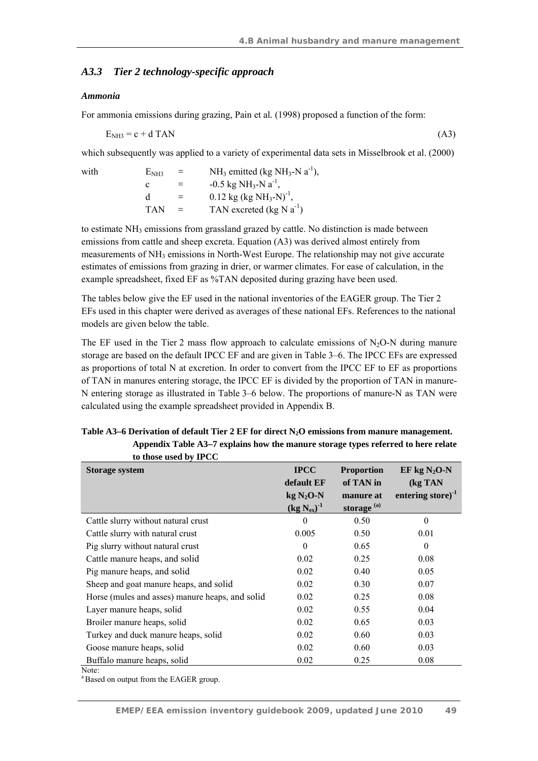## *A3.3 Tier 2 technology-specific approach*

#### *Ammonia*

For ammonia emissions during grazing, Pain et al*.* (1998) proposed a function of the form:

 $E_{\text{NH3}} = c + d$  TAN (A3)

which subsequently was applied to a variety of experimental data sets in Misselbrook et al. (2000)

with  $E_{NH3} = NH_3$  emitted (kg NH<sub>3</sub>-N a<sup>-1</sup>), c =  $-0.5 \text{ kg NH}_3\text{-N} \text{ a}^{-1}$ , d  $=$  0.12 kg (kg NH<sub>3</sub>-N)<sup>-1</sup> TAN  $=$  TAN excreted (kg N  $a^{-1}$ )

to estimate NH<sub>3</sub> emissions from grassland grazed by cattle. No distinction is made between emissions from cattle and sheep excreta. Equation (A3) was derived almost entirely from measurements of  $NH<sub>3</sub>$  emissions in North-West Europe. The relationship may not give accurate estimates of emissions from grazing in drier, or warmer climates. For ease of calculation, in the example spreadsheet, fixed EF as %TAN deposited during grazing have been used.

The tables below give the EF used in the national inventories of the EAGER group. The Tier 2 EFs used in this chapter were derived as averages of these national EFs. References to the national models are given below the table.

The EF used in the Tier 2 mass flow approach to calculate emissions of  $N<sub>2</sub>O-N$  during manure storage are based on the default IPCC EF and are given in Table 3–6. The IPCC EFs are expressed as proportions of total N at excretion. In order to convert from the IPCC EF to EF as proportions of TAN in manures entering storage, the IPCC EF is divided by the proportion of TAN in manure-N entering storage as illustrated in Table 3–6 below. The proportions of manure-N as TAN were calculated using the example spreadsheet provided in Appendix B.

| to those used by IPCC                           |                    |                   |                     |
|-------------------------------------------------|--------------------|-------------------|---------------------|
| <b>Storage system</b>                           | <b>IPCC</b>        | <b>Proportion</b> | EF kg $N_2O-N$      |
|                                                 | default EF         | of TAN in         | (kg TAN             |
|                                                 | $kg N2O-N$         | manure at         | entering store) $1$ |
|                                                 | $(kg N_{ex})^{-1}$ | storage $^{(a)}$  |                     |
| Cattle slurry without natural crust             | $\theta$           | 0.50              | $\theta$            |
| Cattle slurry with natural crust                | 0.005              | 0.50              | 0.01                |
| Pig slurry without natural crust                | $\theta$           | 0.65              | $\theta$            |
| Cattle manure heaps, and solid                  | 0.02               | 0.25              | 0.08                |
| Pig manure heaps, and solid                     | 0.02               | 0.40              | 0.05                |
| Sheep and goat manure heaps, and solid          | 0.02               | 0.30              | 0.07                |
| Horse (mules and asses) manure heaps, and solid | 0.02               | 0.25              | 0.08                |
| Layer manure heaps, solid                       | 0.02               | 0.55              | 0.04                |
| Broiler manure heaps, solid                     | 0.02               | 0.65              | 0.03                |
| Turkey and duck manure heaps, solid             | 0.02               | 0.60              | 0.03                |
| Goose manure heaps, solid                       | 0.02               | 0.60              | 0.03                |
| Buffalo manure heaps, solid                     | 0.02               | 0.25              | 0.08                |
| Note:                                           |                    |                   |                     |

Table A3–6 Derivation of default Tier 2 EF for direct N<sub>2</sub>O emissions from manure management. **Appendix Table A3–7 explains how the manure storage types referred to here relate** 

<sup>a</sup> Based on output from the EAGER group.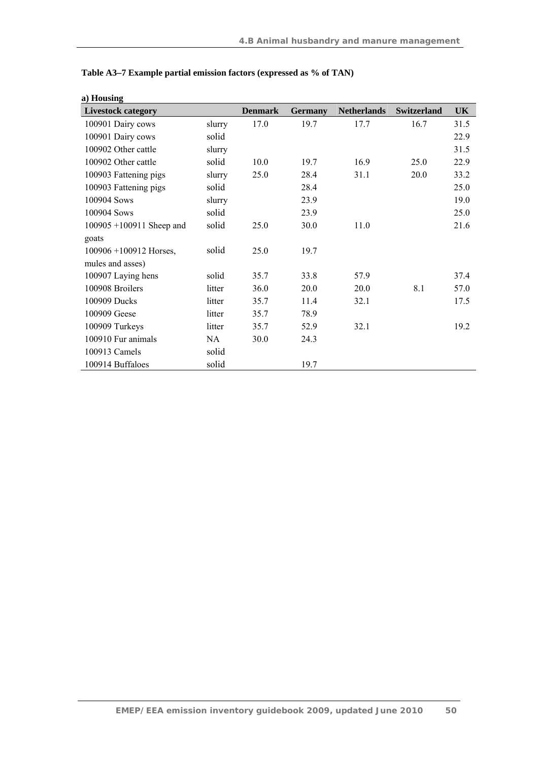| a) Housing                  |        |                |                |                    |                    |      |
|-----------------------------|--------|----------------|----------------|--------------------|--------------------|------|
| <b>Livestock category</b>   |        | <b>Denmark</b> | <b>Germany</b> | <b>Netherlands</b> | <b>Switzerland</b> | UK   |
| 100901 Dairy cows           | slurry | 17.0           | 19.7           | 17.7               | 16.7               | 31.5 |
| 100901 Dairy cows           | solid  |                |                |                    |                    | 22.9 |
| 100902 Other cattle         | slurry |                |                |                    |                    | 31.5 |
| 100902 Other cattle         | solid  | 10.0           | 19.7           | 16.9               | 25.0               | 22.9 |
| 100903 Fattening pigs       | slurry | 25.0           | 28.4           | 31.1               | 20.0               | 33.2 |
| 100903 Fattening pigs       | solid  |                | 28.4           |                    |                    | 25.0 |
| 100904 Sows                 | slurry |                | 23.9           |                    |                    | 19.0 |
| 100904 Sows                 | solid  |                | 23.9           |                    |                    | 25.0 |
| $100905 + 100911$ Sheep and | solid  | 25.0           | 30.0           | 11.0               |                    | 21.6 |
| goats                       |        |                |                |                    |                    |      |
| $100906 + 100912$ Horses,   | solid  | 25.0           | 19.7           |                    |                    |      |
| mules and asses)            |        |                |                |                    |                    |      |
| 100907 Laying hens          | solid  | 35.7           | 33.8           | 57.9               |                    | 37.4 |
| 100908 Broilers             | litter | 36.0           | 20.0           | 20.0               | 8.1                | 57.0 |
| 100909 Ducks                | litter | 35.7           | 11.4           | 32.1               |                    | 17.5 |
| 100909 Geese                | litter | 35.7           | 78.9           |                    |                    |      |
| 100909 Turkeys              | litter | 35.7           | 52.9           | 32.1               |                    | 19.2 |
| 100910 Fur animals          | NA     | 30.0           | 24.3           |                    |                    |      |
| 100913 Camels               | solid  |                |                |                    |                    |      |
| 100914 Buffaloes            | solid  |                | 19.7           |                    |                    |      |

| Table A3–7 Example partial emission factors (expressed as % of TAN) |  |  |  |
|---------------------------------------------------------------------|--|--|--|
|---------------------------------------------------------------------|--|--|--|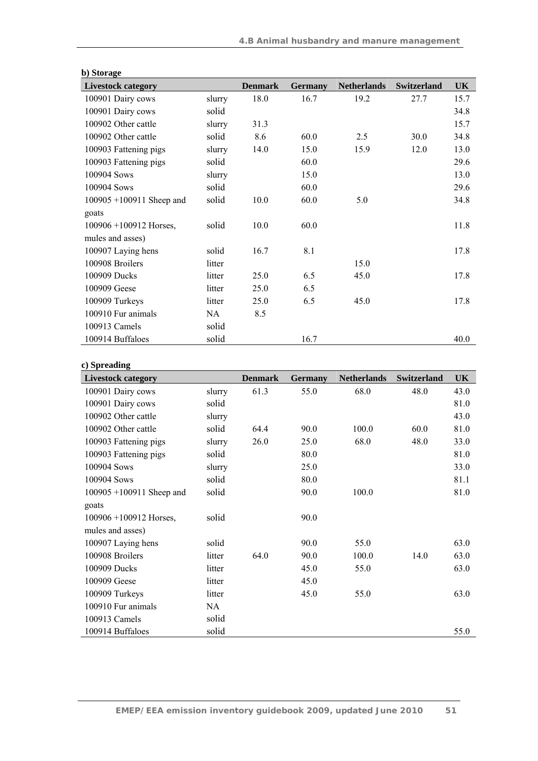| b) Storage                  |        |                |                |                    |                    |           |
|-----------------------------|--------|----------------|----------------|--------------------|--------------------|-----------|
| <b>Livestock category</b>   |        | <b>Denmark</b> | <b>Germany</b> | <b>Netherlands</b> | <b>Switzerland</b> | <b>UK</b> |
| 100901 Dairy cows           | slurry | 18.0           | 16.7           | 19.2               | 27.7               | 15.7      |
| 100901 Dairy cows           | solid  |                |                |                    |                    | 34.8      |
| 100902 Other cattle         | slurry | 31.3           |                |                    |                    | 15.7      |
| 100902 Other cattle         | solid  | 8.6            | 60.0           | 2.5                | 30.0               | 34.8      |
| 100903 Fattening pigs       | slurry | 14.0           | 15.0           | 15.9               | 12.0               | 13.0      |
| 100903 Fattening pigs       | solid  |                | 60.0           |                    |                    | 29.6      |
| 100904 Sows                 | slurry |                | 15.0           |                    |                    | 13.0      |
| 100904 Sows                 | solid  |                | 60.0           |                    |                    | 29.6      |
| $100905 + 100911$ Sheep and | solid  | 10.0           | 60.0           | 5.0                |                    | 34.8      |
| goats                       |        |                |                |                    |                    |           |
| $100906 + 100912$ Horses,   | solid  | 10.0           | 60.0           |                    |                    | 11.8      |
| mules and asses)            |        |                |                |                    |                    |           |
| 100907 Laying hens          | solid  | 16.7           | 8.1            |                    |                    | 17.8      |
| 100908 Broilers             | litter |                |                | 15.0               |                    |           |
| 100909 Ducks                | litter | 25.0           | 6.5            | 45.0               |                    | 17.8      |
| 100909 Geese                | litter | 25.0           | 6.5            |                    |                    |           |
| 100909 Turkeys              | litter | 25.0           | 6.5            | 45.0               |                    | 17.8      |
| 100910 Fur animals          | NA     | 8.5            |                |                    |                    |           |
| 100913 Camels               | solid  |                |                |                    |                    |           |
| 100914 Buffaloes            | solid  |                | 16.7           |                    |                    | 40.0      |

| c) Spreading                |        |                |                |                    |                    |      |
|-----------------------------|--------|----------------|----------------|--------------------|--------------------|------|
| <b>Livestock category</b>   |        | <b>Denmark</b> | <b>Germany</b> | <b>Netherlands</b> | <b>Switzerland</b> | UK   |
| 100901 Dairy cows           | slurry | 61.3           | 55.0           | 68.0               | 48.0               | 43.0 |
| 100901 Dairy cows           | solid  |                |                |                    |                    | 81.0 |
| 100902 Other cattle         | slurry |                |                |                    |                    | 43.0 |
| 100902 Other cattle         | solid  | 64.4           | 90.0           | 100.0              | 60.0               | 81.0 |
| 100903 Fattening pigs       | slurry | 26.0           | 25.0           | 68.0               | 48.0               | 33.0 |
| 100903 Fattening pigs       | solid  |                | 80.0           |                    |                    | 81.0 |
| 100904 Sows                 | slurry |                | 25.0           |                    |                    | 33.0 |
| 100904 Sows                 | solid  |                | 80.0           |                    |                    | 81.1 |
| $100905 + 100911$ Sheep and | solid  |                | 90.0           | 100.0              |                    | 81.0 |
| goats                       |        |                |                |                    |                    |      |
| $100906 + 100912$ Horses,   | solid  |                | 90.0           |                    |                    |      |
| mules and asses)            |        |                |                |                    |                    |      |
| 100907 Laying hens          | solid  |                | 90.0           | 55.0               |                    | 63.0 |
| 100908 Broilers             | litter | 64.0           | 90.0           | 100.0              | 14.0               | 63.0 |
| 100909 Ducks                | litter |                | 45.0           | 55.0               |                    | 63.0 |
| 100909 Geese                | litter |                | 45.0           |                    |                    |      |
| 100909 Turkeys              | litter |                | 45.0           | 55.0               |                    | 63.0 |
| 100910 Fur animals          | NA     |                |                |                    |                    |      |
| 100913 Camels               | solid  |                |                |                    |                    |      |
| 100914 Buffaloes            | solid  |                |                |                    |                    | 55.0 |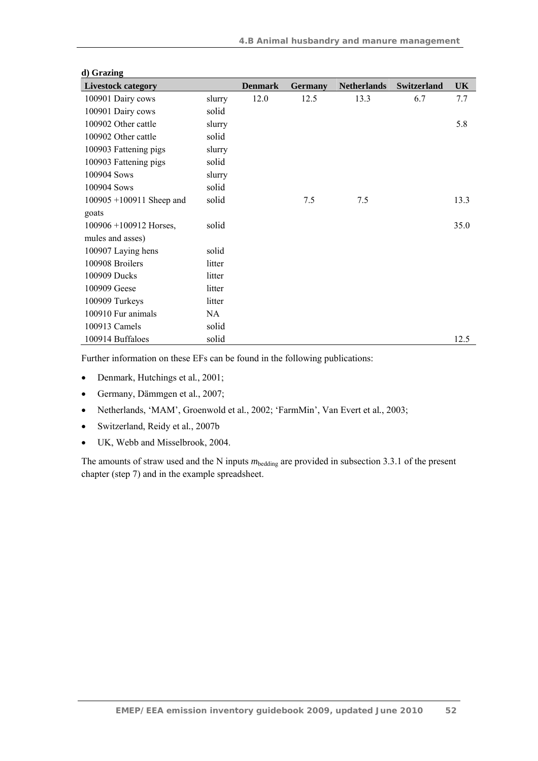| u) vraznig<br><b>Livestock category</b> |        | <b>Denmark</b> | <b>Germany</b> | <b>Netherlands</b> | <b>Switzerland</b> | <b>UK</b> |
|-----------------------------------------|--------|----------------|----------------|--------------------|--------------------|-----------|
| 100901 Dairy cows                       | slurry | 12.0           | 12.5           | 13.3               | 6.7                | 7.7       |
| 100901 Dairy cows                       | solid  |                |                |                    |                    |           |
| 100902 Other cattle                     | slurry |                |                |                    |                    | 5.8       |
| 100902 Other cattle                     | solid  |                |                |                    |                    |           |
| 100903 Fattening pigs                   | slurry |                |                |                    |                    |           |
| 100903 Fattening pigs                   | solid  |                |                |                    |                    |           |
| 100904 Sows                             | slurry |                |                |                    |                    |           |
| 100904 Sows                             | solid  |                |                |                    |                    |           |
| $100905 + 100911$ Sheep and             | solid  |                | 7.5            | 7.5                |                    | 13.3      |
| goats                                   |        |                |                |                    |                    |           |
| $100906 + 100912$ Horses,               | solid  |                |                |                    |                    | 35.0      |
| mules and asses)                        |        |                |                |                    |                    |           |
| 100907 Laying hens                      | solid  |                |                |                    |                    |           |
| 100908 Broilers                         | litter |                |                |                    |                    |           |
| 100909 Ducks                            | litter |                |                |                    |                    |           |
| 100909 Geese                            | litter |                |                |                    |                    |           |
| 100909 Turkeys                          | litter |                |                |                    |                    |           |
| 100910 Fur animals                      | NA     |                |                |                    |                    |           |
| 100913 Camels                           | solid  |                |                |                    |                    |           |
| 100914 Buffaloes                        | solid  |                |                |                    |                    | 12.5      |

## **d) Grazing**

Further information on these EFs can be found in the following publications:

- Denmark, Hutchings et al*.*, 2001;
- Germany, Dämmgen et al*.*, 2007;
- Netherlands, 'MAM', Groenwold et al*.*, 2002; 'FarmMin', Van Evert et al*.*, 2003;
- Switzerland, Reidy et al*.*, 2007b
- UK, Webb and Misselbrook, 2004.

The amounts of straw used and the N inputs  $m_{\text{bedding}}$  are provided in subsection 3.3.1 of the present chapter (step 7) and in the example spreadsheet.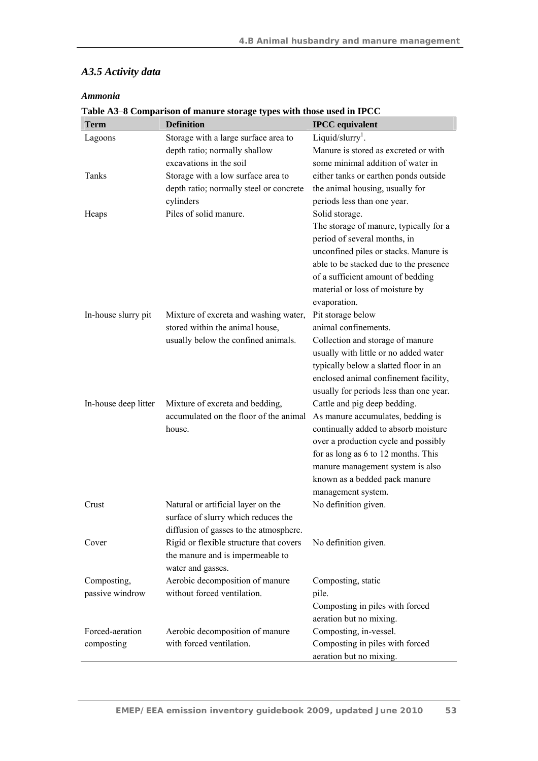## *A3.5 Activity data*

## *Ammonia*

| <b>Term</b>          | <b>Definition</b>                       | <b>IPCC</b> equivalent                                                         |
|----------------------|-----------------------------------------|--------------------------------------------------------------------------------|
| Lagoons              | Storage with a large surface area to    | Liquid/slurry <sup>1</sup> .                                                   |
|                      | depth ratio; normally shallow           | Manure is stored as excreted or with                                           |
|                      | excavations in the soil                 | some minimal addition of water in                                              |
| Tanks                | Storage with a low surface area to      | either tanks or earthen ponds outside                                          |
|                      | depth ratio; normally steel or concrete | the animal housing, usually for                                                |
|                      | cylinders                               | periods less than one year.                                                    |
| Heaps                | Piles of solid manure.                  | Solid storage.                                                                 |
|                      |                                         | The storage of manure, typically for a                                         |
|                      |                                         | period of several months, in                                                   |
|                      |                                         | unconfined piles or stacks. Manure is                                          |
|                      |                                         | able to be stacked due to the presence                                         |
|                      |                                         | of a sufficient amount of bedding                                              |
|                      |                                         | material or loss of moisture by                                                |
|                      |                                         | evaporation.                                                                   |
| In-house slurry pit  | Mixture of excreta and washing water,   | Pit storage below                                                              |
|                      | stored within the animal house,         | animal confinements.                                                           |
|                      | usually below the confined animals.     | Collection and storage of manure                                               |
|                      |                                         | usually with little or no added water<br>typically below a slatted floor in an |
|                      |                                         | enclosed animal confinement facility,                                          |
|                      |                                         | usually for periods less than one year.                                        |
| In-house deep litter | Mixture of excreta and bedding,         | Cattle and pig deep bedding.                                                   |
|                      | accumulated on the floor of the animal  | As manure accumulates, bedding is                                              |
|                      | house.                                  | continually added to absorb moisture                                           |
|                      |                                         | over a production cycle and possibly                                           |
|                      |                                         | for as long as 6 to 12 months. This                                            |
|                      |                                         | manure management system is also                                               |
|                      |                                         | known as a bedded pack manure                                                  |
|                      |                                         | management system.                                                             |
| Crust                | Natural or artificial layer on the      | No definition given.                                                           |
|                      | surface of slurry which reduces the     |                                                                                |
|                      | diffusion of gasses to the atmosphere.  |                                                                                |
| Cover                | Rigid or flexible structure that covers | No definition given.                                                           |
|                      | the manure and is impermeable to        |                                                                                |
|                      | water and gasses.                       |                                                                                |
| Composting,          | Aerobic decomposition of manure         | Composting, static                                                             |
| passive windrow      | without forced ventilation.             | pile.                                                                          |
|                      |                                         | Composting in piles with forced                                                |
|                      |                                         | aeration but no mixing.                                                        |
| Forced-aeration      | Aerobic decomposition of manure         | Composting, in-vessel.                                                         |
| composting           | with forced ventilation.                | Composting in piles with forced                                                |
|                      |                                         | aeration but no mixing.                                                        |

#### **Table A3**–**8 Comparison of manure storage types with those used in IPCC**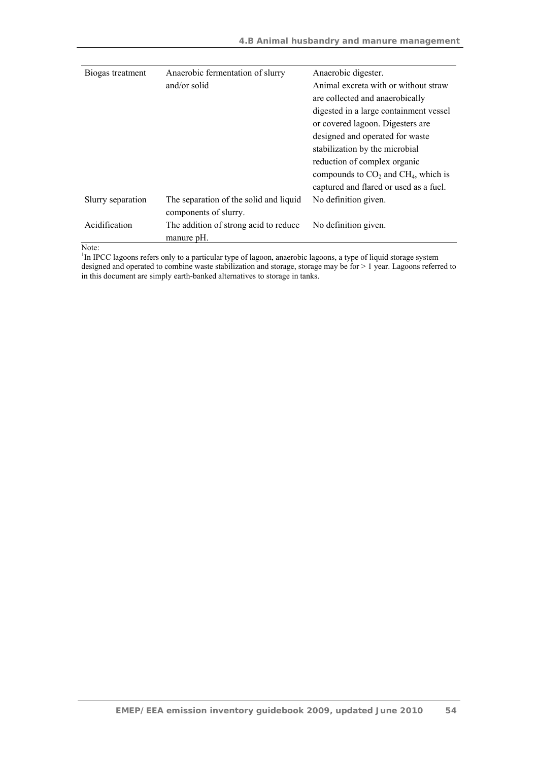| Biogas treatment  | Anaerobic fermentation of slurry       | Anaerobic digester.                     |
|-------------------|----------------------------------------|-----------------------------------------|
|                   | and/or solid                           | Animal excreta with or without straw    |
|                   |                                        | are collected and anaerobically         |
|                   |                                        | digested in a large containment vessel  |
|                   |                                        | or covered lagoon. Digesters are        |
|                   |                                        | designed and operated for waste         |
|                   |                                        | stabilization by the microbial          |
|                   |                                        | reduction of complex organic            |
|                   |                                        | compounds to $CO2$ and $CH4$ , which is |
|                   |                                        | captured and flared or used as a fuel.  |
| Slurry separation | The separation of the solid and liquid | No definition given.                    |
|                   | components of slurry.                  |                                         |
| Acidification     | The addition of strong acid to reduce  | No definition given.                    |
| .                 | manure pH.                             |                                         |

Note:<br><sup>1</sup>In IPCC lagoons refers only to a particular type of lagoon, anaerobic lagoons, a type of liquid storage system designed and operated to combine waste stabilization and storage, storage may be for > 1 year. Lagoons referred to in this document are simply earth-banked alternatives to storage in tanks.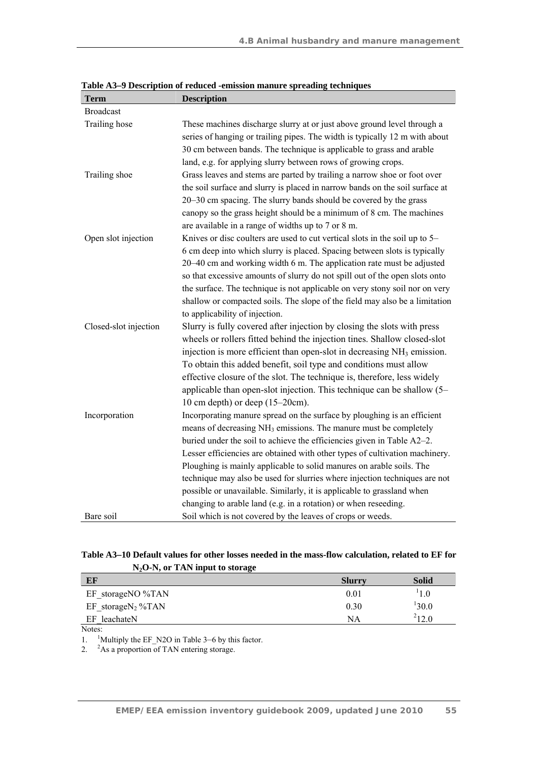| <b>Term</b>           | <b>Description</b>                                                                 |
|-----------------------|------------------------------------------------------------------------------------|
| <b>Broadcast</b>      |                                                                                    |
| Trailing hose         | These machines discharge slurry at or just above ground level through a            |
|                       | series of hanging or trailing pipes. The width is typically 12 m with about        |
|                       | 30 cm between bands. The technique is applicable to grass and arable               |
|                       | land, e.g. for applying slurry between rows of growing crops.                      |
| Trailing shoe         | Grass leaves and stems are parted by trailing a narrow shoe or foot over           |
|                       | the soil surface and slurry is placed in narrow bands on the soil surface at       |
|                       | 20–30 cm spacing. The slurry bands should be covered by the grass                  |
|                       | canopy so the grass height should be a minimum of 8 cm. The machines               |
|                       | are available in a range of widths up to 7 or 8 m.                                 |
| Open slot injection   | Knives or disc coulters are used to cut vertical slots in the soil up to 5–        |
|                       | 6 cm deep into which slurry is placed. Spacing between slots is typically          |
|                       | 20–40 cm and working width 6 m. The application rate must be adjusted              |
|                       | so that excessive amounts of slurry do not spill out of the open slots onto        |
|                       | the surface. The technique is not applicable on very stony soil nor on very        |
|                       | shallow or compacted soils. The slope of the field may also be a limitation        |
|                       | to applicability of injection.                                                     |
| Closed-slot injection | Slurry is fully covered after injection by closing the slots with press            |
|                       | wheels or rollers fitted behind the injection tines. Shallow closed-slot           |
|                       | injection is more efficient than open-slot in decreasing NH <sub>3</sub> emission. |
|                       | To obtain this added benefit, soil type and conditions must allow                  |
|                       | effective closure of the slot. The technique is, therefore, less widely            |
|                       | applicable than open-slot injection. This technique can be shallow (5–             |
|                       | 10 cm depth) or deep $(15-20cm)$ .                                                 |
| Incorporation         | Incorporating manure spread on the surface by ploughing is an efficient            |
|                       | means of decreasing NH <sub>3</sub> emissions. The manure must be completely       |
|                       | buried under the soil to achieve the efficiencies given in Table A2–2.             |
|                       | Lesser efficiencies are obtained with other types of cultivation machinery.        |
|                       | Ploughing is mainly applicable to solid manures on arable soils. The               |
|                       | technique may also be used for slurries where injection techniques are not         |
|                       | possible or unavailable. Similarly, it is applicable to grassland when             |
|                       | changing to arable land (e.g. in a rotation) or when reseeding.                    |
| Bare soil             | Soil which is not covered by the leaves of crops or weeds.                         |

**Table A3–9 Description of reduced -emission manure spreading techniques** 

|                                   | Table A3–10 Default values for other losses needed in the mass-flow calculation, related to EF for |
|-----------------------------------|----------------------------------------------------------------------------------------------------|
| $N2O-N$ , or TAN input to storage |                                                                                                    |

| EF                         | <b>Slurry</b> | <b>Solid</b> |
|----------------------------|---------------|--------------|
| EF storageNO %TAN          | 0.01          | 1.0          |
| $EF_ \: storageN_2 \% TAN$ | 0.30          | 130.0        |
| EF leachateN               | NA            | $^{2}12.0$   |
| $N_{\alpha\beta\alpha}$    |               |              |

Notes:

1. <sup>1</sup>Multiply the EF\_N2O in Table 3–6 by this factor.

2. <sup>2</sup>As a proportion of TAN entering storage.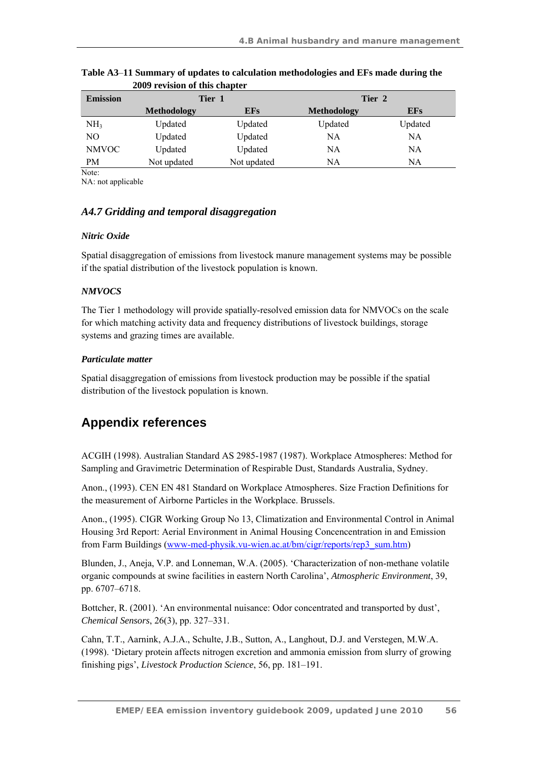| <b>Emission</b> | Tier 1             |             | Tier 2             |            |
|-----------------|--------------------|-------------|--------------------|------------|
|                 | <b>Methodology</b> | <b>EFs</b>  | <b>Methodology</b> | <b>EFs</b> |
| NH <sub>3</sub> | Updated            | Updated     | Updated            | Updated    |
| NO              | Updated            | Updated     | NΑ                 | NA         |
| <b>NMVOC</b>    | Updated            | Updated     | NA                 | NA         |
| PM              | Not updated        | Not updated | NA                 | NA         |
| Note:           |                    |             |                    |            |

**Table A3**–**11 Summary of updates to calculation methodologies and EFs made during the 2009 revision of this chapter** 

NA: not applicable

## *A4.7 Gridding and temporal disaggregation*

#### *Nitric Oxide*

Spatial disaggregation of emissions from livestock manure management systems may be possible if the spatial distribution of the livestock population is known.

## *NMVOCS*

The Tier 1 methodology will provide spatially-resolved emission data for NMVOCs on the scale for which matching activity data and frequency distributions of livestock buildings, storage systems and grazing times are available.

## *Particulate matter*

Spatial disaggregation of emissions from livestock production may be possible if the spatial distribution of the livestock population is known.

# **Appendix references**

ACGIH (1998). Australian Standard AS 2985-1987 (1987). Workplace Atmospheres: Method for Sampling and Gravimetric Determination of Respirable Dust, Standards Australia, Sydney.

Anon., (1993). CEN EN 481 Standard on Workplace Atmospheres. Size Fraction Definitions for the measurement of Airborne Particles in the Workplace. Brussels.

Anon., (1995). CIGR Working Group No 13, Climatization and Environmental Control in Animal Housing 3rd Report: Aerial Environment in Animal Housing Concencentration in and Emission from Farm Buildings (www-med-physik.vu-wien.ac.at/bm/cigr/reports/rep3\_sum.htm)

Blunden, J., Aneja, V.P. and Lonneman, W.A. (2005). 'Characterization of non-methane volatile organic compounds at swine facilities in eastern North Carolina', *Atmospheric Environment*, 39, pp. 6707–6718.

Bottcher, R. (2001). 'An environmental nuisance: Odor concentrated and transported by dust', *Chemical Sensors*, 26(3), pp. 327–331.

Cahn, T.T., Aarnink, A.J.A., Schulte, J.B., Sutton, A., Langhout, D.J. and Verstegen, M.W.A. (1998). 'Dietary protein affects nitrogen excretion and ammonia emission from slurry of growing finishing pigs', *Livestock Production Science*, 56, pp. 181–191.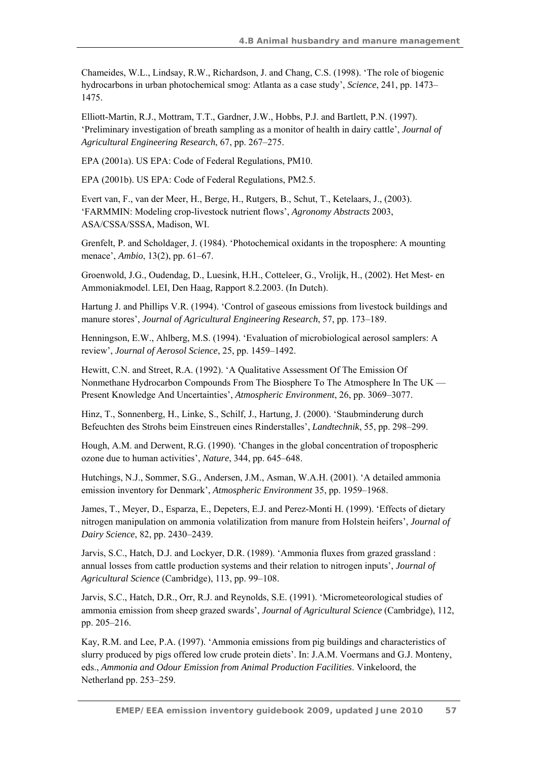Chameides, W.L., Lindsay, R.W., Richardson, J. and Chang, C.S. (1998). 'The role of biogenic hydrocarbons in urban photochemical smog: Atlanta as a case study', *Science*, 241, pp. 1473– 1475.

Elliott-Martin, R.J., Mottram, T.T., Gardner, J.W., Hobbs, P.J. and Bartlett, P.N. (1997). 'Preliminary investigation of breath sampling as a monitor of health in dairy cattle', *Journal of Agricultural Engineering Research*, 67, pp. 267–275.

EPA (2001a). US EPA: Code of Federal Regulations, PM10.

EPA (2001b). US EPA: Code of Federal Regulations, PM2.5.

Evert van, F., van der Meer, H., Berge, H., Rutgers, B., Schut, T., Ketelaars, J., (2003). 'FARMMIN: Modeling crop-livestock nutrient flows', *Agronomy Abstracts* 2003, ASA/CSSA/SSSA, Madison, WI.

Grenfelt, P. and Scholdager, J. (1984). 'Photochemical oxidants in the troposphere: A mounting menace', *Ambio*, 13(2), pp. 61–67.

Groenwold, J.G., Oudendag, D., Luesink, H.H., Cotteleer, G., Vrolijk, H., (2002). Het Mest- en Ammoniakmodel. LEI, Den Haag, Rapport 8.2.2003. (In Dutch).

Hartung J. and Phillips V.R. (1994). 'Control of gaseous emissions from livestock buildings and manure stores', *Journal of Agricultural Engineering Research*, 57, pp. 173–189.

Henningson, E.W., Ahlberg, M.S. (1994). 'Evaluation of microbiological aerosol samplers: A review', *Journal of Aerosol Science*, 25, pp. 1459–1492.

Hewitt, C.N. and Street, R.A. (1992). 'A Qualitative Assessment Of The Emission Of Nonmethane Hydrocarbon Compounds From The Biosphere To The Atmosphere In The UK — Present Knowledge And Uncertainties', *Atmospheric Environment*, 26, pp. 3069–3077.

Hinz, T., Sonnenberg, H., Linke, S., Schilf, J., Hartung, J. (2000). 'Staubminderung durch Befeuchten des Strohs beim Einstreuen eines Rinderstalles', *Landtechnik*, 55, pp. 298–299.

Hough, A.M. and Derwent, R.G. (1990). 'Changes in the global concentration of tropospheric ozone due to human activities', *Nature*, 344, pp. 645–648.

Hutchings, N.J., Sommer, S.G., Andersen, J.M., Asman, W.A.H. (2001). 'A detailed ammonia emission inventory for Denmark', *Atmospheric Environment* 35, pp. 1959–1968.

James, T., Meyer, D., Esparza, E., Depeters, E.J. and Perez-Monti H. (1999). 'Effects of dietary nitrogen manipulation on ammonia volatilization from manure from Holstein heifers', *Journal of Dairy Science*, 82, pp. 2430–2439.

Jarvis, S.C., Hatch, D.J. and Lockyer, D.R. (1989). 'Ammonia fluxes from grazed grassland : annual losses from cattle production systems and their relation to nitrogen inputs', *Journal of Agricultural Science* (Cambridge), 113, pp. 99–108.

Jarvis, S.C., Hatch, D.R., Orr, R.J. and Reynolds, S.E. (1991). 'Micrometeorological studies of ammonia emission from sheep grazed swards', *Journal of Agricultural Science* (Cambridge), 112, pp. 205–216.

Kay, R.M. and Lee, P.A. (1997). 'Ammonia emissions from pig buildings and characteristics of slurry produced by pigs offered low crude protein diets'. In: J.A.M. Voermans and G.J. Monteny, eds., *Ammonia and Odour Emission from Animal Production Facilities*. Vinkeloord, the Netherland pp. 253–259.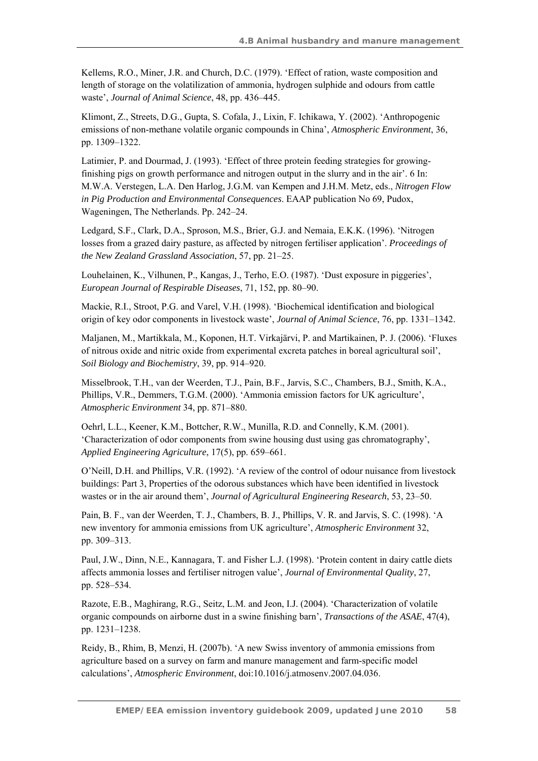Kellems, R.O., Miner, J.R. and Church, D.C. (1979). 'Effect of ration, waste composition and length of storage on the volatilization of ammonia, hydrogen sulphide and odours from cattle waste', *Journal of Animal Science*, 48, pp. 436–445.

Klimont, Z., Streets, D.G., Gupta, S. Cofala, J., Lixin, F. Ichikawa, Y. (2002). 'Anthropogenic emissions of non-methane volatile organic compounds in China', *Atmospheric Environment*, 36, pp. 1309–1322.

Latimier, P. and Dourmad, J. (1993). 'Effect of three protein feeding strategies for growingfinishing pigs on growth performance and nitrogen output in the slurry and in the air'. 6 In: M.W.A. Verstegen, L.A. Den Harlog, J.G.M. van Kempen and J.H.M. Metz, eds., *Nitrogen Flow in Pig Production and Environmental Consequences*. EAAP publication No 69, Pudox, Wageningen, The Netherlands. Pp. 242–24.

Ledgard, S.F., Clark, D.A., Sproson, M.S., Brier, G.J. and Nemaia, E.K.K. (1996). 'Nitrogen losses from a grazed dairy pasture, as affected by nitrogen fertiliser application'. *Proceedings of the New Zealand Grassland Association*, 57, pp. 21–25.

Louhelainen, K., Vilhunen, P., Kangas, J., Terho, E.O. (1987). 'Dust exposure in piggeries', *European Journal of Respirable Diseases*, 71, 152, pp. 80–90.

Mackie, R.I., Stroot, P.G. and Varel, V.H. (1998). 'Biochemical identification and biological origin of key odor components in livestock waste', *Journal of Animal Science*, 76, pp. 1331–1342.

Maljanen, M., Martikkala, M., Koponen, H.T. Virkajärvi, P. and Martikainen, P. J. (2006). 'Fluxes of nitrous oxide and nitric oxide from experimental excreta patches in boreal agricultural soil', *Soil Biology and Biochemistry*, 39, pp. 914–920.

Misselbrook, T.H., van der Weerden, T.J., Pain, B.F., Jarvis, S.C., Chambers, B.J., Smith, K.A., Phillips, V.R., Demmers, T.G.M. (2000). 'Ammonia emission factors for UK agriculture', *Atmospheric Environment* 34, pp. 871–880.

Oehrl, L.L., Keener, K.M., Bottcher, R.W., Munilla, R.D. and Connelly, K.M. (2001). 'Characterization of odor components from swine housing dust using gas chromatography', *Applied Engineering Agriculture*, 17(5), pp. 659–661.

O'Neill, D.H. and Phillips, V.R. (1992). 'A review of the control of odour nuisance from livestock buildings: Part 3, Properties of the odorous substances which have been identified in livestock wastes or in the air around them', *Journal of Agricultural Engineering Research*, 53, 23–50.

Pain, B. F., van der Weerden, T. J., Chambers, B. J., Phillips, V. R. and Jarvis, S. C. (1998). 'A new inventory for ammonia emissions from UK agriculture', *Atmospheric Environment* 32, pp. 309–313.

Paul, J.W., Dinn, N.E., Kannagara, T. and Fisher L.J. (1998). 'Protein content in dairy cattle diets affects ammonia losses and fertiliser nitrogen value', *Journal of Environmental Quality*, 27, pp. 528–534.

Razote, E.B., Maghirang, R.G., Seitz, L.M. and Jeon, I.J. (2004). 'Characterization of volatile organic compounds on airborne dust in a swine finishing barn', *Transactions of the ASAE*, 47(4), pp. 1231–1238.

Reidy, B., Rhim, B, Menzi, H. (2007b). 'A new Swiss inventory of ammonia emissions from agriculture based on a survey on farm and manure management and farm-specific model calculations', *Atmospheric Environment*, doi:10.1016/j.atmosenv.2007.04.036.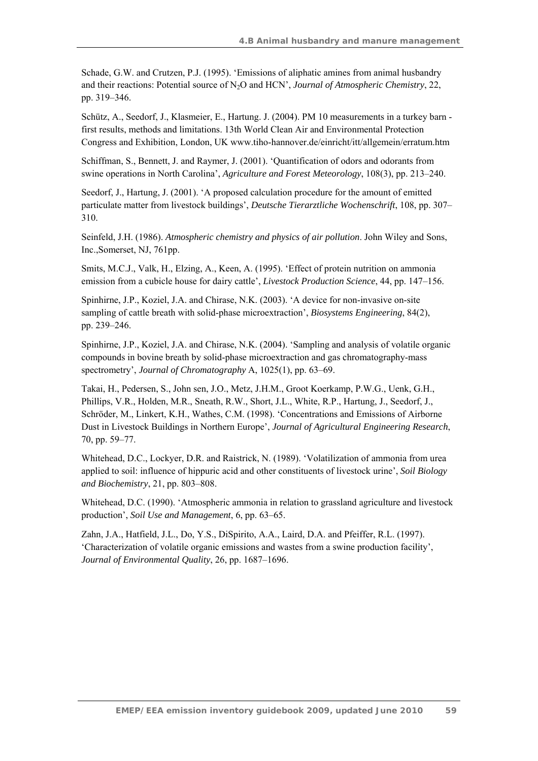Schade, G.W. and Crutzen, P.J. (1995). 'Emissions of aliphatic amines from animal husbandry and their reactions: Potential source of N2O and HCN', *Journal of Atmospheric Chemistry*, 22, pp. 319–346.

Schütz, A., Seedorf, J., Klasmeier, E., Hartung. J. (2004). PM 10 measurements in a turkey barn first results, methods and limitations. 13th World Clean Air and Environmental Protection Congress and Exhibition, London, UK www.tiho-hannover.de/einricht/itt/allgemein/erratum.htm

Schiffman, S., Bennett, J. and Raymer, J. (2001). 'Quantification of odors and odorants from swine operations in North Carolina', *Agriculture and Forest Meteorology*, 108(3), pp. 213–240.

Seedorf, J., Hartung, J. (2001). 'A proposed calculation procedure for the amount of emitted particulate matter from livestock buildings', *Deutsche Tierarztliche Wochenschrift*, 108, pp. 307– 310.

Seinfeld, J.H. (1986). *Atmospheric chemistry and physics of air pollution*. John Wiley and Sons, Inc.,Somerset, NJ, 761pp.

Smits, M.C.J., Valk, H., Elzing, A., Keen, A. (1995). 'Effect of protein nutrition on ammonia emission from a cubicle house for dairy cattle', *Livestock Production Science*, 44, pp. 147–156.

Spinhirne, J.P., Koziel, J.A. and Chirase, N.K. (2003). 'A device for non-invasive on-site sampling of cattle breath with solid-phase microextraction', *Biosystems Engineering*, 84(2), pp. 239–246.

Spinhirne, J.P., Koziel, J.A. and Chirase, N.K. (2004). 'Sampling and analysis of volatile organic compounds in bovine breath by solid-phase microextraction and gas chromatography-mass spectrometry', *Journal of Chromatography* A, 1025(1), pp. 63–69.

Takai, H., Pedersen, S., John sen, J.O., Metz, J.H.M., Groot Koerkamp, P.W.G., Uenk, G.H., Phillips, V.R., Holden, M.R., Sneath, R.W., Short, J.L., White, R.P., Hartung, J., Seedorf, J., Schröder, M., Linkert, K.H., Wathes, C.M. (1998). 'Concentrations and Emissions of Airborne Dust in Livestock Buildings in Northern Europe', *Journal of Agricultural Engineering Research*, 70, pp. 59–77.

Whitehead, D.C., Lockyer, D.R. and Raistrick, N. (1989). 'Volatilization of ammonia from urea applied to soil: influence of hippuric acid and other constituents of livestock urine', *Soil Biology and Biochemistry*, 21, pp. 803–808.

Whitehead, D.C. (1990). 'Atmospheric ammonia in relation to grassland agriculture and livestock production', *Soil Use and Management*, 6, pp. 63–65.

Zahn, J.A., Hatfield, J.L., Do, Y.S., DiSpirito, A.A., Laird, D.A. and Pfeiffer, R.L. (1997). 'Characterization of volatile organic emissions and wastes from a swine production facility', *Journal of Environmental Quality*, 26, pp. 1687–1696.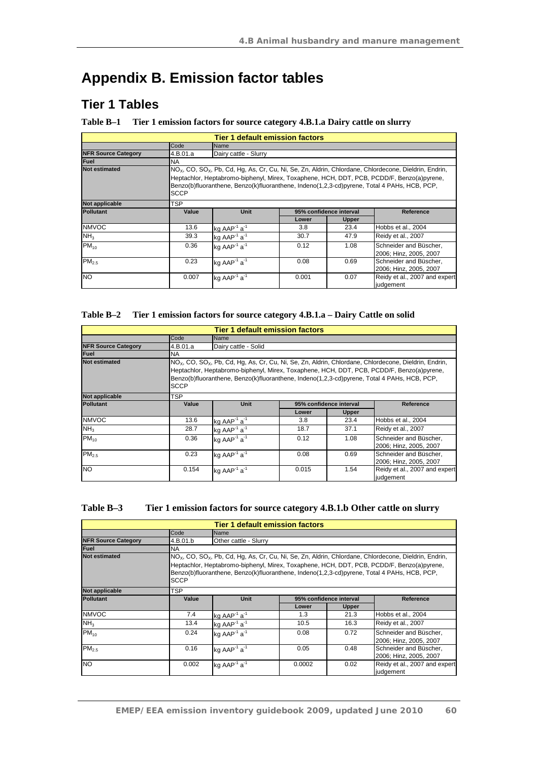# **Appendix B. Emission factor tables**

# **Tier 1 Tables**

#### **Table B–1 Tier 1 emission factors for source category 4.B.1.a Dairy cattle on slurry**

|                            |             | <b>Tier 1 default emission factors</b>                                                                                                                                                                                                                                                                          |       |                         |                                                  |  |  |
|----------------------------|-------------|-----------------------------------------------------------------------------------------------------------------------------------------------------------------------------------------------------------------------------------------------------------------------------------------------------------------|-------|-------------------------|--------------------------------------------------|--|--|
|                            | Code        | Name                                                                                                                                                                                                                                                                                                            |       |                         |                                                  |  |  |
| <b>NFR Source Category</b> | 4.B.01.a    | Dairy cattle - Slurry                                                                                                                                                                                                                                                                                           |       |                         |                                                  |  |  |
| <b>Fuel</b>                | <b>NA</b>   |                                                                                                                                                                                                                                                                                                                 |       |                         |                                                  |  |  |
| <b>Not estimated</b>       | <b>SCCP</b> | $NOx$ , CO, SO <sub>x</sub> , Pb, Cd, Hg, As, Cr, Cu, Ni, Se, Zn, Aldrin, Chlordane, Chlordecone, Dieldrin, Endrin,<br>Heptachlor, Heptabromo-biphenyl, Mirex, Toxaphene, HCH, DDT, PCB, PCDD/F, Benzo(a)pyrene,<br>Benzo(b)fluoranthene, Benzo(k)fluoranthene, Indeno(1,2,3-cd)pyrene, Total 4 PAHs, HCB, PCP, |       |                         |                                                  |  |  |
| Not applicable             | <b>TSP</b>  |                                                                                                                                                                                                                                                                                                                 |       |                         |                                                  |  |  |
| <b>Pollutant</b>           | Value       | <b>Unit</b>                                                                                                                                                                                                                                                                                                     |       | 95% confidence interval | Reference                                        |  |  |
|                            |             |                                                                                                                                                                                                                                                                                                                 | Lower | <b>Upper</b>            |                                                  |  |  |
| <b>NMVOC</b>               | 13.6        | kg $AAP^{-1}$ a <sup>-1</sup>                                                                                                                                                                                                                                                                                   | 3.8   | 23.4                    | Hobbs et al., 2004                               |  |  |
| NH <sub>3</sub>            | 39.3        | kg AAP <sup>-1</sup> $a^{-1}$                                                                                                                                                                                                                                                                                   | 30.7  | 47.9                    | Reidy et al., 2007                               |  |  |
| $PM_{10}$                  | 0.36        | kg AAP <sup>-1</sup> $a^{-1}$                                                                                                                                                                                                                                                                                   | 0.12  | 1.08                    | Schneider and Büscher,<br>2006; Hinz, 2005, 2007 |  |  |
| PM <sub>2.5</sub>          | 0.23        | kg AAP <sup>-1</sup> a <sup>-1</sup>                                                                                                                                                                                                                                                                            | 0.08  | 0.69                    | Schneider and Büscher,<br>2006; Hinz, 2005, 2007 |  |  |
| <b>NO</b>                  | 0.007       | kg AAP <sup>-1</sup> $a^{-1}$                                                                                                                                                                                                                                                                                   | 0.001 | 0.07                    | Reidy et al., 2007 and expert<br>judgement       |  |  |

#### **Table B–2 Tier 1 emission factors for source category 4.B.1.a – Dairy Cattle on solid**

|                            |             | <b>Tier 1 default emission factors</b>                                                                                                                                                   |       |                         |                                                  |  |
|----------------------------|-------------|------------------------------------------------------------------------------------------------------------------------------------------------------------------------------------------|-------|-------------------------|--------------------------------------------------|--|
|                            | Code        | Name                                                                                                                                                                                     |       |                         |                                                  |  |
| <b>NFR Source Category</b> | 4.B.01.a    | Dairy cattle - Solid                                                                                                                                                                     |       |                         |                                                  |  |
| Fuel                       | <b>NA</b>   |                                                                                                                                                                                          |       |                         |                                                  |  |
| <b>Not estimated</b>       |             | $NOx$ , CO, SO <sub>x</sub> , Pb, Cd, Hg, As, Cr, Cu, Ni, Se, Zn, Aldrin, Chlordane, Chlordecone, Dieldrin, Endrin,                                                                      |       |                         |                                                  |  |
|                            | <b>SCCP</b> | Heptachlor, Heptabromo-biphenyl, Mirex, Toxaphene, HCH, DDT, PCB, PCDD/F, Benzo(a)pyrene,<br>Benzo(b)fluoranthene, Benzo(k)fluoranthene, Indeno(1,2,3-cd)pyrene, Total 4 PAHs, HCB, PCP, |       |                         |                                                  |  |
| Not applicable             | TSP         |                                                                                                                                                                                          |       |                         |                                                  |  |
| <b>Pollutant</b>           | Value       | <b>Unit</b>                                                                                                                                                                              |       | 95% confidence interval | Reference                                        |  |
|                            |             |                                                                                                                                                                                          | Lower | <b>Upper</b>            |                                                  |  |
| <b>NMVOC</b>               | 13.6        | $kg$ AAP <sup>-1</sup> a <sup>-1</sup>                                                                                                                                                   | 3.8   | 23.4                    | Hobbs et al., 2004                               |  |
| NH <sub>3</sub>            | 28.7        | kg AAP <sup>-1</sup> a <sup>-1</sup>                                                                                                                                                     | 18.7  | 37.1                    | Reidy et al., 2007                               |  |
| $PM_{10}$                  | 0.36        | kg AAP $1$ a $1$                                                                                                                                                                         | 0.12  | 1.08                    | Schneider and Büscher,<br>2006: Hinz. 2005. 2007 |  |
| PM <sub>2.5</sub>          | 0.23        | kg AAP <sup>-1</sup> $a^{-1}$                                                                                                                                                            | 0.08  | 0.69                    | Schneider and Büscher,<br>2006; Hinz, 2005, 2007 |  |
| <b>NO</b>                  | 0.154       | kg AAP <sup>-1</sup> a <sup>-1</sup>                                                                                                                                                     | 0.015 | 1.54                    | Reidy et al., 2007 and expert<br>judgement       |  |

## **Table B–3 Tier 1 emission factors for source category 4.B.1.b Other cattle on slurry**

| <b>Tier 1 default emission factors</b> |             |                                                                                                                                                                                                                                                                                                                 |                         |              |                                                  |  |  |
|----------------------------------------|-------------|-----------------------------------------------------------------------------------------------------------------------------------------------------------------------------------------------------------------------------------------------------------------------------------------------------------------|-------------------------|--------------|--------------------------------------------------|--|--|
|                                        | Code        | Name                                                                                                                                                                                                                                                                                                            |                         |              |                                                  |  |  |
| <b>NFR Source Category</b>             | 4.B.01.b    | Other cattle - Slurry                                                                                                                                                                                                                                                                                           |                         |              |                                                  |  |  |
| <b>Fuel</b>                            | <b>NA</b>   |                                                                                                                                                                                                                                                                                                                 |                         |              |                                                  |  |  |
| <b>Not estimated</b>                   | <b>SCCP</b> | $NOx$ , CO, SO <sub>x</sub> , Pb, Cd, Hg, As, Cr, Cu, Ni, Se, Zn, Aldrin, Chlordane, Chlordecone, Dieldrin, Endrin,<br>Heptachlor, Heptabromo-biphenyl, Mirex, Toxaphene, HCH, DDT, PCB, PCDD/F, Benzo(a)pyrene,<br>Benzo(b)fluoranthene, Benzo(k)fluoranthene, Indeno(1,2,3-cd)pyrene, Total 4 PAHs, HCB, PCP, |                         |              |                                                  |  |  |
| Not applicable                         | <b>TSP</b>  |                                                                                                                                                                                                                                                                                                                 |                         |              |                                                  |  |  |
| <b>Pollutant</b>                       | Value       | <b>Unit</b>                                                                                                                                                                                                                                                                                                     | 95% confidence interval |              | Reference                                        |  |  |
|                                        |             |                                                                                                                                                                                                                                                                                                                 | Lower                   | <b>Upper</b> |                                                  |  |  |
| <b>NMVOC</b>                           | 7.4         | $kg$ AAP <sup>-1</sup> a <sup>-1</sup>                                                                                                                                                                                                                                                                          | 1.3                     | 21.3         | Hobbs et al., 2004                               |  |  |
| NH <sub>3</sub>                        | 13.4        | kg AAP <sup>-1</sup> $a-1$                                                                                                                                                                                                                                                                                      | 10.5                    | 16.3         | Reidy et al., 2007                               |  |  |
| $PM_{10}$                              | 0.24        | ka AAP $1$ a $1$                                                                                                                                                                                                                                                                                                | 0.08                    | 0.72         | Schneider and Büscher,<br>2006; Hinz, 2005, 2007 |  |  |
| PM <sub>2.5</sub>                      | 0.16        | kg AAP <sup>-1</sup> $a-1$                                                                                                                                                                                                                                                                                      | 0.05                    | 0.48         | Schneider and Büscher,<br>2006; Hinz, 2005, 2007 |  |  |
| <b>NO</b>                              | 0.002       | kg AAP <sup>-1</sup> a <sup>-1</sup>                                                                                                                                                                                                                                                                            | 0.0002                  | 0.02         | Reidy et al., 2007 and expert<br>judgement       |  |  |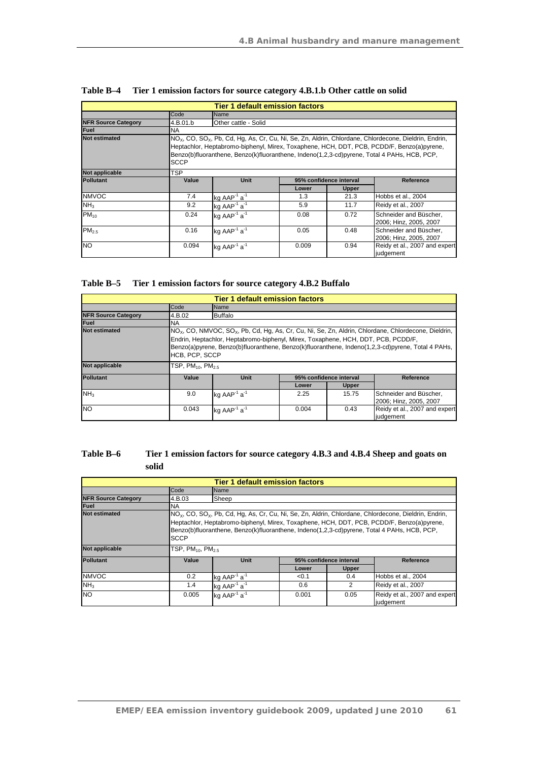|                            |             | <b>Tier 1 default emission factors</b>                                                                                                                                                                                                                                                                                    |       |                         |                                                  |  |  |
|----------------------------|-------------|---------------------------------------------------------------------------------------------------------------------------------------------------------------------------------------------------------------------------------------------------------------------------------------------------------------------------|-------|-------------------------|--------------------------------------------------|--|--|
|                            | Code        | Name                                                                                                                                                                                                                                                                                                                      |       |                         |                                                  |  |  |
| <b>NFR Source Category</b> | 4.B.01.b    | Other cattle - Solid                                                                                                                                                                                                                                                                                                      |       |                         |                                                  |  |  |
| <b>Fuel</b>                | <b>NA</b>   |                                                                                                                                                                                                                                                                                                                           |       |                         |                                                  |  |  |
| <b>Not estimated</b>       | <b>SCCP</b> | NO <sub>x</sub> , CO, SO <sub>x</sub> , Pb, Cd, Hg, As, Cr, Cu, Ni, Se, Zn, Aldrin, Chlordane, Chlordecone, Dieldrin, Endrin,<br>Heptachlor, Heptabromo-biphenyl, Mirex, Toxaphene, HCH, DDT, PCB, PCDD/F, Benzo(a)pyrene,<br>Benzo(b)fluoranthene, Benzo(k)fluoranthene, Indeno(1,2,3-cd)pyrene, Total 4 PAHs, HCB, PCP, |       |                         |                                                  |  |  |
| Not applicable             | TSP         |                                                                                                                                                                                                                                                                                                                           |       |                         |                                                  |  |  |
| <b>Pollutant</b>           | Value       | <b>Unit</b>                                                                                                                                                                                                                                                                                                               |       | 95% confidence interval | Reference                                        |  |  |
|                            |             |                                                                                                                                                                                                                                                                                                                           | Lower | <b>Upper</b>            |                                                  |  |  |
| <b>NMVOC</b>               | 7.4         | kg $AAP^{-1}$ a <sup>-1</sup>                                                                                                                                                                                                                                                                                             | 1.3   | 21.3                    | Hobbs et al., 2004                               |  |  |
| NH <sub>3</sub>            | 9.2         | kg AAP <sup>-1</sup> $a^{-1}$                                                                                                                                                                                                                                                                                             | 5.9   | 11.7                    | Reidy et al., 2007                               |  |  |
| $PM_{10}$                  | 0.24        | kg AAP $1$ a $1$                                                                                                                                                                                                                                                                                                          | 0.08  | 0.72                    | Schneider and Büscher,<br>2006; Hinz, 2005, 2007 |  |  |
| PM <sub>2.5</sub>          | 0.16        | kg AAP <sup>-1</sup> a <sup>-1</sup>                                                                                                                                                                                                                                                                                      | 0.05  | 0.48                    | Schneider and Büscher,<br>2006; Hinz, 2005, 2007 |  |  |
| <b>NO</b>                  | 0.094       | kg AAP <sup>1</sup> $a^{-1}$                                                                                                                                                                                                                                                                                              | 0.009 | 0.94                    | Reidy et al., 2007 and expert<br>judgement       |  |  |

| Table B–4 | Tier 1 emission factors for source category 4.B.1.b Other cattle on solid |
|-----------|---------------------------------------------------------------------------|
|-----------|---------------------------------------------------------------------------|

| Table B–5 | Tier 1 emission factors for source category 4.B.2 Buffalo |
|-----------|-----------------------------------------------------------|
|-----------|-----------------------------------------------------------|

|                            |                                                                                                                                                                                                                                                                                                                                       | <b>Tier 1 default emission factors</b> |       |                         |                                                  |  |
|----------------------------|---------------------------------------------------------------------------------------------------------------------------------------------------------------------------------------------------------------------------------------------------------------------------------------------------------------------------------------|----------------------------------------|-------|-------------------------|--------------------------------------------------|--|
|                            | Code                                                                                                                                                                                                                                                                                                                                  | <b>Name</b>                            |       |                         |                                                  |  |
| <b>NFR Source Category</b> | 4.B.02                                                                                                                                                                                                                                                                                                                                | <b>Buffalo</b>                         |       |                         |                                                  |  |
| Fuel                       | <b>NA</b>                                                                                                                                                                                                                                                                                                                             |                                        |       |                         |                                                  |  |
| <b>Not estimated</b>       | $NOx$ , CO, NMVOC, SO <sub>x</sub> , Pb, Cd, Hg, As, Cr, Cu, Ni, Se, Zn, Aldrin, Chlordane, Chlordecone, Dieldrin,<br>Endrin, Heptachlor, Heptabromo-biphenyl, Mirex, Toxaphene, HCH, DDT, PCB, PCDD/F,<br>Benzo(a)pyrene, Benzo(b)fluoranthene, Benzo(k)fluoranthene, Indeno(1,2,3-cd)pyrene, Total 4 PAHs,<br><b>HCB, PCP, SCCP</b> |                                        |       |                         |                                                  |  |
| Not applicable             | TSP, $PM_{10}$ , $PM_{2.5}$                                                                                                                                                                                                                                                                                                           |                                        |       |                         |                                                  |  |
| <b>Pollutant</b>           | Value                                                                                                                                                                                                                                                                                                                                 | <b>Unit</b>                            |       | 95% confidence interval | Reference                                        |  |
|                            |                                                                                                                                                                                                                                                                                                                                       |                                        | Lower | <b>Upper</b>            |                                                  |  |
| N <sub>H</sub>             | 9.0                                                                                                                                                                                                                                                                                                                                   | kg AAP <sup>-1</sup> a <sup>-1</sup>   | 2.25  | 15.75                   | Schneider and Büscher,<br>2006; Hinz, 2005, 2007 |  |
| <b>NO</b>                  | 0.043                                                                                                                                                                                                                                                                                                                                 | kg $AAP^{-1}a^{-1}$                    | 0.004 | 0.43                    | Reidy et al., 2007 and expert<br>judgement       |  |

## **Table B–6 Tier 1 emission factors for source category 4.B.3 and 4.B.4 Sheep and goats on solid**

| <b>Tier 1 default emission factors</b> |                         |                                                                                                                                                                                                                                                                                                                           |       |                         |                                                   |  |  |  |
|----------------------------------------|-------------------------|---------------------------------------------------------------------------------------------------------------------------------------------------------------------------------------------------------------------------------------------------------------------------------------------------------------------------|-------|-------------------------|---------------------------------------------------|--|--|--|
|                                        | Code                    | Name                                                                                                                                                                                                                                                                                                                      |       |                         |                                                   |  |  |  |
| <b>NFR Source Category</b>             | 4.B.03                  | Sheep                                                                                                                                                                                                                                                                                                                     |       |                         |                                                   |  |  |  |
| Fuel                                   | <b>NA</b>               |                                                                                                                                                                                                                                                                                                                           |       |                         |                                                   |  |  |  |
| <b>Not estimated</b>                   | <b>SCCP</b>             | NO <sub>x</sub> , CO, SO <sub>x</sub> , Pb, Cd, Hg, As, Cr, Cu, Ni, Se, Zn, Aldrin, Chlordane, Chlordecone, Dieldrin, Endrin,<br>Heptachlor, Heptabromo-biphenyl, Mirex, Toxaphene, HCH, DDT, PCB, PCDD/F, Benzo(a)pyrene,<br>Benzo(b)fluoranthene, Benzo(k)fluoranthene, Indeno(1,2,3-cd)pyrene, Total 4 PAHs, HCB, PCP, |       |                         |                                                   |  |  |  |
| Not applicable                         | $TSP, PM_{10}, PM_{25}$ |                                                                                                                                                                                                                                                                                                                           |       |                         |                                                   |  |  |  |
| <b>Pollutant</b>                       | Value                   | Unit                                                                                                                                                                                                                                                                                                                      |       | 95% confidence interval | Reference                                         |  |  |  |
|                                        |                         |                                                                                                                                                                                                                                                                                                                           | Lower | <b>Upper</b>            |                                                   |  |  |  |
| <b>NMVOC</b>                           | 0.2                     | ka AAP <sup>-1</sup> a <sup>-1</sup>                                                                                                                                                                                                                                                                                      | < 0.1 | 0.4                     | Hobbs et al., 2004                                |  |  |  |
| NH <sub>3</sub>                        | 1.4                     | kg AAP <sup>-1</sup> a <sup>-1</sup>                                                                                                                                                                                                                                                                                      | 0.6   | $\mathcal{P}$           | Reidy et al., 2007                                |  |  |  |
| <b>NO</b>                              | 0.005                   | kg $AAP^{-1}a^{-1}$                                                                                                                                                                                                                                                                                                       | 0.001 | 0.05                    | Reidy et al., 2007 and expert<br><i>iudgement</i> |  |  |  |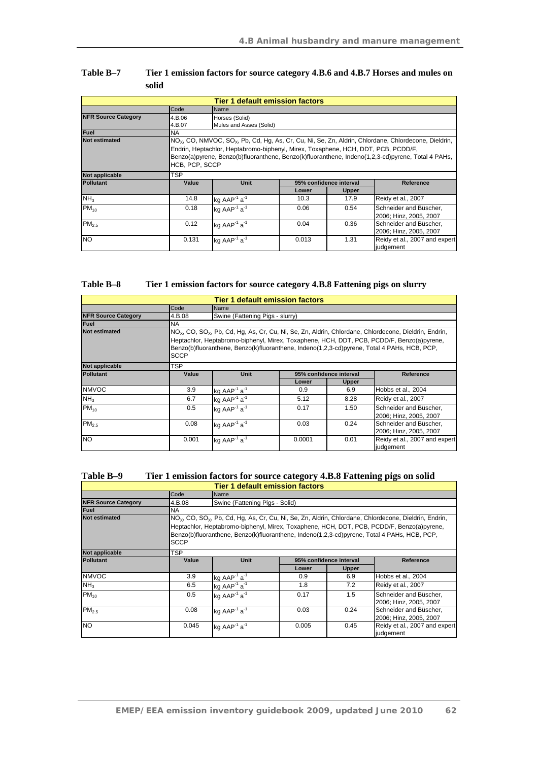|                            |                  | Tier 1 default emission factors                                                   |                         |                         |                                                                                                                                                                                                                                    |  |  |  |
|----------------------------|------------------|-----------------------------------------------------------------------------------|-------------------------|-------------------------|------------------------------------------------------------------------------------------------------------------------------------------------------------------------------------------------------------------------------------|--|--|--|
|                            | Code             | Name                                                                              |                         |                         |                                                                                                                                                                                                                                    |  |  |  |
| <b>NFR Source Category</b> | 4.B.06<br>4.B.07 | Horses (Solid)                                                                    | Mules and Asses (Solid) |                         |                                                                                                                                                                                                                                    |  |  |  |
| <b>Fuel</b>                | <b>NA</b>        |                                                                                   |                         |                         |                                                                                                                                                                                                                                    |  |  |  |
| <b>Not estimated</b>       | HCB, PCP, SCCP   | Endrin, Heptachlor, Heptabromo-biphenyl, Mirex, Toxaphene, HCH, DDT, PCB, PCDD/F, |                         |                         | INO <sub>x</sub> , CO, NMVOC, SO <sub>x</sub> , Pb, Cd, Hg, As, Cr, Cu, Ni, Se, Zn, Aldrin, Chlordane, Chlordecone, Dieldrin,<br>Benzo(a)pyrene, Benzo(b)fluoranthene, Benzo(k)fluoranthene, Indeno(1,2,3-cd)pyrene, Total 4 PAHs, |  |  |  |
| Not applicable             | TSP              |                                                                                   |                         |                         |                                                                                                                                                                                                                                    |  |  |  |
| <b>Pollutant</b>           | Value            | Unit                                                                              |                         | 95% confidence interval | Reference                                                                                                                                                                                                                          |  |  |  |
|                            |                  |                                                                                   | Lower                   | <b>Upper</b>            |                                                                                                                                                                                                                                    |  |  |  |
| NH <sub>3</sub>            | 14.8             | kg AAP <sup>-1</sup> a <sup>-1</sup>                                              | 10.3                    | 17.9                    | Reidy et al., 2007                                                                                                                                                                                                                 |  |  |  |
| $PM_{10}$                  | 0.18             | kg AAP $1$ a <sup>-1</sup>                                                        | 0.06                    | 0.54                    | Schneider and Büscher,<br>2006; Hinz, 2005, 2007                                                                                                                                                                                   |  |  |  |
| PM <sub>2.5</sub>          | 0.12             | kg AAP <sup>-1</sup> a <sup>-1</sup>                                              | 0.04                    | 0.36                    | Schneider and Büscher,<br>2006; Hinz, 2005, 2007                                                                                                                                                                                   |  |  |  |
| <b>NO</b>                  | 0.131            | kg AAP <sup>-1</sup> a <sup>-1</sup>                                              | 0.013                   | 1.31                    | Reidy et al., 2007 and expert<br>judgement                                                                                                                                                                                         |  |  |  |

| <b>Table B–7</b> | Tier 1 emission factors for source category 4.B.6 and 4.B.7 Horses and mules on |
|------------------|---------------------------------------------------------------------------------|
|                  | solid                                                                           |

| Table B-8<br>Tier 1 emission factors for source category 4.B.8 Fattening pigs on slurry |  |
|-----------------------------------------------------------------------------------------|--|
|-----------------------------------------------------------------------------------------|--|

|                            |             |                                                                                                                                                                                                                                                                                                                           | <b>Tier 1 default emission factors</b> |                         |                                                  |  |  |
|----------------------------|-------------|---------------------------------------------------------------------------------------------------------------------------------------------------------------------------------------------------------------------------------------------------------------------------------------------------------------------------|----------------------------------------|-------------------------|--------------------------------------------------|--|--|
|                            | Code        | Name                                                                                                                                                                                                                                                                                                                      |                                        |                         |                                                  |  |  |
| <b>NFR Source Category</b> | 4.B.08      | Swine (Fattening Pigs - slurry)                                                                                                                                                                                                                                                                                           |                                        |                         |                                                  |  |  |
| <b>Fuel</b>                | <b>NA</b>   |                                                                                                                                                                                                                                                                                                                           |                                        |                         |                                                  |  |  |
| <b>Not estimated</b>       | <b>SCCP</b> | NO <sub>x</sub> , CO, SO <sub>x</sub> , Pb, Cd, Hg, As, Cr, Cu, Ni, Se, Zn, Aldrin, Chlordane, Chlordecone, Dieldrin, Endrin,<br>Heptachlor, Heptabromo-biphenyl, Mirex, Toxaphene, HCH, DDT, PCB, PCDD/F, Benzo(a)pyrene,<br>Benzo(b)fluoranthene, Benzo(k)fluoranthene, Indeno(1,2,3-cd)pyrene, Total 4 PAHs, HCB, PCP, |                                        |                         |                                                  |  |  |
| Not applicable             | TSP         |                                                                                                                                                                                                                                                                                                                           |                                        |                         |                                                  |  |  |
| <b>Pollutant</b>           | Value       | Unit                                                                                                                                                                                                                                                                                                                      |                                        | 95% confidence interval | Reference                                        |  |  |
|                            |             |                                                                                                                                                                                                                                                                                                                           | Lower                                  | Upper                   |                                                  |  |  |
| <b>NMVOC</b>               | 3.9         | kg AAP <sup>-1</sup> a <sup>-1</sup>                                                                                                                                                                                                                                                                                      | 0.9                                    | 6.9                     | Hobbs et al., 2004                               |  |  |
| NH <sub>3</sub>            | 6.7         | kg AAP <sup>-1</sup> $a^{-1}$                                                                                                                                                                                                                                                                                             | 5.12                                   | 8.28                    | Reidy et al., 2007                               |  |  |
| $PM_{10}$                  | 0.5         | kg AAP <sup>-1</sup> $a^{-1}$                                                                                                                                                                                                                                                                                             | 0.17                                   | 1.50                    | Schneider and Büscher,<br>2006; Hinz, 2005, 2007 |  |  |
| PM <sub>2.5</sub>          | 0.08        | kg AAP <sup>-1</sup> a <sup>-1</sup>                                                                                                                                                                                                                                                                                      | 0.03                                   | 0.24                    | Schneider and Büscher,<br>2006; Hinz, 2005, 2007 |  |  |
| <b>NO</b>                  | 0.001       | kg AAP <sup>-1</sup> a <sup>-1</sup>                                                                                                                                                                                                                                                                                      | 0.0001                                 | 0.01                    | Reidy et al., 2007 and expert<br>judgement       |  |  |

| Table B-9                                                                                                       | Tier 1 emission factors for source category 4.B.8 Fattening pigs on solid |  |  |  |  |
|-----------------------------------------------------------------------------------------------------------------|---------------------------------------------------------------------------|--|--|--|--|
| the contract of the contract of the contract of the contract of the contract of the contract of the contract of |                                                                           |  |  |  |  |

|                            |             |                                                                                                                                                                                                                                                                                                                           | Tier 1 default emission factors |                         |                                                  |  |  |
|----------------------------|-------------|---------------------------------------------------------------------------------------------------------------------------------------------------------------------------------------------------------------------------------------------------------------------------------------------------------------------------|---------------------------------|-------------------------|--------------------------------------------------|--|--|
|                            | Code        | Name                                                                                                                                                                                                                                                                                                                      |                                 |                         |                                                  |  |  |
| <b>NFR Source Category</b> | 4.B.08      | Swine (Fattening Pigs - Solid)                                                                                                                                                                                                                                                                                            |                                 |                         |                                                  |  |  |
| <b>Fuel</b>                | <b>NA</b>   |                                                                                                                                                                                                                                                                                                                           |                                 |                         |                                                  |  |  |
| <b>Not estimated</b>       | <b>SCCP</b> | NO <sub>x</sub> , CO, SO <sub>x</sub> , Pb, Cd, Hg, As, Cr, Cu, Ni, Se, Zn, Aldrin, Chlordane, Chlordecone, Dieldrin, Endrin,<br>Heptachlor, Heptabromo-biphenyl, Mirex, Toxaphene, HCH, DDT, PCB, PCDD/F, Benzo(a)pyrene,<br>Benzo(b)fluoranthene, Benzo(k)fluoranthene, Indeno(1,2,3-cd)pyrene, Total 4 PAHs, HCB, PCP, |                                 |                         |                                                  |  |  |
| Not applicable             | TSP         |                                                                                                                                                                                                                                                                                                                           |                                 |                         |                                                  |  |  |
| <b>Pollutant</b>           | Value       | <b>Unit</b>                                                                                                                                                                                                                                                                                                               |                                 | 95% confidence interval | Reference                                        |  |  |
|                            |             |                                                                                                                                                                                                                                                                                                                           | Lower                           | Upper                   |                                                  |  |  |
| <b>NMVOC</b>               | 3.9         | $kg$ AAP <sup>-1</sup> a <sup>-1</sup>                                                                                                                                                                                                                                                                                    | 0.9                             | 6.9                     | Hobbs et al., 2004                               |  |  |
| NH <sub>3</sub>            | 6.5         | kg AAP <sup>-1</sup> a <sup>-1</sup>                                                                                                                                                                                                                                                                                      | 1.8                             | 7.2                     | Reidy et al., 2007                               |  |  |
| $PM_{10}$                  | 0.5         | kg AAP <sup>-1</sup> $a^{-1}$                                                                                                                                                                                                                                                                                             | 0.17                            | 1.5                     | Schneider and Büscher,<br>2006; Hinz, 2005, 2007 |  |  |
| PM <sub>2.5</sub>          | 0.08        | kg AAP <sup>-1</sup> $a^{-1}$                                                                                                                                                                                                                                                                                             | 0.03                            | 0.24                    | Schneider and Büscher.<br>2006; Hinz, 2005, 2007 |  |  |
| <b>NO</b>                  | 0.045       | kg AAP <sup>-1</sup> a <sup>-1</sup>                                                                                                                                                                                                                                                                                      | 0.005                           | 0.45                    | Reidy et al., 2007 and expert<br>judgement       |  |  |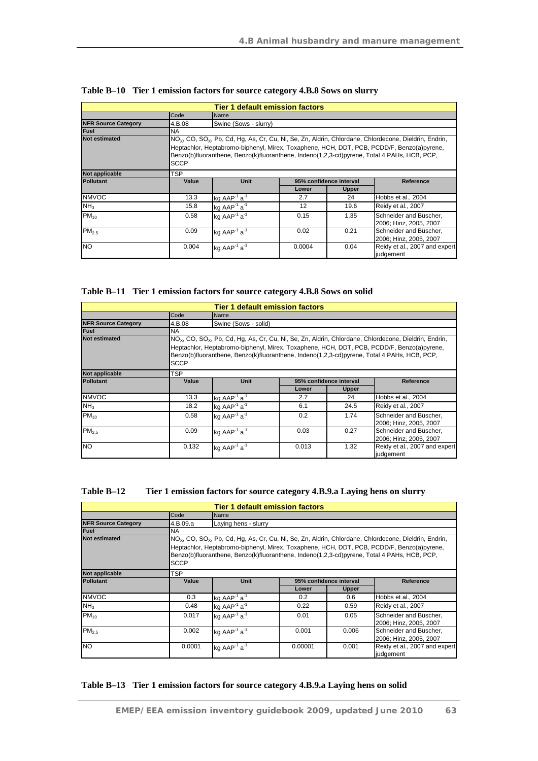| <b>Tier 1 default emission factors</b> |             |                                      |        |                         |                                                                                                                                                                                                                                                                                                                           |  |
|----------------------------------------|-------------|--------------------------------------|--------|-------------------------|---------------------------------------------------------------------------------------------------------------------------------------------------------------------------------------------------------------------------------------------------------------------------------------------------------------------------|--|
|                                        | Code        | Name                                 |        |                         |                                                                                                                                                                                                                                                                                                                           |  |
| <b>NFR Source Category</b>             | 4.B.08      | Swine (Sows - slurry)                |        |                         |                                                                                                                                                                                                                                                                                                                           |  |
| <b>Fuel</b>                            | <b>NA</b>   |                                      |        |                         |                                                                                                                                                                                                                                                                                                                           |  |
| <b>Not estimated</b>                   | <b>SCCP</b> |                                      |        |                         | NO <sub>x</sub> , CO, SO <sub>x</sub> , Pb, Cd, Hg, As, Cr, Cu, Ni, Se, Zn, Aldrin, Chlordane, Chlordecone, Dieldrin, Endrin,<br>Heptachlor, Heptabromo-biphenyl, Mirex, Toxaphene, HCH, DDT, PCB, PCDD/F, Benzo(a)pyrene,<br>Benzo(b)fluoranthene, Benzo(k)fluoranthene, Indeno(1,2,3-cd)pyrene, Total 4 PAHs, HCB, PCP, |  |
| Not applicable                         | TSP         |                                      |        |                         |                                                                                                                                                                                                                                                                                                                           |  |
| <b>Pollutant</b>                       | Value       | <b>Unit</b>                          |        | 95% confidence interval | <b>Reference</b>                                                                                                                                                                                                                                                                                                          |  |
|                                        |             |                                      | Lower  | Upper                   |                                                                                                                                                                                                                                                                                                                           |  |
| <b>NMVOC</b>                           | 13.3        | kg $AAP^{-1}a^{-1}$                  | 2.7    | 24                      | Hobbs et al., 2004                                                                                                                                                                                                                                                                                                        |  |
| NH <sub>3</sub>                        | 15.8        | kg AAP <sup>-1</sup> $a^{-1}$        | 12     | 19.6                    | Reidy et al., 2007                                                                                                                                                                                                                                                                                                        |  |
| $PM_{10}$                              | 0.58        | kg AAP $1$ a $1$                     | 0.15   | 1.35                    | Schneider and Büscher,<br>2006; Hinz, 2005, 2007                                                                                                                                                                                                                                                                          |  |
| PM <sub>2.5</sub>                      | 0.09        | kg AAP <sup>-1</sup> a <sup>-1</sup> | 0.02   | 0.21                    | Schneider and Büscher,<br>2006; Hinz, 2005, 2007                                                                                                                                                                                                                                                                          |  |
| <b>NO</b>                              | 0.004       | kg AAP <sup>-1</sup> a <sup>-1</sup> | 0.0004 | 0.04                    | Reidy et al., 2007 and expert<br>judgement                                                                                                                                                                                                                                                                                |  |

|  |  |  | Table B-10 Tier 1 emission factors for source category 4.B.8 Sows on slurry |  |
|--|--|--|-----------------------------------------------------------------------------|--|
|  |  |  |                                                                             |  |

**Table B–11 Tier 1 emission factors for source category 4.B.8 Sows on solid** 

| <b>Tier 1 default emission factors</b> |             |                                                                                                                                                                                                                                                                                                                           |       |                         |                                                  |  |
|----------------------------------------|-------------|---------------------------------------------------------------------------------------------------------------------------------------------------------------------------------------------------------------------------------------------------------------------------------------------------------------------------|-------|-------------------------|--------------------------------------------------|--|
|                                        | Code        | Name                                                                                                                                                                                                                                                                                                                      |       |                         |                                                  |  |
| <b>NFR Source Category</b>             | 4.B.08      | Swine (Sows - solid)                                                                                                                                                                                                                                                                                                      |       |                         |                                                  |  |
| <b>Fuel</b>                            | <b>NA</b>   |                                                                                                                                                                                                                                                                                                                           |       |                         |                                                  |  |
| <b>Not estimated</b>                   | <b>SCCP</b> | NO <sub>x</sub> , CO, SO <sub>x</sub> , Pb, Cd, Hg, As, Cr, Cu, Ni, Se, Zn, Aldrin, Chlordane, Chlordecone, Dieldrin, Endrin,<br>Heptachlor, Heptabromo-biphenyl, Mirex, Toxaphene, HCH, DDT, PCB, PCDD/F, Benzo(a)pyrene,<br>Benzo(b)fluoranthene, Benzo(k)fluoranthene, Indeno(1,2,3-cd)pyrene, Total 4 PAHs, HCB, PCP, |       |                         |                                                  |  |
| Not applicable                         | <b>TSP</b>  |                                                                                                                                                                                                                                                                                                                           |       |                         |                                                  |  |
| <b>Pollutant</b>                       | Value       | <b>Unit</b>                                                                                                                                                                                                                                                                                                               |       | 95% confidence interval | Reference                                        |  |
|                                        |             |                                                                                                                                                                                                                                                                                                                           | Lower | <b>Upper</b>            |                                                  |  |
| <b>NMVOC</b>                           | 13.3        | kg $AAP^{-1}a^{-1}$                                                                                                                                                                                                                                                                                                       | 2.7   | 24                      | Hobbs et al., 2004                               |  |
| NH <sub>3</sub>                        | 18.2        | ka AAP $1$ a $1$                                                                                                                                                                                                                                                                                                          | 6.1   | 24.5                    | Reidy et al., 2007                               |  |
| $PM_{10}$                              | 0.58        | kg AAP <sup>-1</sup> a <sup>-1</sup>                                                                                                                                                                                                                                                                                      | 0.2   | 1.74                    | Schneider and Büscher,<br>2006; Hinz, 2005, 2007 |  |
| PM <sub>2.5</sub>                      | 0.09        | kg AAP <sup>-1</sup> a <sup>-1</sup>                                                                                                                                                                                                                                                                                      | 0.03  | 0.27                    | Schneider and Büscher,<br>2006; Hinz, 2005, 2007 |  |
| <b>NO</b>                              | 0.132       | kg AAP <sup>-1</sup> a <sup>-1</sup>                                                                                                                                                                                                                                                                                      | 0.013 | 1.32                    | Reidy et al., 2007 and expert<br>judgement       |  |

| Table B-12 | Tier 1 emission factors for source category 4.B.9.a Laying hens on slurry |
|------------|---------------------------------------------------------------------------|
|------------|---------------------------------------------------------------------------|

| <b>Tier 1 default emission factors</b> |                                                                                                                                                                                                                                                                                                                                          |                                      |         |                         |                                                  |  |  |
|----------------------------------------|------------------------------------------------------------------------------------------------------------------------------------------------------------------------------------------------------------------------------------------------------------------------------------------------------------------------------------------|--------------------------------------|---------|-------------------------|--------------------------------------------------|--|--|
|                                        | Code                                                                                                                                                                                                                                                                                                                                     | Name                                 |         |                         |                                                  |  |  |
| <b>NFR Source Category</b>             | 4.B.09.a                                                                                                                                                                                                                                                                                                                                 | Laying hens - slurry                 |         |                         |                                                  |  |  |
| <b>Fuel</b>                            | <b>NA</b>                                                                                                                                                                                                                                                                                                                                |                                      |         |                         |                                                  |  |  |
| <b>Not estimated</b>                   | NO <sub>x</sub> , CO, SO <sub>x</sub> , Pb, Cd, Hg, As, Cr, Cu, Ni, Se, Zn, Aldrin, Chlordane, Chlordecone, Dieldrin, Endrin,<br>Heptachlor, Heptabromo-biphenyl, Mirex, Toxaphene, HCH, DDT, PCB, PCDD/F, Benzo(a)pyrene,<br>Benzo(b)fluoranthene, Benzo(k)fluoranthene, Indeno(1,2,3-cd)pyrene, Total 4 PAHs, HCB, PCP,<br><b>SCCP</b> |                                      |         |                         |                                                  |  |  |
| Not applicable                         | <b>TSP</b>                                                                                                                                                                                                                                                                                                                               |                                      |         |                         |                                                  |  |  |
| <b>Pollutant</b>                       | Value                                                                                                                                                                                                                                                                                                                                    | <b>Unit</b>                          |         | 95% confidence interval | Reference                                        |  |  |
|                                        |                                                                                                                                                                                                                                                                                                                                          |                                      | Lower   | Upper                   |                                                  |  |  |
| <b>NMVOC</b>                           | 0.3                                                                                                                                                                                                                                                                                                                                      | kg AAP $1$ a <sup>1</sup>            | 0.2     | 0.6                     | Hobbs et al., 2004                               |  |  |
| NH <sub>3</sub>                        | 0.48                                                                                                                                                                                                                                                                                                                                     | kg AAP <sup>-1</sup> a <sup>-1</sup> | 0.22    | 0.59                    | Reidy et al., 2007                               |  |  |
| $PM_{10}$                              | 0.017                                                                                                                                                                                                                                                                                                                                    | kg AAP <sup>-1</sup> $a^{-1}$        | 0.01    | 0.05                    | Schneider and Büscher,<br>2006; Hinz, 2005, 2007 |  |  |
| PM <sub>2.5</sub>                      | 0.002                                                                                                                                                                                                                                                                                                                                    | kg AAP <sup>-1</sup> a <sup>-1</sup> | 0.001   | 0.006                   | Schneider and Büscher,<br>2006; Hinz, 2005, 2007 |  |  |
| <b>NO</b>                              | 0.0001                                                                                                                                                                                                                                                                                                                                   | kg AAP <sup>-1</sup> a <sup>-1</sup> | 0.00001 | 0.001                   | Reidy et al., 2007 and expert<br>judgement       |  |  |

#### **Table B–13 Tier 1 emission factors for source category 4.B.9.a Laying hens on solid**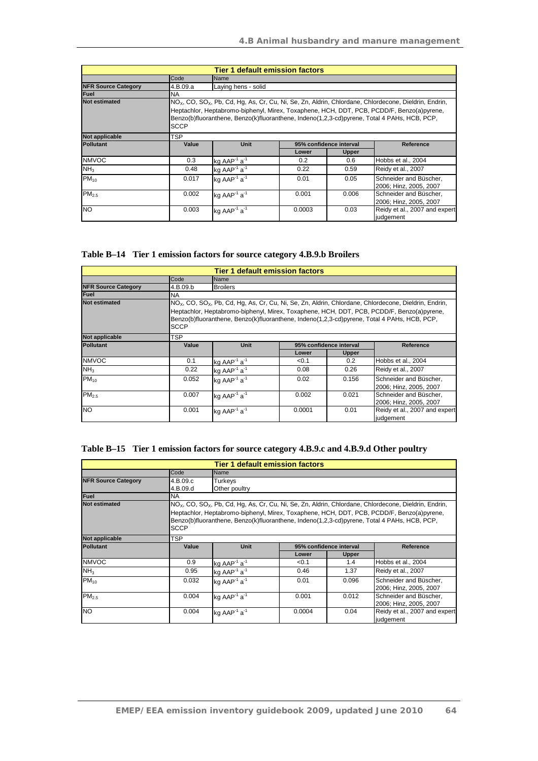| <b>Tier 1 default emission factors</b> |             |                                      |        |                         |                                                                                                                                                                                                                                                                                                                 |  |
|----------------------------------------|-------------|--------------------------------------|--------|-------------------------|-----------------------------------------------------------------------------------------------------------------------------------------------------------------------------------------------------------------------------------------------------------------------------------------------------------------|--|
|                                        | Code        | Name                                 |        |                         |                                                                                                                                                                                                                                                                                                                 |  |
| <b>NFR Source Category</b>             | 4.B.09.a    | Laying hens - solid                  |        |                         |                                                                                                                                                                                                                                                                                                                 |  |
| <b>Fuel</b>                            | <b>NA</b>   |                                      |        |                         |                                                                                                                                                                                                                                                                                                                 |  |
| <b>Not estimated</b>                   | <b>SCCP</b> |                                      |        |                         | $NOx$ , CO, SO <sub>x</sub> , Pb, Cd, Hg, As, Cr, Cu, Ni, Se, Zn, Aldrin, Chlordane, Chlordecone, Dieldrin, Endrin,<br>Heptachlor, Heptabromo-biphenyl, Mirex, Toxaphene, HCH, DDT, PCB, PCDD/F, Benzo(a)pyrene,<br>Benzo(b)fluoranthene, Benzo(k)fluoranthene, Indeno(1,2,3-cd)pyrene, Total 4 PAHs, HCB, PCP, |  |
| Not applicable                         | TSP         |                                      |        |                         |                                                                                                                                                                                                                                                                                                                 |  |
| <b>Pollutant</b>                       | Value       | <b>Unit</b>                          |        | 95% confidence interval | Reference                                                                                                                                                                                                                                                                                                       |  |
|                                        |             |                                      | Lower  | <b>Upper</b>            |                                                                                                                                                                                                                                                                                                                 |  |
| <b>NMVOC</b>                           | 0.3         | kg AAP <sup>-1</sup> $a^{-1}$        | 0.2    | 0.6                     | Hobbs et al., 2004                                                                                                                                                                                                                                                                                              |  |
| NH <sub>3</sub>                        | 0.48        | kg $AAP^{-1}a^{-1}$                  | 0.22   | 0.59                    | Reidy et al., 2007                                                                                                                                                                                                                                                                                              |  |
| $PM_{10}$                              | 0.017       | kg AAP <sup>-1</sup> $a^{-1}$        | 0.01   | 0.05                    | Schneider and Büscher.<br>2006; Hinz, 2005, 2007                                                                                                                                                                                                                                                                |  |
| PM <sub>2.5</sub>                      | 0.002       | kg AAP <sup>-1</sup> $a^{-1}$        | 0.001  | 0.006                   | Schneider and Büscher,<br>2006; Hinz, 2005, 2007                                                                                                                                                                                                                                                                |  |
| <b>NO</b>                              | 0.003       | kg AAP <sup>-1</sup> a <sup>-1</sup> | 0.0003 | 0.03                    | Reidy et al., 2007 and expert<br>judgement                                                                                                                                                                                                                                                                      |  |

## **Table B–14 Tier 1 emission factors for source category 4.B.9.b Broilers**

| <b>Tier 1 default emission factors</b> |             |                                                                                                                                                                                                                                                                                                                 |                         |              |                                                  |  |
|----------------------------------------|-------------|-----------------------------------------------------------------------------------------------------------------------------------------------------------------------------------------------------------------------------------------------------------------------------------------------------------------|-------------------------|--------------|--------------------------------------------------|--|
|                                        | Code        | Name                                                                                                                                                                                                                                                                                                            |                         |              |                                                  |  |
| <b>NFR Source Category</b>             | 4.B.09.b    | <b>Broilers</b>                                                                                                                                                                                                                                                                                                 |                         |              |                                                  |  |
| <b>Fuel</b>                            | <b>NA</b>   |                                                                                                                                                                                                                                                                                                                 |                         |              |                                                  |  |
| <b>Not estimated</b>                   | <b>SCCP</b> | $NOx$ , CO, SO <sub>x</sub> , Pb, Cd, Hg, As, Cr, Cu, Ni, Se, Zn, Aldrin, Chlordane, Chlordecone, Dieldrin, Endrin,<br>Heptachlor, Heptabromo-biphenyl, Mirex, Toxaphene, HCH, DDT, PCB, PCDD/F, Benzo(a)pyrene,<br>Benzo(b)fluoranthene, Benzo(k)fluoranthene, Indeno(1,2,3-cd)pyrene, Total 4 PAHs, HCB, PCP, |                         |              |                                                  |  |
| Not applicable                         | TSP         |                                                                                                                                                                                                                                                                                                                 |                         |              |                                                  |  |
| <b>Pollutant</b>                       | Value       | <b>Unit</b>                                                                                                                                                                                                                                                                                                     | 95% confidence interval |              | <b>Reference</b>                                 |  |
|                                        |             |                                                                                                                                                                                                                                                                                                                 | Lower                   | <b>Upper</b> |                                                  |  |
| <b>NMVOC</b>                           | 0.1         | kg $AAP^{-1}$ a <sup>-1</sup>                                                                                                                                                                                                                                                                                   | < 0.1                   | 0.2          | Hobbs et al., 2004                               |  |
| NH <sub>3</sub>                        | 0.22        | kg AAP <sup>-1</sup> a <sup>-1</sup>                                                                                                                                                                                                                                                                            | 0.08                    | 0.26         | Reidy et al., 2007                               |  |
| $PM_{10}$                              | 0.052       | kg AAP <sup>-1</sup> a <sup>-1</sup>                                                                                                                                                                                                                                                                            | 0.02                    | 0.156        | Schneider and Büscher.<br>2006; Hinz, 2005, 2007 |  |
| PM <sub>2.5</sub>                      | 0.007       | kg AAP <sup>-1</sup> a <sup>-1</sup>                                                                                                                                                                                                                                                                            | 0.002                   | 0.021        | Schneider and Büscher,<br>2006; Hinz, 2005, 2007 |  |
| <b>NO</b>                              | 0.001       | kg AAP <sup>-1</sup> a <sup>-1</sup>                                                                                                                                                                                                                                                                            | 0.0001                  | 0.01         | Reidy et al., 2007 and expert<br>judgement       |  |

#### **Table B–15 Tier 1 emission factors for source category 4.B.9.c and 4.B.9.d Other poultry**

| <b>Tier 1 default emission factors</b> |             |                                      |        |                         |                                                                                                                                                                                                                                                                                                                            |  |  |
|----------------------------------------|-------------|--------------------------------------|--------|-------------------------|----------------------------------------------------------------------------------------------------------------------------------------------------------------------------------------------------------------------------------------------------------------------------------------------------------------------------|--|--|
|                                        | Code        | Name                                 |        |                         |                                                                                                                                                                                                                                                                                                                            |  |  |
| <b>NFR Source Category</b>             | 4.B.09.c    | Turkeys                              |        |                         |                                                                                                                                                                                                                                                                                                                            |  |  |
|                                        | 4.B.09.d    | Other poultry                        |        |                         |                                                                                                                                                                                                                                                                                                                            |  |  |
| <b>Fuel</b>                            | <b>NA</b>   |                                      |        |                         |                                                                                                                                                                                                                                                                                                                            |  |  |
| <b>Not estimated</b>                   | <b>SCCP</b> |                                      |        |                         | INO <sub>X</sub> , CO, SO <sub>X</sub> , Pb, Cd, Hg, As, Cr, Cu, Ni, Se, Zn, Aldrin, Chlordane, Chlordecone, Dieldrin, Endrin,<br>Heptachlor, Heptabromo-biphenyl, Mirex, Toxaphene, HCH, DDT, PCB, PCDD/F, Benzo(a)pyrene,<br>Benzo(b)fluoranthene, Benzo(k)fluoranthene, Indeno(1,2,3-cd)pyrene, Total 4 PAHs, HCB, PCP, |  |  |
| Not applicable                         | TSP         |                                      |        |                         |                                                                                                                                                                                                                                                                                                                            |  |  |
| <b>Pollutant</b>                       | Value       | <b>Unit</b>                          |        | 95% confidence interval | Reference                                                                                                                                                                                                                                                                                                                  |  |  |
|                                        |             |                                      | Lower  | <b>Upper</b>            |                                                                                                                                                                                                                                                                                                                            |  |  |
| <b>NMVOC</b>                           | 0.9         | kg AAP <sup>-1</sup> a <sup>-1</sup> | < 0.1  | 1.4                     | Hobbs et al., 2004                                                                                                                                                                                                                                                                                                         |  |  |
| NH <sub>3</sub>                        | 0.95        | kg $AAP^{-1}a^{-1}$                  | 0.46   | 1.37                    | Reidy et al., 2007                                                                                                                                                                                                                                                                                                         |  |  |
| $PM_{10}$                              | 0.032       | kg AAP <sup>-1</sup> $a^{-1}$        | 0.01   | 0.096                   | Schneider and Büscher,<br>2006; Hinz, 2005, 2007                                                                                                                                                                                                                                                                           |  |  |
| PM <sub>2.5</sub>                      | 0.004       | kg AAP <sup>-1</sup> a <sup>-1</sup> | 0.001  | 0.012                   | Schneider and Büscher,<br>2006; Hinz, 2005, 2007                                                                                                                                                                                                                                                                           |  |  |
| <b>NO</b>                              | 0.004       | kg AAP <sup>1</sup> $a^1$            | 0.0004 | 0.04                    | Reidy et al., 2007 and expert<br>judgement                                                                                                                                                                                                                                                                                 |  |  |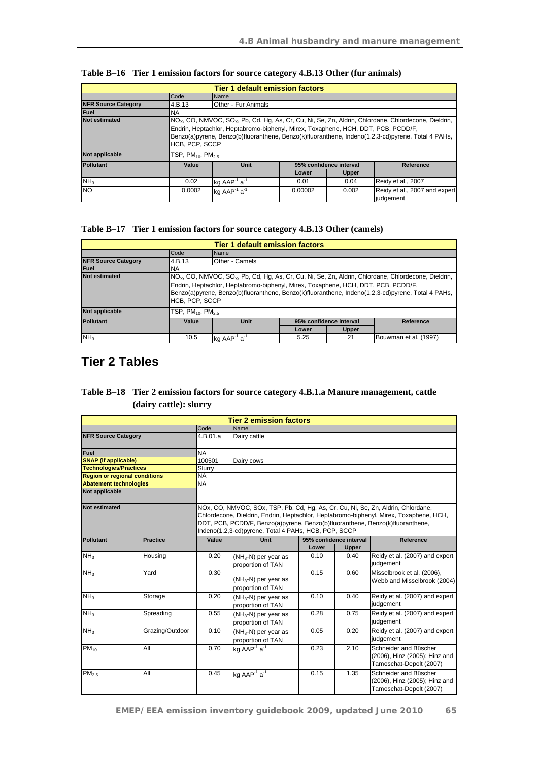| <b>Tier 1 default emission factors</b> |                                                                                                                                                                                                          |                                      |         |                         |                                                                                                                    |
|----------------------------------------|----------------------------------------------------------------------------------------------------------------------------------------------------------------------------------------------------------|--------------------------------------|---------|-------------------------|--------------------------------------------------------------------------------------------------------------------|
|                                        | Code                                                                                                                                                                                                     | <b>Name</b>                          |         |                         |                                                                                                                    |
| <b>NFR Source Category</b>             | 4.B.13                                                                                                                                                                                                   | Other - Fur Animals                  |         |                         |                                                                                                                    |
| Fuel                                   | <b>NA</b>                                                                                                                                                                                                |                                      |         |                         |                                                                                                                    |
| <b>Not estimated</b>                   |                                                                                                                                                                                                          |                                      |         |                         | $NOx$ , CO, NMVOC, SO <sub>x</sub> , Pb, Cd, Hg, As, Cr, Cu, Ni, Se, Zn, Aldrin, Chlordane, Chlordecone, Dieldrin, |
|                                        | Endrin, Heptachlor, Heptabromo-biphenyl, Mirex, Toxaphene, HCH, DDT, PCB, PCDD/F,<br>Benzo(a)pyrene, Benzo(b)fluoranthene, Benzo(k)fluoranthene, Indeno(1,2,3-cd)pyrene, Total 4 PAHs,<br>HCB, PCP, SCCP |                                      |         |                         |                                                                                                                    |
| Not applicable                         | TSP, $PM_{10}$ , $PM_{25}$                                                                                                                                                                               |                                      |         |                         |                                                                                                                    |
| <b>Pollutant</b>                       | Value                                                                                                                                                                                                    | <b>Unit</b>                          |         | 95% confidence interval | Reference                                                                                                          |
|                                        |                                                                                                                                                                                                          |                                      | Lower   | <b>Upper</b>            |                                                                                                                    |
| NH <sub>3</sub>                        | 0.02                                                                                                                                                                                                     | kg $AAP^{-1}a^{-1}$                  | 0.01    | 0.04                    | Reidy et al., 2007                                                                                                 |
| <b>NO</b>                              | 0.0002                                                                                                                                                                                                   | kg AAP <sup>-1</sup> a <sup>-1</sup> | 0.00002 | 0.002                   | Reidy et al., 2007 and expert<br>iudaement                                                                         |

#### **Table B–17 Tier 1 emission factors for source category 4.B.13 Other (camels)**

|                            | <b>Tier 1 default emission factors</b>                                                                                                                                                                                                                                                                                                 |                                              |       |              |                       |  |  |
|----------------------------|----------------------------------------------------------------------------------------------------------------------------------------------------------------------------------------------------------------------------------------------------------------------------------------------------------------------------------------|----------------------------------------------|-------|--------------|-----------------------|--|--|
|                            | Code                                                                                                                                                                                                                                                                                                                                   | Name                                         |       |              |                       |  |  |
| <b>NFR Source Category</b> | 4.B.13                                                                                                                                                                                                                                                                                                                                 | Other - Camels                               |       |              |                       |  |  |
| Fuel                       | <b>NA</b>                                                                                                                                                                                                                                                                                                                              |                                              |       |              |                       |  |  |
| <b>Not estimated</b>       | $NO_x$ , CO, NMVOC, SO <sub>x</sub> , Pb, Cd, Hg, As, Cr, Cu, Ni, Se, Zn, Aldrin, Chlordane, Chlordecone, Dieldrin,<br>Endrin, Heptachlor, Heptabromo-biphenyl, Mirex, Toxaphene, HCH, DDT, PCB, PCDD/F,<br>Benzo(a)pyrene, Benzo(b)fluoranthene, Benzo(k)fluoranthene, Indeno(1,2,3-cd)pyrene, Total 4 PAHs,<br><b>HCB. PCP. SCCP</b> |                                              |       |              |                       |  |  |
| Not applicable             | $TSP, PM_{10}, PM_{2.5}$                                                                                                                                                                                                                                                                                                               |                                              |       |              |                       |  |  |
| <b>Pollutant</b>           | Value                                                                                                                                                                                                                                                                                                                                  | 95% confidence interval<br>Unit<br>Reference |       |              |                       |  |  |
|                            |                                                                                                                                                                                                                                                                                                                                        |                                              | Lower | <b>Upper</b> |                       |  |  |
| NH <sub>3</sub>            | 10.5                                                                                                                                                                                                                                                                                                                                   | ka AAP <sup>-1</sup> a <sup>-1</sup>         | 5.25  | 21           | Bouwman et al. (1997) |  |  |

# **Tier 2 Tables**

## **Table B–18 Tier 2 emission factors for source category 4.B.1.a Manure management, cattle (dairy cattle): slurry**

|                                      |                                                                                                                                                                                                                                                                                                                     |           | <b>Tier 2 emission factors</b>              |       |                         |                                                                                   |  |
|--------------------------------------|---------------------------------------------------------------------------------------------------------------------------------------------------------------------------------------------------------------------------------------------------------------------------------------------------------------------|-----------|---------------------------------------------|-------|-------------------------|-----------------------------------------------------------------------------------|--|
|                                      |                                                                                                                                                                                                                                                                                                                     | Code      | Name                                        |       |                         |                                                                                   |  |
| <b>NFR Source Category</b>           |                                                                                                                                                                                                                                                                                                                     | 4.B.01.a  | Dairy cattle                                |       |                         |                                                                                   |  |
| Fuel                                 |                                                                                                                                                                                                                                                                                                                     | <b>NA</b> |                                             |       |                         |                                                                                   |  |
| <b>SNAP</b> (if applicable)          |                                                                                                                                                                                                                                                                                                                     | 100501    | Dairy cows                                  |       |                         |                                                                                   |  |
| <b>Technologies/Practices</b>        |                                                                                                                                                                                                                                                                                                                     | Slurry    |                                             |       |                         |                                                                                   |  |
| <b>Region or regional conditions</b> |                                                                                                                                                                                                                                                                                                                     | <b>NA</b> |                                             |       |                         |                                                                                   |  |
| <b>Abatement technologies</b>        |                                                                                                                                                                                                                                                                                                                     | <b>NA</b> |                                             |       |                         |                                                                                   |  |
| Not applicable                       |                                                                                                                                                                                                                                                                                                                     |           |                                             |       |                         |                                                                                   |  |
| <b>Not estimated</b>                 | NOx, CO, NMVOC, SOx, TSP, Pb, Cd, Hg, As, Cr, Cu, Ni, Se, Zn, Aldrin, Chlordane,<br>Chlordecone, Dieldrin, Endrin, Heptachlor, Heptabromo-biphenyl, Mirex, Toxaphene, HCH,<br>DDT, PCB, PCDD/F, Benzo(a)pyrene, Benzo(b)fluoranthene, Benzo(k)fluoranthene,<br>Indeno(1,2,3-cd)pyrene, Total 4 PAHs, HCB, PCP, SCCP |           |                                             |       |                         |                                                                                   |  |
| Pollutant                            | <b>Practice</b>                                                                                                                                                                                                                                                                                                     | Value     | Unit                                        |       | 95% confidence interval | Reference                                                                         |  |
|                                      |                                                                                                                                                                                                                                                                                                                     |           |                                             | Lower | Upper                   |                                                                                   |  |
| NH <sub>3</sub>                      | Housing                                                                                                                                                                                                                                                                                                             | 0.20      | $(NH_3-N)$ per year as<br>proportion of TAN | 0.10  | 0.40                    | Reidy et al. (2007) and expert<br>judgement                                       |  |
| NH <sub>3</sub>                      | Yard                                                                                                                                                                                                                                                                                                                | 0.30      | $(NH_3-N)$ per year as<br>proportion of TAN | 0.15  | 0.60                    | Misselbrook et al. (2006),<br>Webb and Misselbrook (2004)                         |  |
| NH <sub>3</sub>                      | Storage                                                                                                                                                                                                                                                                                                             | 0.20      | $(NH_3-N)$ per year as<br>proportion of TAN | 0.10  | 0.40                    | Reidy et al. (2007) and expert<br>judgement                                       |  |
| NH <sub>3</sub>                      | Spreading                                                                                                                                                                                                                                                                                                           | 0.55      | $(NH_3-N)$ per year as<br>proportion of TAN | 0.28  | 0.75                    | Reidy et al. (2007) and expert<br>judgement                                       |  |
| NH <sub>3</sub>                      | Grazing/Outdoor                                                                                                                                                                                                                                                                                                     | 0.10      | $(NH_3-N)$ per year as<br>proportion of TAN | 0.05  | 0.20                    | Reidy et al. (2007) and expert<br>judgement                                       |  |
| $PM_{10}$                            | All                                                                                                                                                                                                                                                                                                                 | 0.70      | kg AAP <sup>-1</sup> a <sup>-1</sup>        | 0.23  | 2.10                    | Schneider and Büscher<br>(2006), Hinz (2005); Hinz and<br>Tamoschat-Depolt (2007) |  |
| PM <sub>2.5</sub>                    | All                                                                                                                                                                                                                                                                                                                 | 0.45      | kg AAP <sup>-1</sup> $a^{-1}$               | 0.15  | 1.35                    | Schneider and Büscher<br>(2006), Hinz (2005); Hinz and<br>Tamoschat-Depolt (2007) |  |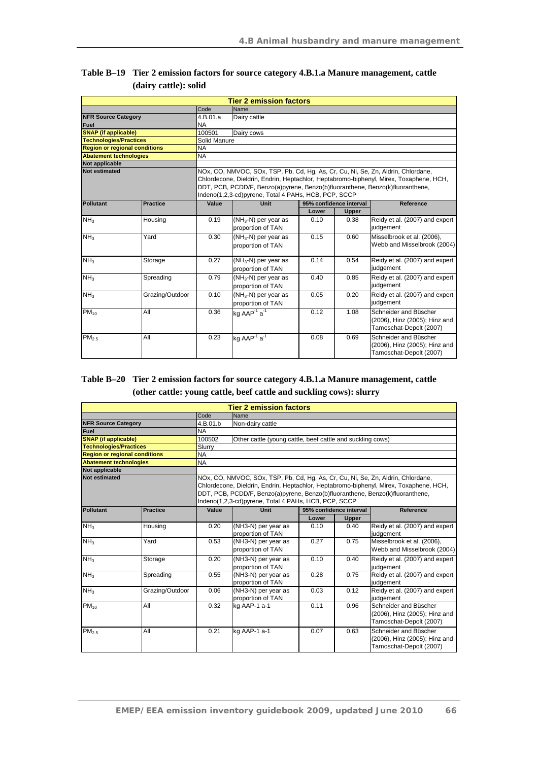|                                      |                                                                                                                                                                                                                                                                                                                     |              | <b>Tier 2 emission factors</b>              |       |                         |                                                                                   |  |  |  |
|--------------------------------------|---------------------------------------------------------------------------------------------------------------------------------------------------------------------------------------------------------------------------------------------------------------------------------------------------------------------|--------------|---------------------------------------------|-------|-------------------------|-----------------------------------------------------------------------------------|--|--|--|
|                                      |                                                                                                                                                                                                                                                                                                                     | Code         | Name                                        |       |                         |                                                                                   |  |  |  |
| <b>NFR Source Category</b>           |                                                                                                                                                                                                                                                                                                                     | 4.B.01.a     | Dairy cattle                                |       |                         |                                                                                   |  |  |  |
| <b>Fuel</b>                          |                                                                                                                                                                                                                                                                                                                     | <b>NA</b>    |                                             |       |                         |                                                                                   |  |  |  |
| <b>SNAP</b> (if applicable)          |                                                                                                                                                                                                                                                                                                                     | 100501       | Dairy cows                                  |       |                         |                                                                                   |  |  |  |
| <b>Technologies/Practices</b>        |                                                                                                                                                                                                                                                                                                                     | Solid Manure |                                             |       |                         |                                                                                   |  |  |  |
| <b>Region or regional conditions</b> |                                                                                                                                                                                                                                                                                                                     | <b>NA</b>    |                                             |       |                         |                                                                                   |  |  |  |
| <b>Abatement technologies</b>        |                                                                                                                                                                                                                                                                                                                     | <b>NA</b>    |                                             |       |                         |                                                                                   |  |  |  |
| Not applicable                       |                                                                                                                                                                                                                                                                                                                     |              |                                             |       |                         |                                                                                   |  |  |  |
| <b>Not estimated</b>                 | NOx, CO, NMVOC, SOx, TSP, Pb, Cd, Hg, As, Cr, Cu, Ni, Se, Zn, Aldrin, Chlordane,<br>Chlordecone, Dieldrin, Endrin, Heptachlor, Heptabromo-biphenyl, Mirex, Toxaphene, HCH,<br>DDT, PCB, PCDD/F, Benzo(a)pyrene, Benzo(b)fluoranthene, Benzo(k)fluoranthene,<br>Indeno(1,2,3-cd)pyrene, Total 4 PAHs, HCB, PCP, SCCP |              |                                             |       |                         |                                                                                   |  |  |  |
| <b>Pollutant</b>                     | <b>Practice</b>                                                                                                                                                                                                                                                                                                     | Value        | Unit                                        |       | 95% confidence interval | Reference                                                                         |  |  |  |
|                                      |                                                                                                                                                                                                                                                                                                                     |              |                                             | Lower | Upper                   |                                                                                   |  |  |  |
| NH <sub>3</sub>                      | Housing                                                                                                                                                                                                                                                                                                             | 0.19         | $(NH_3-N)$ per year as<br>proportion of TAN | 0.10  | 0.38                    | Reidy et al. (2007) and expert<br>judgement                                       |  |  |  |
| NH <sub>3</sub>                      | Yard                                                                                                                                                                                                                                                                                                                | 0.30         | $(NH_3-N)$ per year as<br>proportion of TAN | 0.15  | 0.60                    | Misselbrook et al. (2006),<br>Webb and Misselbrook (2004)                         |  |  |  |
| NH <sub>3</sub>                      | Storage                                                                                                                                                                                                                                                                                                             | 0.27         | $(NH_3-N)$ per year as<br>proportion of TAN | 0.14  | 0.54                    | Reidy et al. (2007) and expert<br>judgement                                       |  |  |  |
| NH <sub>3</sub>                      | Spreading                                                                                                                                                                                                                                                                                                           | 0.79         | $(NH_3-N)$ per year as<br>proportion of TAN | 0.40  | 0.85                    | Reidy et al. (2007) and expert<br>judgement                                       |  |  |  |
| NH <sub>3</sub>                      | Grazing/Outdoor                                                                                                                                                                                                                                                                                                     | 0.10         | $(NH_3-N)$ per year as<br>proportion of TAN | 0.05  | 0.20                    | Reidy et al. (2007) and expert<br>judgement                                       |  |  |  |
| $PM_{10}$                            | All                                                                                                                                                                                                                                                                                                                 | 0.36         | kg AAP <sup>-1</sup> a <sup>-1</sup>        | 0.12  | 1.08                    | Schneider and Büscher<br>(2006), Hinz (2005); Hinz and<br>Tamoschat-Depolt (2007) |  |  |  |
| PM <sub>2.5</sub>                    | All                                                                                                                                                                                                                                                                                                                 | 0.23         | kg AAP <sup>-1</sup> a <sup>-1</sup>        | 0.08  | 0.69                    | Schneider and Büscher<br>(2006), Hinz (2005); Hinz and<br>Tamoschat-Depolt (2007) |  |  |  |

#### **Table B–19 Tier 2 emission factors for source category 4.B.1.a Manure management, cattle (dairy cattle): solid**

## **Table B–20 Tier 2 emission factors for source category 4.B.1.a Manure management, cattle (other cattle: young cattle, beef cattle and suckling cows): slurry**

|                                      | <b>Tier 2 emission factors</b>                                                                                                                                                                                                                                                                                      |           |                                                            |       |                         |                                                                                   |  |  |  |
|--------------------------------------|---------------------------------------------------------------------------------------------------------------------------------------------------------------------------------------------------------------------------------------------------------------------------------------------------------------------|-----------|------------------------------------------------------------|-------|-------------------------|-----------------------------------------------------------------------------------|--|--|--|
|                                      |                                                                                                                                                                                                                                                                                                                     | Code      | Name                                                       |       |                         |                                                                                   |  |  |  |
| <b>NFR Source Category</b>           |                                                                                                                                                                                                                                                                                                                     | 4.B.01.b  | Non-dairy cattle                                           |       |                         |                                                                                   |  |  |  |
| Fuel                                 |                                                                                                                                                                                                                                                                                                                     | <b>NA</b> |                                                            |       |                         |                                                                                   |  |  |  |
| <b>SNAP</b> (if applicable)          |                                                                                                                                                                                                                                                                                                                     | 100502    | Other cattle (young cattle, beef cattle and suckling cows) |       |                         |                                                                                   |  |  |  |
| <b>Technologies/Practices</b>        |                                                                                                                                                                                                                                                                                                                     | Slurry    |                                                            |       |                         |                                                                                   |  |  |  |
| <b>Region or regional conditions</b> |                                                                                                                                                                                                                                                                                                                     | <b>NA</b> |                                                            |       |                         |                                                                                   |  |  |  |
| <b>Abatement technologies</b>        |                                                                                                                                                                                                                                                                                                                     | <b>NA</b> |                                                            |       |                         |                                                                                   |  |  |  |
| Not applicable                       |                                                                                                                                                                                                                                                                                                                     |           |                                                            |       |                         |                                                                                   |  |  |  |
| <b>Not estimated</b>                 | NOx, CO, NMVOC, SOx, TSP, Pb, Cd, Hq, As, Cr, Cu, Ni, Se, Zn, Aldrin, Chlordane,<br>Chlordecone, Dieldrin, Endrin, Heptachlor, Heptabromo-biphenyl, Mirex, Toxaphene, HCH,<br>DDT, PCB, PCDD/F, Benzo(a)pyrene, Benzo(b)fluoranthene, Benzo(k)fluoranthene,<br>Indeno(1,2,3-cd)pyrene, Total 4 PAHs, HCB, PCP, SCCP |           |                                                            |       |                         |                                                                                   |  |  |  |
| Pollutant                            | <b>Practice</b>                                                                                                                                                                                                                                                                                                     | Value     | Unit                                                       |       | 95% confidence interval | Reference                                                                         |  |  |  |
|                                      |                                                                                                                                                                                                                                                                                                                     |           |                                                            | Lower | <b>Upper</b>            |                                                                                   |  |  |  |
| NH <sub>3</sub>                      | Housing                                                                                                                                                                                                                                                                                                             | 0.20      | (NH3-N) per year as<br>proportion of TAN                   | 0.10  | 0.40                    | Reidy et al. (2007) and expert<br>judgement                                       |  |  |  |
| NH <sub>3</sub>                      | Yard                                                                                                                                                                                                                                                                                                                | 0.53      | (NH3-N) per year as<br>proportion of TAN                   | 0.27  | 0.75                    | Misselbrook et al. (2006),<br>Webb and Misselbrook (2004)                         |  |  |  |
| NH <sub>3</sub>                      | Storage                                                                                                                                                                                                                                                                                                             | 0.20      | (NH3-N) per year as<br>proportion of TAN                   | 0.10  | 0.40                    | Reidy et al. (2007) and expert<br>judgement                                       |  |  |  |
| NH <sub>3</sub>                      | Spreading                                                                                                                                                                                                                                                                                                           | 0.55      | (NH3-N) per year as<br>proportion of TAN                   | 0.28  | 0.75                    | Reidy et al. (2007) and expert<br>judgement                                       |  |  |  |
| NH <sub>3</sub>                      | Grazing/Outdoor                                                                                                                                                                                                                                                                                                     | 0.06      | (NH3-N) per year as<br>proportion of TAN                   | 0.03  | 0.12                    | Reidy et al. (2007) and expert<br>judgement                                       |  |  |  |
| $PM_{10}$                            | All                                                                                                                                                                                                                                                                                                                 | 0.32      | kg AAP-1 a-1                                               | 0.11  | 0.96                    | Schneider and Büscher<br>(2006), Hinz (2005); Hinz and<br>Tamoschat-Depolt (2007) |  |  |  |
| PM <sub>2.5</sub>                    | All                                                                                                                                                                                                                                                                                                                 | 0.21      | kg AAP-1 a-1                                               | 0.07  | 0.63                    | Schneider and Büscher<br>(2006), Hinz (2005); Hinz and<br>Tamoschat-Depolt (2007) |  |  |  |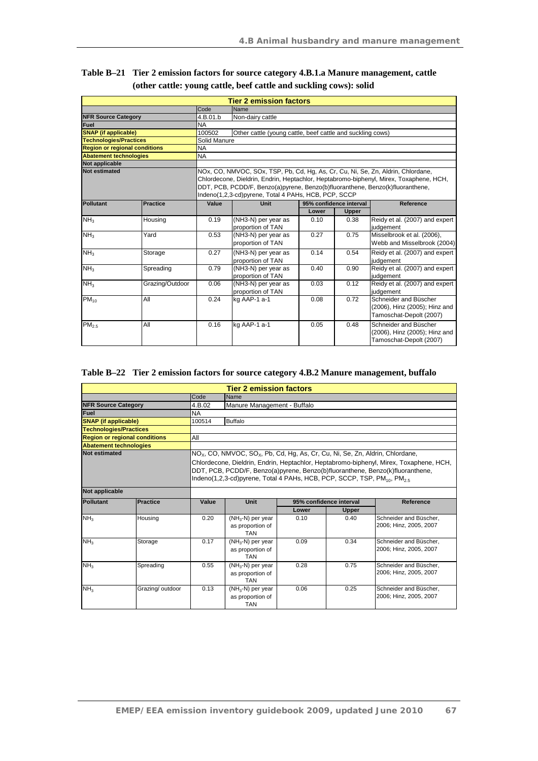|                                      |                 |                                                                                                                                                                                                                                                                                                                     | <b>Tier 2 emission factors</b>                             |                         |              |                                                                                   |
|--------------------------------------|-----------------|---------------------------------------------------------------------------------------------------------------------------------------------------------------------------------------------------------------------------------------------------------------------------------------------------------------------|------------------------------------------------------------|-------------------------|--------------|-----------------------------------------------------------------------------------|
|                                      |                 | Code                                                                                                                                                                                                                                                                                                                | Name                                                       |                         |              |                                                                                   |
| <b>NFR Source Category</b>           |                 | 4.B.01.b                                                                                                                                                                                                                                                                                                            | Non-dairy cattle                                           |                         |              |                                                                                   |
| Fuel                                 |                 | <b>NA</b>                                                                                                                                                                                                                                                                                                           |                                                            |                         |              |                                                                                   |
| <b>SNAP</b> (if applicable)          |                 | 100502                                                                                                                                                                                                                                                                                                              | Other cattle (young cattle, beef cattle and suckling cows) |                         |              |                                                                                   |
| <b>Technologies/Practices</b>        |                 | Solid Manure                                                                                                                                                                                                                                                                                                        |                                                            |                         |              |                                                                                   |
| <b>Region or regional conditions</b> |                 | <b>NA</b>                                                                                                                                                                                                                                                                                                           |                                                            |                         |              |                                                                                   |
| <b>Abatement technologies</b>        |                 | <b>NA</b>                                                                                                                                                                                                                                                                                                           |                                                            |                         |              |                                                                                   |
| Not applicable                       |                 |                                                                                                                                                                                                                                                                                                                     |                                                            |                         |              |                                                                                   |
| <b>Not estimated</b>                 |                 | NOx, CO, NMVOC, SOx, TSP, Pb, Cd, Hg, As, Cr, Cu, Ni, Se, Zn, Aldrin, Chlordane,<br>Chlordecone, Dieldrin, Endrin, Heptachlor, Heptabromo-biphenyl, Mirex, Toxaphene, HCH,<br>DDT, PCB, PCDD/F, Benzo(a)pyrene, Benzo(b)fluoranthene, Benzo(k)fluoranthene,<br>Indeno(1,2,3-cd)pyrene, Total 4 PAHs, HCB, PCP, SCCP |                                                            |                         |              |                                                                                   |
| Pollutant                            | <b>Practice</b> | Value                                                                                                                                                                                                                                                                                                               | Unit                                                       | 95% confidence interval |              | Reference                                                                         |
|                                      |                 |                                                                                                                                                                                                                                                                                                                     |                                                            | Lower                   | <b>Upper</b> |                                                                                   |
| NH <sub>3</sub>                      | Housing         | 0.19                                                                                                                                                                                                                                                                                                                | (NH3-N) per year as<br>proportion of TAN                   | 0.10                    | 0.38         | Reidy et al. (2007) and expert<br>judgement                                       |
| NH <sub>3</sub>                      | Yard            | 0.53                                                                                                                                                                                                                                                                                                                | (NH3-N) per year as<br>proportion of TAN                   | 0.27                    | 0.75         | Misselbrook et al. (2006),<br>Webb and Misselbrook (2004)                         |
| NH <sub>3</sub>                      | Storage         | 0.27                                                                                                                                                                                                                                                                                                                | (NH3-N) per year as<br>proportion of TAN                   | 0.14                    | 0.54         | Reidy et al. (2007) and expert<br>judgement                                       |
| NH <sub>3</sub>                      | Spreading       | 0.79                                                                                                                                                                                                                                                                                                                | $(NH3-N)$ per year as<br>proportion of TAN                 | 0.40                    | 0.90         | Reidy et al. (2007) and expert<br>judgement                                       |
| NH <sub>3</sub>                      | Grazing/Outdoor | 0.06                                                                                                                                                                                                                                                                                                                | (NH3-N) per year as<br>proportion of TAN                   | 0.03                    | 0.12         | Reidy et al. (2007) and expert<br>judgement                                       |
| $PM_{10}$                            | All             | 0.24                                                                                                                                                                                                                                                                                                                | kg AAP-1 a-1                                               | 0.08                    | 0.72         | Schneider and Büscher<br>(2006), Hinz (2005); Hinz and<br>Tamoschat-Depolt (2007) |
| PM <sub>2.5</sub>                    | All             | 0.16                                                                                                                                                                                                                                                                                                                | kg AAP-1 a-1                                               | 0.05                    | 0.48         | Schneider and Büscher<br>(2006), Hinz (2005); Hinz and<br>Tamoschat-Depolt (2007) |

| Table B-21 Tier 2 emission factors for source category 4.B.1.a Manure management, cattle |
|------------------------------------------------------------------------------------------|
| (other cattle: young cattle, beef cattle and suckling cows): solid                       |

## **Table B–22 Tier 2 emission factors for source category 4.B.2 Manure management, buffalo**

|                                      |                  |           | <b>Tier 2 emission factors</b>                                                                                                                                                                           |       |                         |                                                                                                                                                                         |
|--------------------------------------|------------------|-----------|----------------------------------------------------------------------------------------------------------------------------------------------------------------------------------------------------------|-------|-------------------------|-------------------------------------------------------------------------------------------------------------------------------------------------------------------------|
|                                      |                  | Code      | Name                                                                                                                                                                                                     |       |                         |                                                                                                                                                                         |
| <b>NFR Source Category</b>           |                  | 4.B.02    | Manure Management - Buffalo                                                                                                                                                                              |       |                         |                                                                                                                                                                         |
| Fuel                                 |                  | <b>NA</b> |                                                                                                                                                                                                          |       |                         |                                                                                                                                                                         |
| <b>SNAP</b> (if applicable)          |                  | 100514    | <b>Buffalo</b>                                                                                                                                                                                           |       |                         |                                                                                                                                                                         |
| <b>Technologies/Practices</b>        |                  |           |                                                                                                                                                                                                          |       |                         |                                                                                                                                                                         |
| <b>Region or regional conditions</b> |                  | All       |                                                                                                                                                                                                          |       |                         |                                                                                                                                                                         |
| <b>Abatement technologies</b>        |                  |           |                                                                                                                                                                                                          |       |                         |                                                                                                                                                                         |
| <b>Not estimated</b>                 |                  |           | NO <sub>x</sub> , CO, NMVOC, SO <sub>x</sub> , Pb, Cd, Hg, As, Cr, Cu, Ni, Se, Zn, Aldrin, Chlordane,<br>Indeno(1,2,3-cd)pyrene, Total 4 PAHs, HCB, PCP, SCCP, TSP, PM <sub>10</sub> , PM <sub>2.5</sub> |       |                         | Chlordecone, Dieldrin, Endrin, Heptachlor, Heptabromo-biphenyl, Mirex, Toxaphene, HCH,<br>DDT, PCB, PCDD/F, Benzo(a)pyrene, Benzo(b)fluoranthene, Benzo(k)fluoranthene, |
| Not applicable                       |                  |           |                                                                                                                                                                                                          |       |                         |                                                                                                                                                                         |
| <b>Pollutant</b>                     | <b>Practice</b>  | Value     | <b>Unit</b>                                                                                                                                                                                              |       | 95% confidence interval | <b>Reference</b>                                                                                                                                                        |
|                                      |                  |           |                                                                                                                                                                                                          | Lower | <b>Upper</b>            |                                                                                                                                                                         |
| NH <sub>3</sub>                      | Housing          | 0.20      | $(NH_3-N)$ per year<br>as proportion of<br><b>TAN</b>                                                                                                                                                    | 0.10  | 0.40                    | Schneider and Büscher.<br>2006; Hinz, 2005, 2007                                                                                                                        |
| NH <sub>3</sub>                      | Storage          | 0.17      | $(NH_3-N)$ per year<br>as proportion of<br><b>TAN</b>                                                                                                                                                    | 0.09  | 0.34                    | Schneider and Büscher.<br>2006; Hinz, 2005, 2007                                                                                                                        |
| NH <sub>3</sub>                      | Spreading        | 0.55      | $(NH_3-N)$ per year<br>as proportion of<br><b>TAN</b>                                                                                                                                                    | 0.28  | 0.75                    | Schneider and Büscher.<br>2006: Hinz. 2005. 2007                                                                                                                        |
| NH <sub>3</sub>                      | Grazing/ outdoor | 0.13      | $(NH_3-N)$ per year<br>as proportion of<br><b>TAN</b>                                                                                                                                                    | 0.06  | 0.25                    | Schneider and Büscher.<br>2006; Hinz, 2005, 2007                                                                                                                        |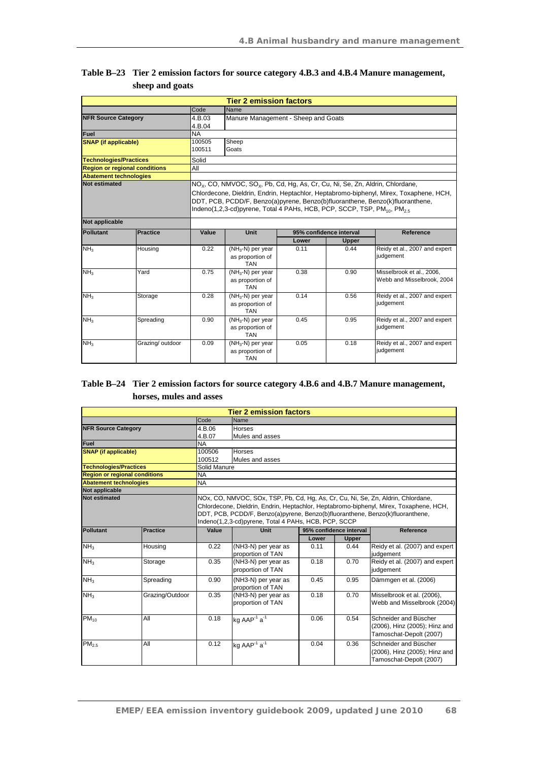|                               |                                      |                  | <b>Tier 2 emission factors</b>                                                                                                                                                                           |       |                         |                                                                                                                                                                         |
|-------------------------------|--------------------------------------|------------------|----------------------------------------------------------------------------------------------------------------------------------------------------------------------------------------------------------|-------|-------------------------|-------------------------------------------------------------------------------------------------------------------------------------------------------------------------|
|                               |                                      | Code             | Name                                                                                                                                                                                                     |       |                         |                                                                                                                                                                         |
| <b>NFR Source Category</b>    |                                      | 4.B.03<br>4.B.04 | Manure Management - Sheep and Goats                                                                                                                                                                      |       |                         |                                                                                                                                                                         |
| Fuel                          |                                      | <b>NA</b>        |                                                                                                                                                                                                          |       |                         |                                                                                                                                                                         |
| <b>SNAP</b> (if applicable)   |                                      | 100505<br>100511 | Sheep<br>Goats                                                                                                                                                                                           |       |                         |                                                                                                                                                                         |
| <b>Technologies/Practices</b> |                                      | Solid            |                                                                                                                                                                                                          |       |                         |                                                                                                                                                                         |
|                               | <b>Region or regional conditions</b> | All              |                                                                                                                                                                                                          |       |                         |                                                                                                                                                                         |
| <b>Abatement technologies</b> |                                      |                  |                                                                                                                                                                                                          |       |                         |                                                                                                                                                                         |
| <b>Not estimated</b>          |                                      |                  | NO <sub>x</sub> , CO, NMVOC, SO <sub>x</sub> , Pb, Cd, Hg, As, Cr, Cu, Ni, Se, Zn, Aldrin, Chlordane,<br>Indeno(1,2,3-cd)pyrene, Total 4 PAHs, HCB, PCP, SCCP, TSP, PM <sub>10</sub> , PM <sub>2.5</sub> |       |                         | Chlordecone, Dieldrin, Endrin, Heptachlor, Heptabromo-biphenyl, Mirex, Toxaphene, HCH,<br>DDT, PCB, PCDD/F, Benzo(a)pyrene, Benzo(b)fluoranthene, Benzo(k)fluoranthene, |
| <b>Not applicable</b>         |                                      |                  |                                                                                                                                                                                                          |       |                         |                                                                                                                                                                         |
| Pollutant                     | <b>Practice</b>                      | Value            | Unit                                                                                                                                                                                                     |       | 95% confidence interval | Reference                                                                                                                                                               |
|                               |                                      |                  |                                                                                                                                                                                                          | Lower | <b>Upper</b>            |                                                                                                                                                                         |
| NH <sub>3</sub>               | Housing                              | 0.22             | $(\overline{\text{NH}_3} \text{-N})$ per year<br>as proportion of<br><b>TAN</b>                                                                                                                          | 0.11  | 0.44                    | Reidy et al., 2007 and expert<br>judgement                                                                                                                              |
| NH <sub>3</sub>               | Yard                                 | 0.75             | $(NH_3-N)$ per year<br>as proportion of<br><b>TAN</b>                                                                                                                                                    | 0.38  | 0.90                    | Misselbrook et al., 2006.<br>Webb and Misselbrook, 2004                                                                                                                 |
| NH <sub>3</sub>               | Storage                              | 0.28             | $(NH_3-N)$ per year<br>as proportion of<br><b>TAN</b>                                                                                                                                                    | 0.14  | 0.56                    | Reidy et al., 2007 and expert<br>judgement                                                                                                                              |
| NH <sub>3</sub>               | Spreading                            | 0.90             | $(NH_3-N)$ per year<br>as proportion of<br><b>TAN</b>                                                                                                                                                    | 0.45  | 0.95                    | Reidy et al., 2007 and expert<br>judgement                                                                                                                              |
| NH <sub>3</sub>               |                                      |                  |                                                                                                                                                                                                          |       |                         |                                                                                                                                                                         |

## **Table B–23 Tier 2 emission factors for source category 4.B.3 and 4.B.4 Manure management, sheep and goats**

## **Table B–24 Tier 2 emission factors for source category 4.B.6 and 4.B.7 Manure management, horses, mules and asses**

|                                        |                 |                                                                                                                                                                                                                                                                                                                     | <b>Tier 2 emission factors</b>       |       |                         |                                |  |
|----------------------------------------|-----------------|---------------------------------------------------------------------------------------------------------------------------------------------------------------------------------------------------------------------------------------------------------------------------------------------------------------------|--------------------------------------|-------|-------------------------|--------------------------------|--|
|                                        |                 | Code                                                                                                                                                                                                                                                                                                                | Name                                 |       |                         |                                |  |
| <b>NFR Source Category</b>             |                 | 4.B.06                                                                                                                                                                                                                                                                                                              | <b>Horses</b>                        |       |                         |                                |  |
|                                        |                 | 4.B.07                                                                                                                                                                                                                                                                                                              | Mules and asses                      |       |                         |                                |  |
| <b>Fuel</b>                            |                 | <b>NA</b>                                                                                                                                                                                                                                                                                                           |                                      |       |                         |                                |  |
| <b>SNAP</b> (if applicable)            |                 | 100506                                                                                                                                                                                                                                                                                                              | <b>Horses</b>                        |       |                         |                                |  |
|                                        |                 | 100512                                                                                                                                                                                                                                                                                                              | Mules and asses                      |       |                         |                                |  |
| <b>Technologies/Practices</b>          |                 | Solid Manure                                                                                                                                                                                                                                                                                                        |                                      |       |                         |                                |  |
| <b>Region or regional conditions</b>   |                 | <b>NA</b>                                                                                                                                                                                                                                                                                                           |                                      |       |                         |                                |  |
| <b>Abatement technologies</b>          |                 | <b>NA</b>                                                                                                                                                                                                                                                                                                           |                                      |       |                         |                                |  |
| Not applicable<br><b>Not estimated</b> |                 |                                                                                                                                                                                                                                                                                                                     |                                      |       |                         |                                |  |
|                                        |                 | NOx, CO, NMVOC, SOx, TSP, Pb, Cd, Hg, As, Cr, Cu, Ni, Se, Zn, Aldrin, Chlordane,<br>Chlordecone, Dieldrin, Endrin, Heptachlor, Heptabromo-biphenyl, Mirex, Toxaphene, HCH,<br>DDT, PCB, PCDD/F, Benzo(a)pyrene, Benzo(b)fluoranthene, Benzo(k)fluoranthene,<br>Indeno(1,2,3-cd)pyrene, Total 4 PAHs, HCB, PCP, SCCP |                                      |       |                         |                                |  |
| <b>Pollutant</b>                       | Practice        | Value                                                                                                                                                                                                                                                                                                               | <b>Unit</b>                          |       | 95% confidence interval | Reference                      |  |
|                                        |                 |                                                                                                                                                                                                                                                                                                                     |                                      | Lower | Upper                   |                                |  |
| NH <sub>3</sub>                        | Housing         | 0.22                                                                                                                                                                                                                                                                                                                | (NH3-N) per year as                  | 0.11  | 0.44                    | Reidy et al. (2007) and expert |  |
|                                        |                 |                                                                                                                                                                                                                                                                                                                     | proportion of TAN                    |       |                         | judgement                      |  |
| NH <sub>3</sub>                        | Storage         | 0.35                                                                                                                                                                                                                                                                                                                | (NH3-N) per year as                  | 0.18  | 0.70                    | Reidy et al. (2007) and expert |  |
|                                        |                 |                                                                                                                                                                                                                                                                                                                     | proportion of TAN                    |       |                         | judgement                      |  |
| NH <sub>3</sub>                        | Spreading       | 0.90                                                                                                                                                                                                                                                                                                                | (NH3-N) per year as                  | 0.45  | 0.95                    | Dämmgen et al. (2006)          |  |
|                                        |                 |                                                                                                                                                                                                                                                                                                                     | proportion of TAN                    |       |                         |                                |  |
| NH <sub>3</sub>                        | Grazing/Outdoor | 0.35                                                                                                                                                                                                                                                                                                                | (NH3-N) per year as                  | 0.18  | 0.70                    | Misselbrook et al. (2006),     |  |
|                                        |                 |                                                                                                                                                                                                                                                                                                                     | proportion of TAN                    |       |                         | Webb and Misselbrook (2004)    |  |
|                                        |                 |                                                                                                                                                                                                                                                                                                                     |                                      |       |                         |                                |  |
| $PM_{10}$                              | All             | 0.18                                                                                                                                                                                                                                                                                                                | kg AAP <sup>-1</sup> $a^{-1}$        | 0.06  | 0.54                    | Schneider and Büscher          |  |
|                                        |                 |                                                                                                                                                                                                                                                                                                                     |                                      |       |                         | (2006), Hinz (2005); Hinz and  |  |
|                                        |                 |                                                                                                                                                                                                                                                                                                                     |                                      |       |                         | Tamoschat-Depolt (2007)        |  |
| PM <sub>2.5</sub>                      | All             | 0.12                                                                                                                                                                                                                                                                                                                | kg AAP <sup>-1</sup> a <sup>-1</sup> | 0.04  | 0.36                    | Schneider and Büscher          |  |
|                                        |                 |                                                                                                                                                                                                                                                                                                                     |                                      |       |                         | (2006), Hinz (2005); Hinz and  |  |
|                                        |                 |                                                                                                                                                                                                                                                                                                                     |                                      |       |                         | Tamoschat-Depolt (2007)        |  |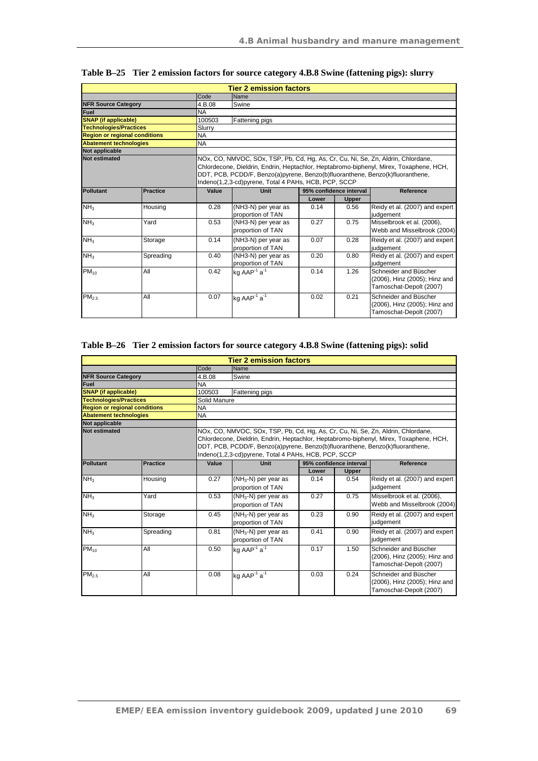|                                      |                 |                                                                                                                                                                                                                                                                                                                     | <b>Tier 2 emission factors</b>           |       |                         |                                                                                   |
|--------------------------------------|-----------------|---------------------------------------------------------------------------------------------------------------------------------------------------------------------------------------------------------------------------------------------------------------------------------------------------------------------|------------------------------------------|-------|-------------------------|-----------------------------------------------------------------------------------|
|                                      |                 | Code                                                                                                                                                                                                                                                                                                                | Name                                     |       |                         |                                                                                   |
| <b>NFR Source Category</b>           |                 | 4.B.08                                                                                                                                                                                                                                                                                                              | Swine                                    |       |                         |                                                                                   |
| Fuel                                 |                 | <b>NA</b>                                                                                                                                                                                                                                                                                                           |                                          |       |                         |                                                                                   |
| <b>SNAP</b> (if applicable)          |                 | 100503                                                                                                                                                                                                                                                                                                              | Fattening pigs                           |       |                         |                                                                                   |
| <b>Technologies/Practices</b>        |                 | Slurry                                                                                                                                                                                                                                                                                                              |                                          |       |                         |                                                                                   |
| <b>Region or regional conditions</b> |                 | <b>NA</b>                                                                                                                                                                                                                                                                                                           |                                          |       |                         |                                                                                   |
| <b>Abatement technologies</b>        |                 | <b>NA</b>                                                                                                                                                                                                                                                                                                           |                                          |       |                         |                                                                                   |
| <b>Not applicable</b>                |                 |                                                                                                                                                                                                                                                                                                                     |                                          |       |                         |                                                                                   |
| <b>Not estimated</b>                 |                 | NOx, CO, NMVOC, SOx, TSP, Pb, Cd, Hq, As, Cr, Cu, Ni, Se, Zn, Aldrin, Chlordane,<br>Chlordecone, Dieldrin, Endrin, Heptachlor, Heptabromo-biphenyl, Mirex, Toxaphene, HCH,<br>DDT, PCB, PCDD/F, Benzo(a)pyrene, Benzo(b)fluoranthene, Benzo(k)fluoranthene,<br>Indeno(1,2,3-cd)pyrene, Total 4 PAHs, HCB, PCP, SCCP |                                          |       |                         |                                                                                   |
| <b>Pollutant</b>                     | <b>Practice</b> | Value                                                                                                                                                                                                                                                                                                               | Unit                                     |       | 95% confidence interval | Reference                                                                         |
|                                      |                 |                                                                                                                                                                                                                                                                                                                     |                                          | Lower | <b>Upper</b>            |                                                                                   |
| NH <sub>3</sub>                      | Housing         | 0.28                                                                                                                                                                                                                                                                                                                | (NH3-N) per year as<br>proportion of TAN | 0.14  | 0.56                    | Reidy et al. (2007) and expert<br>judgement                                       |
| NH <sub>3</sub>                      | Yard            | 0.53                                                                                                                                                                                                                                                                                                                | (NH3-N) per year as<br>proportion of TAN | 0.27  | 0.75                    | Misselbrook et al. (2006),<br>Webb and Misselbrook (2004)                         |
| NH <sub>3</sub>                      | Storage         | 0.14                                                                                                                                                                                                                                                                                                                | (NH3-N) per year as<br>proportion of TAN | 0.07  | 0.28                    | Reidy et al. (2007) and expert<br>judgement                                       |
| NH <sub>3</sub>                      | Spreading       | 0.40                                                                                                                                                                                                                                                                                                                | (NH3-N) per year as<br>proportion of TAN | 0.20  | 0.80                    | Reidy et al. (2007) and expert<br>judgement                                       |
| $PM_{10}$                            | All             | 0.42                                                                                                                                                                                                                                                                                                                | kg AAP <sup>-1</sup> a <sup>-1</sup>     | 0.14  | 1.26                    | Schneider and Büscher<br>(2006), Hinz (2005); Hinz and<br>Tamoschat-Depolt (2007) |
| PM <sub>2.5</sub>                    | All             | 0.07                                                                                                                                                                                                                                                                                                                | kg AAP <sup>-1</sup> a <sup>-1</sup>     | 0.02  | 0.21                    | Schneider and Büscher<br>(2006), Hinz (2005); Hinz and<br>Tamoschat-Depolt (2007) |

|  | Table B-25 Tier 2 emission factors for source category 4.B.8 Swine (fattening pigs): slurry |  |  |  |  |
|--|---------------------------------------------------------------------------------------------|--|--|--|--|
|--|---------------------------------------------------------------------------------------------|--|--|--|--|

## **Table B–26 Tier 2 emission factors for source category 4.B.8 Swine (fattening pigs): solid**

|                                                                                                                                                                                                                                                                                                                                             |                 |              | <b>Tier 2 emission factors</b>              |       |                         |                                                                                   |
|---------------------------------------------------------------------------------------------------------------------------------------------------------------------------------------------------------------------------------------------------------------------------------------------------------------------------------------------|-----------------|--------------|---------------------------------------------|-------|-------------------------|-----------------------------------------------------------------------------------|
|                                                                                                                                                                                                                                                                                                                                             |                 | Code         | Name                                        |       |                         |                                                                                   |
| <b>NFR Source Category</b>                                                                                                                                                                                                                                                                                                                  |                 | 4.B.08       | Swine                                       |       |                         |                                                                                   |
| Fuel                                                                                                                                                                                                                                                                                                                                        |                 | <b>NA</b>    |                                             |       |                         |                                                                                   |
| <b>SNAP</b> (if applicable)                                                                                                                                                                                                                                                                                                                 |                 | 100503       | Fattening pigs                              |       |                         |                                                                                   |
| <b>Technologies/Practices</b>                                                                                                                                                                                                                                                                                                               |                 | Solid Manure |                                             |       |                         |                                                                                   |
| <b>Region or regional conditions</b>                                                                                                                                                                                                                                                                                                        |                 | <b>NA</b>    |                                             |       |                         |                                                                                   |
| <b>Abatement technologies</b>                                                                                                                                                                                                                                                                                                               |                 | <b>NA</b>    |                                             |       |                         |                                                                                   |
| Not applicable                                                                                                                                                                                                                                                                                                                              |                 |              |                                             |       |                         |                                                                                   |
| NOx, CO, NMVOC, SOx, TSP, Pb, Cd, Hg, As, Cr, Cu, Ni, Se, Zn, Aldrin, Chlordane,<br><b>Not estimated</b><br>Chlordecone, Dieldrin, Endrin, Heptachlor, Heptabromo-biphenyl, Mirex, Toxaphene, HCH,<br>DDT, PCB, PCDD/F, Benzo(a)pyrene, Benzo(b)fluoranthene, Benzo(k)fluoranthene,<br>Indeno(1,2,3-cd)pyrene, Total 4 PAHs, HCB, PCP, SCCP |                 |              |                                             |       |                         |                                                                                   |
| Pollutant                                                                                                                                                                                                                                                                                                                                   | <b>Practice</b> | Value        | <b>Unit</b>                                 |       | 95% confidence interval | Reference                                                                         |
|                                                                                                                                                                                                                                                                                                                                             |                 |              |                                             | Lower | <b>Upper</b>            |                                                                                   |
| NH <sub>3</sub>                                                                                                                                                                                                                                                                                                                             | Housing         | 0.27         | $(NH_3-N)$ per year as<br>proportion of TAN | 0.14  | 0.54                    | Reidy et al. (2007) and expert<br>judgement                                       |
| NH <sub>3</sub>                                                                                                                                                                                                                                                                                                                             | Yard            | 0.53         | $(NH_3-N)$ per year as<br>proportion of TAN | 0.27  | 0.75                    | Misselbrook et al. (2006),<br>Webb and Misselbrook (2004)                         |
| NH <sub>3</sub>                                                                                                                                                                                                                                                                                                                             | Storage         | 0.45         | $(NH_3-N)$ per year as<br>proportion of TAN | 0.23  | 0.90                    | Reidy et al. (2007) and expert<br>judgement                                       |
| NH <sub>3</sub>                                                                                                                                                                                                                                                                                                                             | Spreading       | 0.81         | $(NH_3-N)$ per year as<br>proportion of TAN | 0.41  | 0.90                    | Reidy et al. (2007) and expert<br>judgement                                       |
| $PM_{10}$                                                                                                                                                                                                                                                                                                                                   | All             | 0.50         | kg AAP <sup>-1</sup> $a^{-1}$               | 0.17  | 1.50                    | Schneider and Büscher<br>(2006), Hinz (2005); Hinz and<br>Tamoschat-Depolt (2007) |
| PM <sub>2.5</sub>                                                                                                                                                                                                                                                                                                                           | All             | 0.08         | kg AAP <sup>1</sup> $a^{-1}$                | 0.03  | 0.24                    | Schneider and Büscher<br>(2006), Hinz (2005); Hinz and<br>Tamoschat-Depolt (2007) |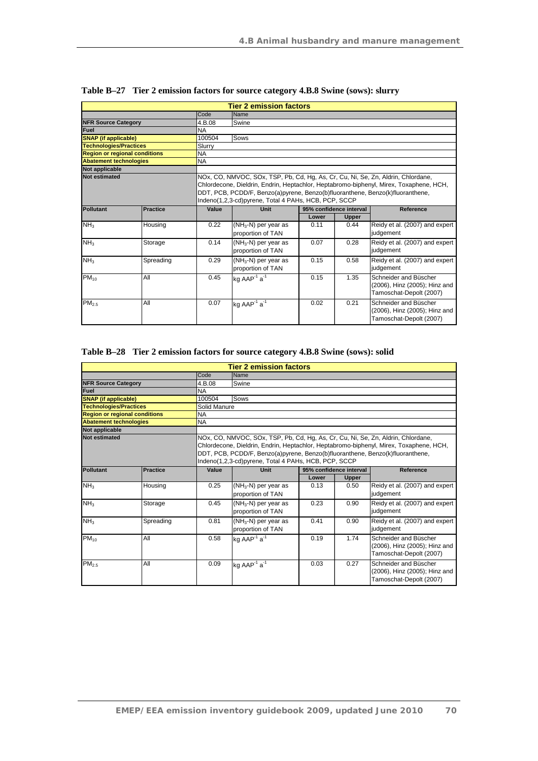| <b>Tier 2 emission factors</b>       |                 |           |                                                                                                                                                                                                                                                                                                                     |       |                         |                                                                                   |  |  |
|--------------------------------------|-----------------|-----------|---------------------------------------------------------------------------------------------------------------------------------------------------------------------------------------------------------------------------------------------------------------------------------------------------------------------|-------|-------------------------|-----------------------------------------------------------------------------------|--|--|
|                                      |                 | Code      | Name                                                                                                                                                                                                                                                                                                                |       |                         |                                                                                   |  |  |
| <b>NFR Source Category</b>           |                 | 4.B.08    | Swine                                                                                                                                                                                                                                                                                                               |       |                         |                                                                                   |  |  |
| Fuel                                 |                 | <b>NA</b> |                                                                                                                                                                                                                                                                                                                     |       |                         |                                                                                   |  |  |
| <b>SNAP</b> (if applicable)          |                 | 100504    | Sows                                                                                                                                                                                                                                                                                                                |       |                         |                                                                                   |  |  |
| <b>Technologies/Practices</b>        |                 | Slurry    |                                                                                                                                                                                                                                                                                                                     |       |                         |                                                                                   |  |  |
| <b>Region or regional conditions</b> |                 | <b>NA</b> |                                                                                                                                                                                                                                                                                                                     |       |                         |                                                                                   |  |  |
| <b>Abatement technologies</b>        |                 | <b>NA</b> |                                                                                                                                                                                                                                                                                                                     |       |                         |                                                                                   |  |  |
| <b>Not applicable</b>                |                 |           |                                                                                                                                                                                                                                                                                                                     |       |                         |                                                                                   |  |  |
| <b>Not estimated</b>                 |                 |           | NOx, CO, NMVOC, SOx, TSP, Pb, Cd, Hg, As, Cr, Cu, Ni, Se, Zn, Aldrin, Chlordane,<br>Chlordecone, Dieldrin, Endrin, Heptachlor, Heptabromo-biphenyl, Mirex, Toxaphene, HCH,<br>DDT, PCB, PCDD/F, Benzo(a)pyrene, Benzo(b)fluoranthene, Benzo(k)fluoranthene,<br>Indeno(1,2,3-cd)pyrene, Total 4 PAHs, HCB, PCP, SCCP |       |                         |                                                                                   |  |  |
| Pollutant                            | <b>Practice</b> | Value     | Unit                                                                                                                                                                                                                                                                                                                |       | 95% confidence interval | Reference                                                                         |  |  |
|                                      |                 |           |                                                                                                                                                                                                                                                                                                                     | Lower | <b>Upper</b>            |                                                                                   |  |  |
| NH <sub>3</sub>                      | Housing         | 0.22      | $(NH_3-N)$ per year as                                                                                                                                                                                                                                                                                              | 0.11  | 0.44                    | Reidy et al. (2007) and expert<br>judgement                                       |  |  |
|                                      |                 |           | proportion of TAN                                                                                                                                                                                                                                                                                                   |       |                         |                                                                                   |  |  |
| NH <sub>3</sub>                      | Storage         | 0.14      | $(NH_3-N)$ per year as<br>proportion of TAN                                                                                                                                                                                                                                                                         | 0.07  | 0.28                    | Reidy et al. (2007) and expert<br>judgement                                       |  |  |
| NH <sub>3</sub>                      | Spreading       | 0.29      | $(NH_3-N)$ per year as<br>proportion of TAN                                                                                                                                                                                                                                                                         | 0.15  | 0.58                    | Reidy et al. (2007) and expert<br>judgement                                       |  |  |
| $PM_{10}$                            | All             | 0.45      | kg $AAP^{-1}a^{-1}$                                                                                                                                                                                                                                                                                                 | 0.15  | 1.35                    | Schneider and Büscher<br>(2006), Hinz (2005); Hinz and<br>Tamoschat-Depolt (2007) |  |  |
| PM <sub>2.5</sub>                    | All             | 0.07      | kg AAP <sup>1</sup> a <sup>1</sup>                                                                                                                                                                                                                                                                                  | 0.02  | 0.21                    | Schneider and Büscher<br>(2006), Hinz (2005); Hinz and<br>Tamoschat-Depolt (2007) |  |  |

**Table B–27 Tier 2 emission factors for source category 4.B.8 Swine (sows): slurry** 

## **Table B–28 Tier 2 emission factors for source category 4.B.8 Swine (sows): solid**

| <b>Tier 2 emission factors</b>       |           |           |                                                                                                                                                                                                                                                                                                                     |       |                         |                                                                                   |  |  |  |
|--------------------------------------|-----------|-----------|---------------------------------------------------------------------------------------------------------------------------------------------------------------------------------------------------------------------------------------------------------------------------------------------------------------------|-------|-------------------------|-----------------------------------------------------------------------------------|--|--|--|
|                                      |           | Code      | Name                                                                                                                                                                                                                                                                                                                |       |                         |                                                                                   |  |  |  |
| <b>NFR Source Category</b>           |           | 4.B.08    | Swine                                                                                                                                                                                                                                                                                                               |       |                         |                                                                                   |  |  |  |
| <b>Fuel</b>                          |           | <b>NA</b> |                                                                                                                                                                                                                                                                                                                     |       |                         |                                                                                   |  |  |  |
| <b>SNAP</b> (if applicable)          |           | 100504    | Sows                                                                                                                                                                                                                                                                                                                |       |                         |                                                                                   |  |  |  |
| <b>Technologies/Practices</b>        |           |           | Solid Manure                                                                                                                                                                                                                                                                                                        |       |                         |                                                                                   |  |  |  |
| <b>Region or regional conditions</b> |           | <b>NA</b> |                                                                                                                                                                                                                                                                                                                     |       |                         |                                                                                   |  |  |  |
| <b>Abatement technologies</b>        |           | NA        |                                                                                                                                                                                                                                                                                                                     |       |                         |                                                                                   |  |  |  |
| <b>Not applicable</b>                |           |           |                                                                                                                                                                                                                                                                                                                     |       |                         |                                                                                   |  |  |  |
| <b>Not estimated</b>                 |           |           | NOx, CO, NMVOC, SOx, TSP, Pb, Cd, Hg, As, Cr, Cu, Ni, Se, Zn, Aldrin, Chlordane,<br>Chlordecone, Dieldrin, Endrin, Heptachlor, Heptabromo-biphenyl, Mirex, Toxaphene, HCH,<br>DDT, PCB, PCDD/F, Benzo(a)pyrene, Benzo(b)fluoranthene, Benzo(k)fluoranthene,<br>Indeno(1,2,3-cd)pyrene, Total 4 PAHs, HCB, PCP, SCCP |       |                         |                                                                                   |  |  |  |
| <b>Pollutant</b>                     | Practice  | Value     | Unit                                                                                                                                                                                                                                                                                                                |       | 95% confidence interval | Reference                                                                         |  |  |  |
|                                      |           |           |                                                                                                                                                                                                                                                                                                                     | Lower | <b>Upper</b>            |                                                                                   |  |  |  |
| NH <sub>3</sub>                      | Housing   | 0.25      | $(NH_3-N)$ per year as                                                                                                                                                                                                                                                                                              | 0.13  | 0.50                    | Reidy et al. (2007) and expert                                                    |  |  |  |
|                                      |           |           | proportion of TAN                                                                                                                                                                                                                                                                                                   |       |                         | judgement                                                                         |  |  |  |
| NH <sub>3</sub>                      | Storage   | 0.45      | $(NH_3-N)$ per year as                                                                                                                                                                                                                                                                                              | 0.23  | 0.90                    | Reidy et al. (2007) and expert                                                    |  |  |  |
|                                      |           |           | proportion of TAN                                                                                                                                                                                                                                                                                                   |       |                         | judgement                                                                         |  |  |  |
| NH <sub>3</sub>                      | Spreading | 0.81      | $(NH_3-N)$ per year as<br>proportion of TAN                                                                                                                                                                                                                                                                         | 0.41  | 0.90                    | Reidy et al. (2007) and expert<br>judgement                                       |  |  |  |
| $PM_{10}$                            | All       | 0.58      | kg $AAP^{-1}a^{-1}$                                                                                                                                                                                                                                                                                                 | 0.19  | 1.74                    | Schneider and Büscher<br>(2006), Hinz (2005); Hinz and<br>Tamoschat-Depolt (2007) |  |  |  |
| PM <sub>2.5</sub>                    | All       | 0.09      | kg AAP <sup>-1</sup> a <sup>-1</sup>                                                                                                                                                                                                                                                                                | 0.03  | 0.27                    | Schneider and Büscher<br>(2006), Hinz (2005); Hinz and<br>Tamoschat-Depolt (2007) |  |  |  |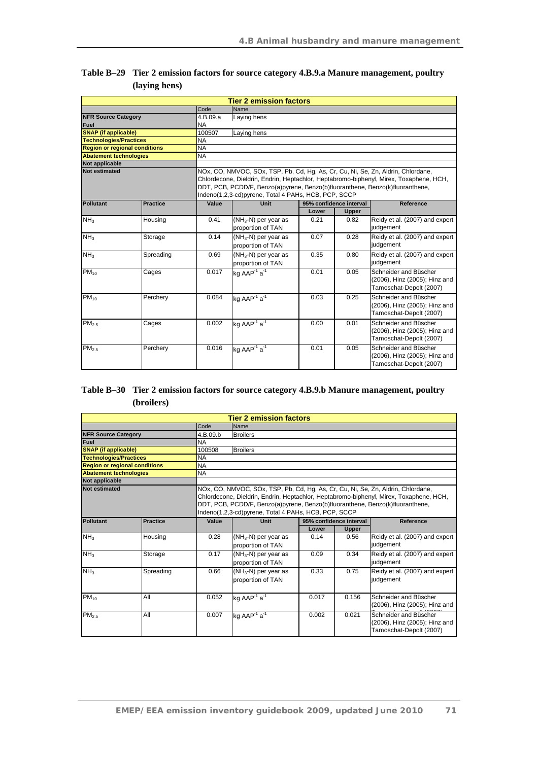|                                      |                 |           | <b>Tier 2 emission factors</b>                                                                                                                                                                                                                                                                                      |       |                         |                                                                                   |  |  |  |
|--------------------------------------|-----------------|-----------|---------------------------------------------------------------------------------------------------------------------------------------------------------------------------------------------------------------------------------------------------------------------------------------------------------------------|-------|-------------------------|-----------------------------------------------------------------------------------|--|--|--|
|                                      |                 | Code      | Name                                                                                                                                                                                                                                                                                                                |       |                         |                                                                                   |  |  |  |
| <b>NFR Source Category</b>           |                 | 4.B.09.a  | Laying hens                                                                                                                                                                                                                                                                                                         |       |                         |                                                                                   |  |  |  |
| Fuel                                 |                 | <b>NA</b> |                                                                                                                                                                                                                                                                                                                     |       |                         |                                                                                   |  |  |  |
| <b>SNAP</b> (if applicable)          |                 | 100507    | Laying hens                                                                                                                                                                                                                                                                                                         |       |                         |                                                                                   |  |  |  |
| <b>Technologies/Practices</b>        |                 | <b>NA</b> |                                                                                                                                                                                                                                                                                                                     |       |                         |                                                                                   |  |  |  |
| <b>Region or regional conditions</b> |                 | <b>NA</b> |                                                                                                                                                                                                                                                                                                                     |       |                         |                                                                                   |  |  |  |
| <b>Abatement technologies</b>        |                 | <b>NA</b> |                                                                                                                                                                                                                                                                                                                     |       |                         |                                                                                   |  |  |  |
| Not applicable                       |                 |           |                                                                                                                                                                                                                                                                                                                     |       |                         |                                                                                   |  |  |  |
| Not estimated                        |                 |           | NOx, CO, NMVOC, SOx, TSP, Pb, Cd, Hg, As, Cr, Cu, Ni, Se, Zn, Aldrin, Chlordane,<br>Chlordecone, Dieldrin, Endrin, Heptachlor, Heptabromo-biphenyl, Mirex, Toxaphene, HCH,<br>DDT, PCB, PCDD/F, Benzo(a)pyrene, Benzo(b)fluoranthene, Benzo(k)fluoranthene,<br>Indeno(1,2,3-cd)pyrene, Total 4 PAHs, HCB, PCP, SCCP |       |                         |                                                                                   |  |  |  |
| Pollutant                            | <b>Practice</b> | Value     | <b>Unit</b>                                                                                                                                                                                                                                                                                                         |       | 95% confidence interval | Reference                                                                         |  |  |  |
|                                      |                 |           |                                                                                                                                                                                                                                                                                                                     | Lower | <b>Upper</b>            |                                                                                   |  |  |  |
| NH <sub>3</sub>                      | Housing         | 0.41      | $(NH_3-N)$ per year as<br>proportion of TAN                                                                                                                                                                                                                                                                         | 0.21  | 0.82                    | Reidy et al. (2007) and expert<br>judgement                                       |  |  |  |
| NH <sub>3</sub>                      | Storage         | 0.14      | $(NH_3-N)$ per year as<br>proportion of TAN                                                                                                                                                                                                                                                                         | 0.07  | 0.28                    | Reidy et al. (2007) and expert<br>judgement                                       |  |  |  |
| NH <sub>3</sub>                      | Spreading       | 0.69      | $(NH_3-N)$ per year as<br>proportion of TAN                                                                                                                                                                                                                                                                         | 0.35  | 0.80                    | Reidy et al. (2007) and expert<br>judgement                                       |  |  |  |
| $PM_{10}$                            | Cages           | 0.017     | kg AAP <sup>-1</sup> a <sup>-1</sup>                                                                                                                                                                                                                                                                                | 0.01  | 0.05                    | Schneider and Büscher<br>(2006), Hinz (2005); Hinz and<br>Tamoschat-Depolt (2007) |  |  |  |
| $PM_{10}$                            | Perchery        | 0.084     | kg AAP <sup>-1</sup> $a^{-1}$                                                                                                                                                                                                                                                                                       | 0.03  | 0.25                    | Schneider and Büscher<br>(2006), Hinz (2005); Hinz and<br>Tamoschat-Depolt (2007) |  |  |  |
| PM <sub>2.5</sub>                    | Cages           | 0.002     | kg AAP <sup>-1</sup> a <sup>-1</sup>                                                                                                                                                                                                                                                                                | 0.00  | 0.01                    | Schneider and Büscher<br>(2006), Hinz (2005); Hinz and<br>Tamoschat-Depolt (2007) |  |  |  |
| $PM_{2.5}$                           | Perchery        | 0.016     | kg AAP $\overline{a^1}$                                                                                                                                                                                                                                                                                             | 0.01  | 0.05                    | Schneider and Büscher<br>(2006), Hinz (2005); Hinz and<br>Tamoschat-Depolt (2007) |  |  |  |

#### **Table B–29 Tier 2 emission factors for source category 4.B.9.a Manure management, poultry (laying hens)**

## **Table B–30 Tier 2 emission factors for source category 4.B.9.b Manure management, poultry (broilers)**

| <b>Tier 2 emission factors</b>       |                 |           |                                                                                                                                                                                                                                                                                                                     |                         |              |                                                                                   |  |  |  |
|--------------------------------------|-----------------|-----------|---------------------------------------------------------------------------------------------------------------------------------------------------------------------------------------------------------------------------------------------------------------------------------------------------------------------|-------------------------|--------------|-----------------------------------------------------------------------------------|--|--|--|
|                                      |                 | Code      | Name                                                                                                                                                                                                                                                                                                                |                         |              |                                                                                   |  |  |  |
| <b>NFR Source Category</b>           |                 | 4.B.09.b  | <b>Broilers</b>                                                                                                                                                                                                                                                                                                     |                         |              |                                                                                   |  |  |  |
| <b>Fuel</b>                          |                 | NA        |                                                                                                                                                                                                                                                                                                                     |                         |              |                                                                                   |  |  |  |
| <b>SNAP</b> (if applicable)          |                 | 100508    | <b>Broilers</b>                                                                                                                                                                                                                                                                                                     |                         |              |                                                                                   |  |  |  |
| <b>Technologies/Practices</b>        |                 | NA        |                                                                                                                                                                                                                                                                                                                     |                         |              |                                                                                   |  |  |  |
| <b>Region or regional conditions</b> |                 | <b>NA</b> |                                                                                                                                                                                                                                                                                                                     |                         |              |                                                                                   |  |  |  |
| <b>Abatement technologies</b>        |                 | NA        |                                                                                                                                                                                                                                                                                                                     |                         |              |                                                                                   |  |  |  |
| <b>Not applicable</b>                |                 |           |                                                                                                                                                                                                                                                                                                                     |                         |              |                                                                                   |  |  |  |
| <b>Not estimated</b>                 |                 |           | NOx, CO, NMVOC, SOx, TSP, Pb, Cd, Hg, As, Cr, Cu, Ni, Se, Zn, Aldrin, Chlordane,<br>Chlordecone, Dieldrin, Endrin, Heptachlor, Heptabromo-biphenyl, Mirex, Toxaphene, HCH,<br>DDT, PCB, PCDD/F, Benzo(a)pyrene, Benzo(b)fluoranthene, Benzo(k)fluoranthene,<br>Indeno(1,2,3-cd)pyrene, Total 4 PAHs, HCB, PCP, SCCP |                         |              |                                                                                   |  |  |  |
| <b>Pollutant</b>                     | <b>Practice</b> | Value     | Unit                                                                                                                                                                                                                                                                                                                | 95% confidence interval |              | Reference                                                                         |  |  |  |
|                                      |                 |           |                                                                                                                                                                                                                                                                                                                     | Lower                   | <b>Upper</b> |                                                                                   |  |  |  |
| NH <sub>3</sub>                      | Housing         | 0.28      | $(NH_3-N)$ per year as<br>proportion of TAN                                                                                                                                                                                                                                                                         | 0.14                    | 0.56         | Reidy et al. (2007) and expert<br>judgement                                       |  |  |  |
| NH <sub>3</sub>                      | Storage         | 0.17      | $(NH_3-N)$ per year as<br>proportion of TAN                                                                                                                                                                                                                                                                         | 0.09                    | 0.34         | Reidy et al. (2007) and expert<br>judgement                                       |  |  |  |
| NH <sub>3</sub>                      | Spreading       | 0.66      | $(NH_3-N)$ per year as<br>proportion of TAN                                                                                                                                                                                                                                                                         | 0.33                    | 0.75         | Reidy et al. (2007) and expert<br>judgement                                       |  |  |  |
| $PM_{10}$                            | All             | 0.052     | kg AAP <sup>-1</sup> a <sup>-1</sup>                                                                                                                                                                                                                                                                                | 0.017                   | 0.156        | Schneider and Büscher<br>(2006), Hinz (2005); Hinz and                            |  |  |  |
| PM <sub>2.5</sub>                    | All             | 0.007     | kg AAP <sup>-1</sup> a <sup>-1</sup>                                                                                                                                                                                                                                                                                | 0.002                   | 0.021        | Schneider and Büscher<br>(2006), Hinz (2005); Hinz and<br>Tamoschat-Depolt (2007) |  |  |  |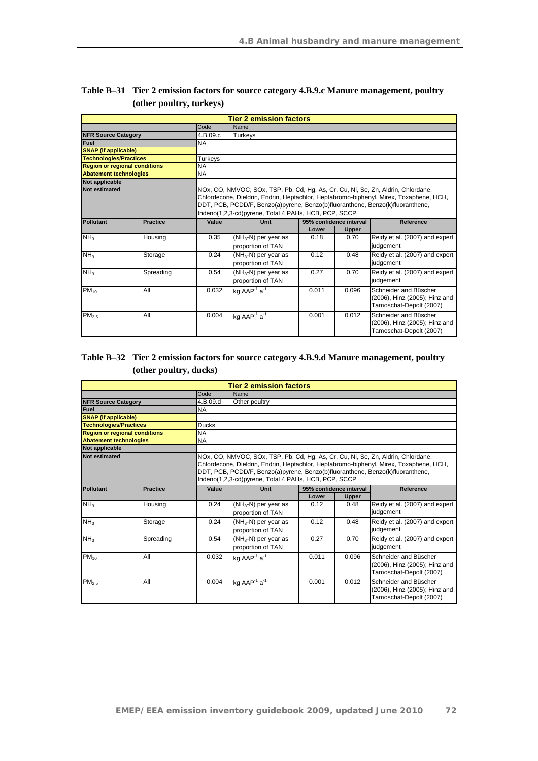| <b>Tier 2 emission factors</b>       |                 |           |                                                                                                                                                                                                                                                                                                                     |       |                         |                                                                                   |  |  |  |
|--------------------------------------|-----------------|-----------|---------------------------------------------------------------------------------------------------------------------------------------------------------------------------------------------------------------------------------------------------------------------------------------------------------------------|-------|-------------------------|-----------------------------------------------------------------------------------|--|--|--|
|                                      |                 | Code      | Name                                                                                                                                                                                                                                                                                                                |       |                         |                                                                                   |  |  |  |
| <b>NFR Source Category</b>           |                 | 4.B.09.c  | Turkeys                                                                                                                                                                                                                                                                                                             |       |                         |                                                                                   |  |  |  |
| <b>Fuel</b>                          |                 | <b>NA</b> |                                                                                                                                                                                                                                                                                                                     |       |                         |                                                                                   |  |  |  |
| <b>SNAP</b> (if applicable)          |                 |           |                                                                                                                                                                                                                                                                                                                     |       |                         |                                                                                   |  |  |  |
| <b>Technologies/Practices</b>        |                 | Turkeys   |                                                                                                                                                                                                                                                                                                                     |       |                         |                                                                                   |  |  |  |
| <b>Region or regional conditions</b> |                 | <b>NA</b> |                                                                                                                                                                                                                                                                                                                     |       |                         |                                                                                   |  |  |  |
| <b>Abatement technologies</b>        |                 | NA        |                                                                                                                                                                                                                                                                                                                     |       |                         |                                                                                   |  |  |  |
| <b>Not applicable</b>                |                 |           |                                                                                                                                                                                                                                                                                                                     |       |                         |                                                                                   |  |  |  |
| <b>Not estimated</b>                 |                 |           | NOx, CO, NMVOC, SOx, TSP, Pb, Cd, Hg, As, Cr, Cu, Ni, Se, Zn, Aldrin, Chlordane,<br>Chlordecone, Dieldrin, Endrin, Heptachlor, Heptabromo-biphenyl, Mirex, Toxaphene, HCH,<br>DDT, PCB, PCDD/F, Benzo(a)pyrene, Benzo(b)fluoranthene, Benzo(k)fluoranthene,<br>Indeno(1,2,3-cd)pyrene, Total 4 PAHs, HCB, PCP, SCCP |       |                         |                                                                                   |  |  |  |
| Pollutant                            | <b>Practice</b> | Value     | Unit                                                                                                                                                                                                                                                                                                                |       | 95% confidence interval | Reference                                                                         |  |  |  |
|                                      |                 |           |                                                                                                                                                                                                                                                                                                                     | Lower | <b>Upper</b>            |                                                                                   |  |  |  |
| NH <sub>3</sub>                      | Housing         | 0.35      | $(NH_3-N)$ per year as<br>proportion of TAN                                                                                                                                                                                                                                                                         | 0.18  | 0.70                    | Reidy et al. (2007) and expert<br>judgement                                       |  |  |  |
| NH <sub>3</sub>                      | Storage         | 0.24      | (NH <sub>3</sub> -N) per year as<br>proportion of TAN                                                                                                                                                                                                                                                               | 0.12  | 0.48                    | Reidy et al. (2007) and expert<br>judgement                                       |  |  |  |
| NH <sub>3</sub>                      | Spreading       | 0.54      | $(NH_3-N)$ per year as<br>proportion of TAN                                                                                                                                                                                                                                                                         | 0.27  | 0.70                    | Reidy et al. (2007) and expert<br>judgement                                       |  |  |  |
| $PM_{10}$                            | All             | 0.032     | kg $AAP^{-1}a^{-1}$                                                                                                                                                                                                                                                                                                 | 0.011 | 0.096                   | Schneider and Büscher<br>(2006), Hinz (2005); Hinz and<br>Tamoschat-Depolt (2007) |  |  |  |
| PM <sub>2.5</sub>                    | All             | 0.004     | kg AAP <sup>-1</sup> $a^{-1}$                                                                                                                                                                                                                                                                                       | 0.001 | 0.012                   | Schneider and Büscher<br>(2006), Hinz (2005); Hinz and<br>Tamoschat-Depolt (2007) |  |  |  |

| Table B-31 Tier 2 emission factors for source category 4.B.9.c Manure management, poultry |
|-------------------------------------------------------------------------------------------|
| (other poultry, turkeys)                                                                  |

## **Table B–32 Tier 2 emission factors for source category 4.B.9.d Manure management, poultry (other poultry, ducks)**

| <b>Tier 2 emission factors</b>       |                 |              |                                                                                                                                                                                                                                                                                                                     |                         |              |                                                                                   |  |  |  |
|--------------------------------------|-----------------|--------------|---------------------------------------------------------------------------------------------------------------------------------------------------------------------------------------------------------------------------------------------------------------------------------------------------------------------|-------------------------|--------------|-----------------------------------------------------------------------------------|--|--|--|
|                                      |                 | Code         | Name                                                                                                                                                                                                                                                                                                                |                         |              |                                                                                   |  |  |  |
| <b>NFR Source Category</b>           |                 | 4.B.09.d     | Other poultry                                                                                                                                                                                                                                                                                                       |                         |              |                                                                                   |  |  |  |
| Fuel                                 |                 | <b>NA</b>    |                                                                                                                                                                                                                                                                                                                     |                         |              |                                                                                   |  |  |  |
| <b>SNAP</b> (if applicable)          |                 |              |                                                                                                                                                                                                                                                                                                                     |                         |              |                                                                                   |  |  |  |
| <b>Technologies/Practices</b>        |                 | <b>Ducks</b> |                                                                                                                                                                                                                                                                                                                     |                         |              |                                                                                   |  |  |  |
| <b>Region or regional conditions</b> |                 | <b>NA</b>    |                                                                                                                                                                                                                                                                                                                     |                         |              |                                                                                   |  |  |  |
| <b>Abatement technologies</b>        |                 | NA           |                                                                                                                                                                                                                                                                                                                     |                         |              |                                                                                   |  |  |  |
| Not applicable                       |                 |              |                                                                                                                                                                                                                                                                                                                     |                         |              |                                                                                   |  |  |  |
| <b>Not estimated</b>                 |                 |              | NOx, CO, NMVOC, SOx, TSP, Pb, Cd, Hg, As, Cr, Cu, Ni, Se, Zn, Aldrin, Chlordane,<br>Chlordecone, Dieldrin, Endrin, Heptachlor, Heptabromo-biphenyl, Mirex, Toxaphene, HCH,<br>DDT, PCB, PCDD/F, Benzo(a)pyrene, Benzo(b)fluoranthene, Benzo(k)fluoranthene,<br>Indeno(1,2,3-cd)pyrene, Total 4 PAHs, HCB, PCP, SCCP |                         |              |                                                                                   |  |  |  |
| <b>Pollutant</b>                     | <b>Practice</b> | Value        | <b>Unit</b>                                                                                                                                                                                                                                                                                                         | 95% confidence interval |              | Reference                                                                         |  |  |  |
|                                      |                 |              |                                                                                                                                                                                                                                                                                                                     | Lower                   | <b>Upper</b> |                                                                                   |  |  |  |
| NH <sub>3</sub>                      | Housing         | 0.24         | $(NH_3-N)$ per year as<br>proportion of TAN                                                                                                                                                                                                                                                                         | 0.12                    | 0.48         | Reidy et al. (2007) and expert<br>judgement                                       |  |  |  |
| NH <sub>3</sub>                      | Storage         | 0.24         | (NH <sub>3</sub> -N) per year as<br>proportion of TAN                                                                                                                                                                                                                                                               | 0.12                    | 0.48         | Reidy et al. (2007) and expert<br>judgement                                       |  |  |  |
| NH <sub>3</sub>                      | Spreading       | 0.54         | $(NH_3-N)$ per year as<br>proportion of TAN                                                                                                                                                                                                                                                                         | 0.27                    | 0.70         | Reidy et al. (2007) and expert<br>judgement                                       |  |  |  |
| $PM_{10}$                            | All             | 0.032        | kg AAP <sup>-1</sup> $a^{-1}$                                                                                                                                                                                                                                                                                       | 0.011                   | 0.096        | Schneider and Büscher<br>(2006), Hinz (2005); Hinz and<br>Tamoschat-Depolt (2007) |  |  |  |
| PM <sub>2.5</sub>                    | All             | 0.004        | kg AAP <sup>-1</sup> a <sup>-1</sup>                                                                                                                                                                                                                                                                                | 0.001                   | 0.012        | Schneider and Büscher<br>(2006), Hinz (2005); Hinz and<br>Tamoschat-Depolt (2007) |  |  |  |